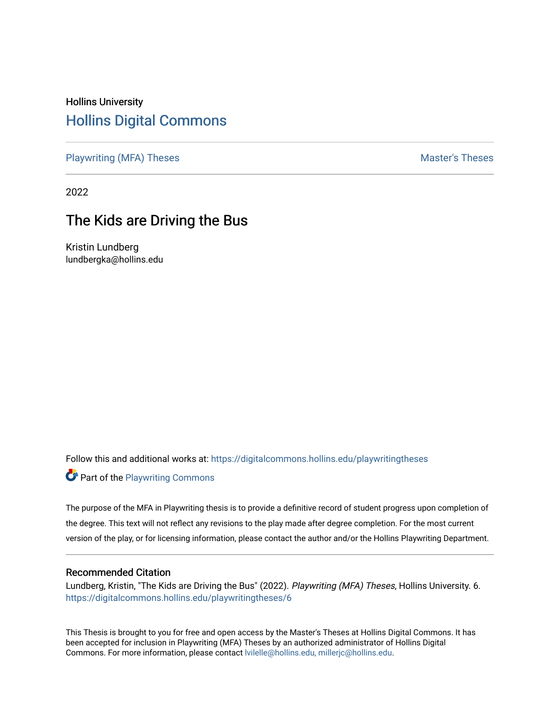# Hollins University [Hollins Digital Commons](https://digitalcommons.hollins.edu/)

[Playwriting \(MFA\) Theses](https://digitalcommons.hollins.edu/playwritingtheses) Master's Theses

2022

# The Kids are Driving the Bus

Kristin Lundberg lundbergka@hollins.edu

Follow this and additional works at: [https://digitalcommons.hollins.edu/playwritingtheses](https://digitalcommons.hollins.edu/playwritingtheses?utm_source=digitalcommons.hollins.edu%2Fplaywritingtheses%2F6&utm_medium=PDF&utm_campaign=PDFCoverPages)

**Part of the Playwriting Commons** 

The purpose of the MFA in Playwriting thesis is to provide a definitive record of student progress upon completion of the degree. This text will not reflect any revisions to the play made after degree completion. For the most current version of the play, or for licensing information, please contact the author and/or the Hollins Playwriting Department.

#### Recommended Citation

Lundberg, Kristin, "The Kids are Driving the Bus" (2022). Playwriting (MFA) Theses, Hollins University. 6. [https://digitalcommons.hollins.edu/playwritingtheses/6](https://digitalcommons.hollins.edu/playwritingtheses/6?utm_source=digitalcommons.hollins.edu%2Fplaywritingtheses%2F6&utm_medium=PDF&utm_campaign=PDFCoverPages)

This Thesis is brought to you for free and open access by the Master's Theses at Hollins Digital Commons. It has been accepted for inclusion in Playwriting (MFA) Theses by an authorized administrator of Hollins Digital Commons. For more information, please contact [lvilelle@hollins.edu, millerjc@hollins.edu.](mailto:lvilelle@hollins.edu,%20millerjc@hollins.edu)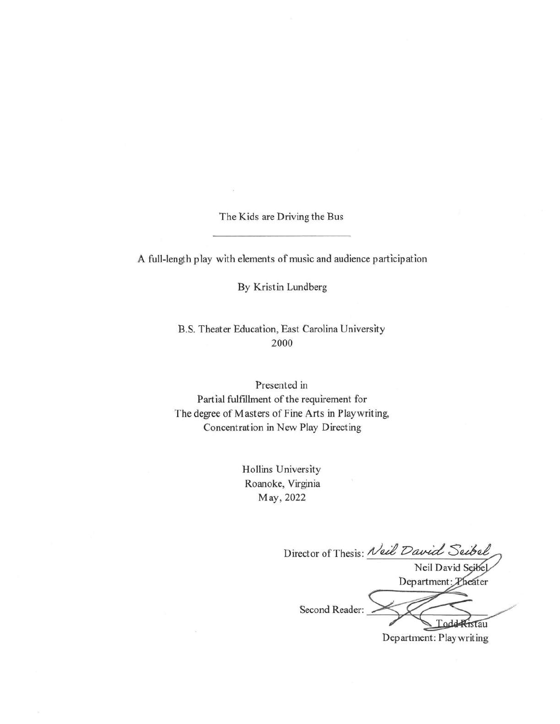The Kids are Driving the Bus

A full-length play with elements of music and audience participation

By Kristin Lundberg

B.S. Theater Education, East Carolina University 2000

Presented in Partial fulfillment of the requirement for The degree of Masters of Fine Arts in Playwriting, Concentration in New Play Directing

> Hollins University Roanoke, Virginia May, 2022

Director of Thesis: Neil David Seibel Neil David Seibel Department: Theater Second Reader: Todd Ristau Department: Play writing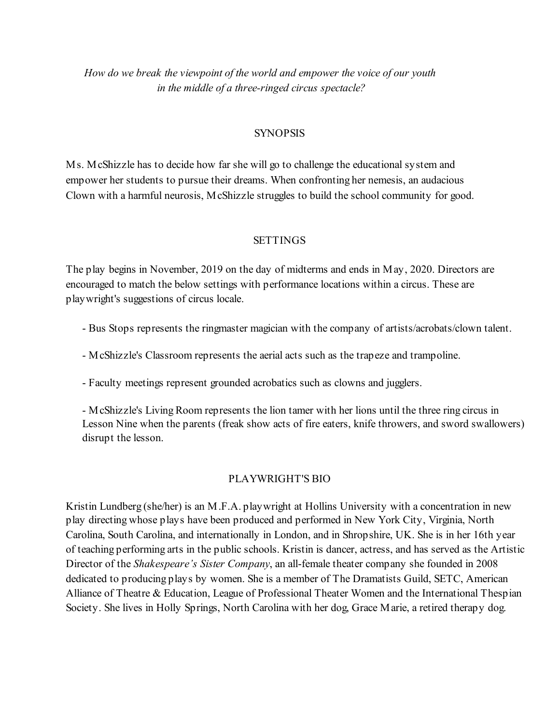How do we break the viewpoint of the world and empower the voice of our youth in the middle of a three-ringed circus spectacle?

#### **SYNOPSIS**

Ms. McShizzle has to decide how far she will go to challenge the educational system and empower her students to pursue their dreams. When confronting her nemesis, an audacious Clown with a harmful neurosis, McShizzle struggles to build the school community for good.

#### SETTINGS

The play begins in November, 2019 on the day of midterms and ends in May, 2020. Directors are encouraged to match the below settings with performance locations within a circus. These are playwright's suggestions of circus locale.

- Bus Stops represents the ringmaster magician with the company of artists/acrobats/clown talent.
- McShizzle's Classroom represents the aerial acts such as the trapeze and trampoline.
- Faculty meetings represent grounded acrobatics such as clowns and jugglers.

- McShizzle's Living Room represents the lion tamer with her lions until the three ring circus in Lesson Nine when the parents (freak show acts of fire eaters, knife throwers, and sword swallowers) disrupt the lesson.

#### PLAYWRIGHT'S BIO

Kristin Lundberg (she/her) is an M.F.A. playwright at Hollins University with a concentration in new play directing whose plays have been produced and performed in New York City, Virginia, North Carolina, South Carolina, and internationally in London, and in Shropshire, UK. She is in her 16th year of teaching performing arts in the public schools. Kristin is dancer, actress, and has served as the Artistic Director of the Shakespeare's Sister Company, an all-female theater company she founded in 2008 dedicated to producing plays by women. She is a member of The Dramatists Guild, SETC, American Alliance of Theatre & Education, League of Professional Theater Women and the International Thespian Society. She lives in Holly Springs, North Carolina with her dog, Grace Marie, a retired therapy dog.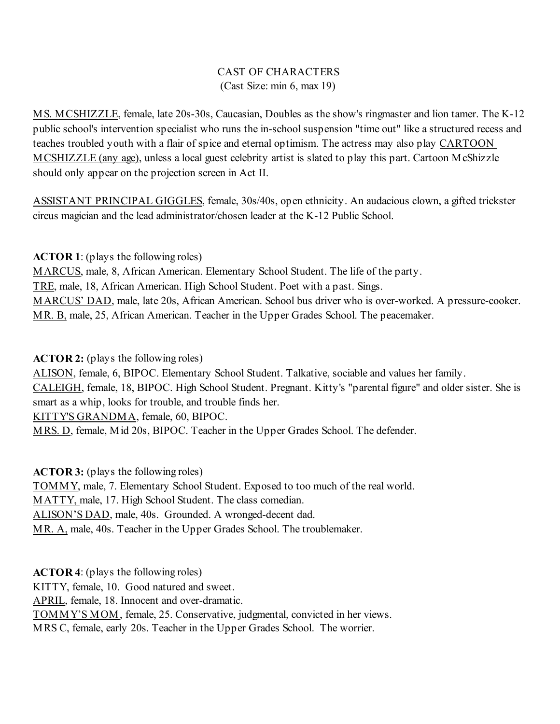# CAST OF CHARACTERS (Cast Size: min 6, max 19)

MS. MCSHIZZLE, female, late 20s-30s, Caucasian, Doubles as the show's ringmaster and lion tamer. The K-12 public school's intervention specialist who runs the in-school suspension "time out" like a structured recess and teaches troubled youth with a flair of spice and eternal optimism. The actress may also play CARTOON MCSHIZZLE (any age), unless a local guest celebrity artist is slated to play this part. Cartoon McShizzle should only appear on the projection screen in Act II.

ASSISTANT PRINCIPAL GIGGLES, female, 30s/40s, open ethnicity. An audacious clown, a gifted trickster circus magician and the lead administrator/chosen leader at the K-12 Public School.

ACTOR 1: (plays the following roles)

MARCUS, male, 8, African American. Elementary School Student. The life of the party. TRE, male, 18, African American. High School Student. Poet with a past. Sings. MARCUS' DAD, male, late 20s, African American. School bus driver who is over-worked. A pressure-cooker. MR. B, male, 25, African American. Teacher in the Upper Grades School. The peacemaker.

ACTOR 2: (plays the following roles)

ALISON, female, 6, BIPOC. Elementary School Student. Talkative, sociable and values her family. CALEIGH, female, 18, BIPOC. High School Student. Pregnant. Kitty's "parental figure" and older sister. She is smart as a whip, looks for trouble, and trouble finds her. KITTY'S GRANDMA, female, 60, BIPOC. MRS. D, female, Mid 20s, BIPOC. Teacher in the Upper Grades School. The defender.

ACTOR 3: (plays the following roles)

TOMMY, male, 7. Elementary School Student. Exposed to too much of the real world. MATTY, male, 17. High School Student. The class comedian. ALISON'S DAD, male, 40s. Grounded. A wronged-decent dad. MR. A, male, 40s. Teacher in the Upper Grades School. The troublemaker.

ACTOR 4: (plays the following roles) KITTY, female, 10. Good natured and sweet. APRIL, female, 18. Innocent and over-dramatic. TOMMY'S MOM, female, 25. Conservative, judgmental, convicted in her views. MRS C, female, early 20s. Teacher in the Upper Grades School. The worrier.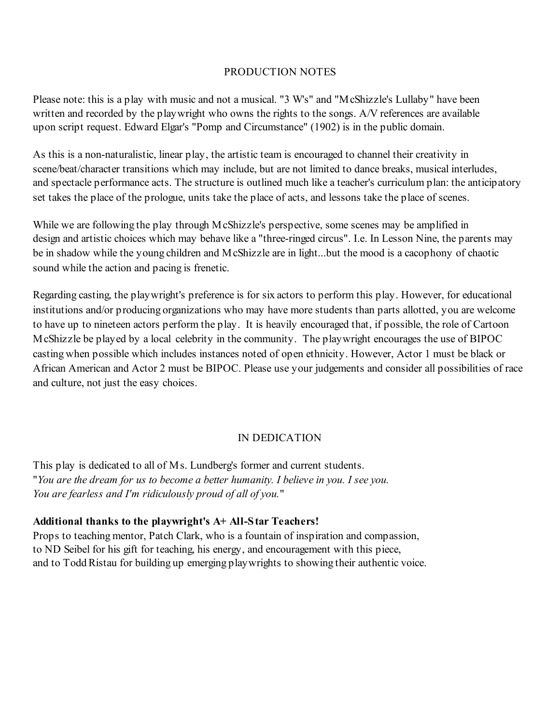#### PRODUCTION NOTES

Please note: this is a play with music and not a musical. "3 W's" and "McShizzle's Lullaby" have been written and recorded by the playwright who owns the rights to the songs. A/V references are available upon script request. Edward Elgar's "Pomp and Circumstance" (1902) is in the public domain.

As this is a non-naturalistic, linear play, the artistic team is encouraged to channel their creativity in scene/beat/character transitions which may include, but are not limited to dance breaks, musical interludes, and spectacle performance acts. The structure is outlined much like a teacher's curriculum plan: the anticipatory set takes the place of the prologue, units take the place of acts, and lessons take the place of scenes.

While we are following the play through McShizzle's perspective, some scenes may be amplified in design and artistic choices which may behave like a "three-ringed circus". I.e. In Lesson Nine, the parents may be in shadow while the young children and McShizzle are in light...but the mood is a cacophony of chaotic sound while the action and pacing is frenetic.

Regarding casting, the playwright's preference is for six actors to perform this play. However, for educational institutions and/or producing organizations who may have more students than parts allotted, you are welcome to have up to nineteen actors perform the play. It is heavily encouraged that, if possible, the role of Cartoon McShizzle be played by a local celebrity in the community. The playwright encourages the use of BIPOC casting when possible which includes instances noted of open ethnicity. However, Actor 1 must be black or African American and Actor 2 must be BIPOC. Please use your judgements and consider all possibilities of race and culture, not just the easy choices.

# IN DEDICATION

This play is dedicated to all of Ms. Lundberg's former and current students. "You are the dream for us to become a better humanity. I believe in you. I see you. You are fearless and I'm ridiculously proud of all of you."

## Additional thanks to the playwright's A+ All-Star Teachers!

Props to teaching mentor, Patch Clark, who is a fountain of inspiration and compassion, to ND Seibel for his gift for teaching, his energy, and encouragement with this piece, and to Todd Ristau for building up emerging playwrights to showing their authentic voice.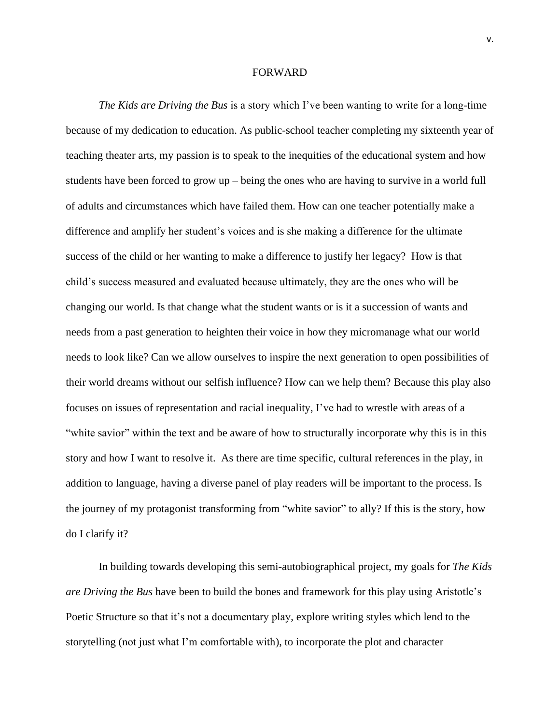#### FORWARD

*The Kids are Driving the Bus* is a story which I've been wanting to write for a long-time because of my dedication to education. As public-school teacher completing my sixteenth year of teaching theater arts, my passion is to speak to the inequities of the educational system and how students have been forced to grow up – being the ones who are having to survive in a world full of adults and circumstances which have failed them. How can one teacher potentially make a difference and amplify her student's voices and is she making a difference for the ultimate success of the child or her wanting to make a difference to justify her legacy? How is that child's success measured and evaluated because ultimately, they are the ones who will be changing our world. Is that change what the student wants or is it a succession of wants and needs from a past generation to heighten their voice in how they micromanage what our world needs to look like? Can we allow ourselves to inspire the next generation to open possibilities of their world dreams without our selfish influence? How can we help them? Because this play also focuses on issues of representation and racial inequality, I've had to wrestle with areas of a "white savior" within the text and be aware of how to structurally incorporate why this is in this story and how I want to resolve it. As there are time specific, cultural references in the play, in addition to language, having a diverse panel of play readers will be important to the process. Is the journey of my protagonist transforming from "white savior" to ally? If this is the story, how do I clarify it?

In building towards developing this semi-autobiographical project, my goals for *The Kids are Driving the Bus* have been to build the bones and framework for this play using Aristotle's Poetic Structure so that it's not a documentary play, explore writing styles which lend to the storytelling (not just what I'm comfortable with), to incorporate the plot and character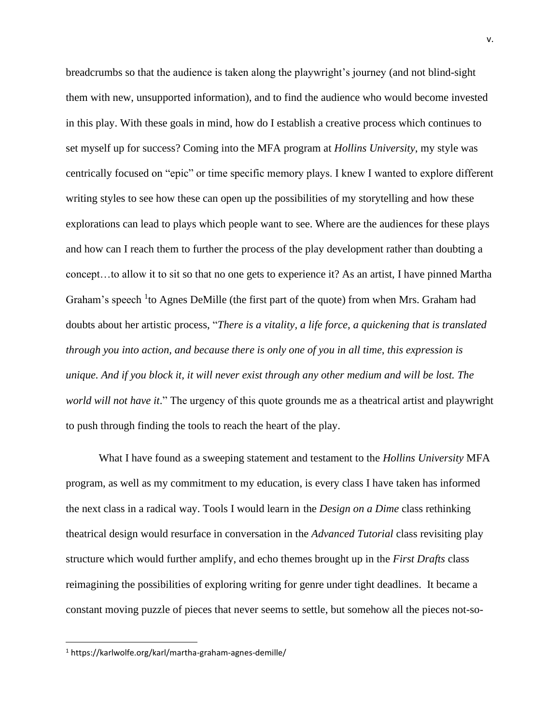breadcrumbs so that the audience is taken along the playwright's journey (and not blind-sight them with new, unsupported information), and to find the audience who would become invested in this play. With these goals in mind, how do I establish a creative process which continues to set myself up for success? Coming into the MFA program at *Hollins University*, my style was centrically focused on "epic" or time specific memory plays. I knew I wanted to explore different writing styles to see how these can open up the possibilities of my storytelling and how these explorations can lead to plays which people want to see. Where are the audiences for these plays and how can I reach them to further the process of the play development rather than doubting a concept…to allow it to sit so that no one gets to experience it? As an artist, I have pinned Martha Graham's speech <sup>1</sup> to Agnes DeMille (the first part of the quote) from when Mrs. Graham had doubts about her artistic process, "*There is a vitality, a life force, a quickening that is translated through you into action, and because there is only one of you in all time, this expression is unique. And if you block it, it will never exist through any other medium and will be lost. The world will not have it*." The urgency of this quote grounds me as a theatrical artist and playwright to push through finding the tools to reach the heart of the play.

What I have found as a sweeping statement and testament to the *Hollins University* MFA program, as well as my commitment to my education, is every class I have taken has informed the next class in a radical way. Tools I would learn in the *Design on a Dime* class rethinking theatrical design would resurface in conversation in the *Advanced Tutorial* class revisiting play structure which would further amplify, and echo themes brought up in the *First Drafts* class reimagining the possibilities of exploring writing for genre under tight deadlines. It became a constant moving puzzle of pieces that never seems to settle, but somehow all the pieces not-so-

<sup>1</sup> https://karlwolfe.org/karl/martha-graham-agnes-demille/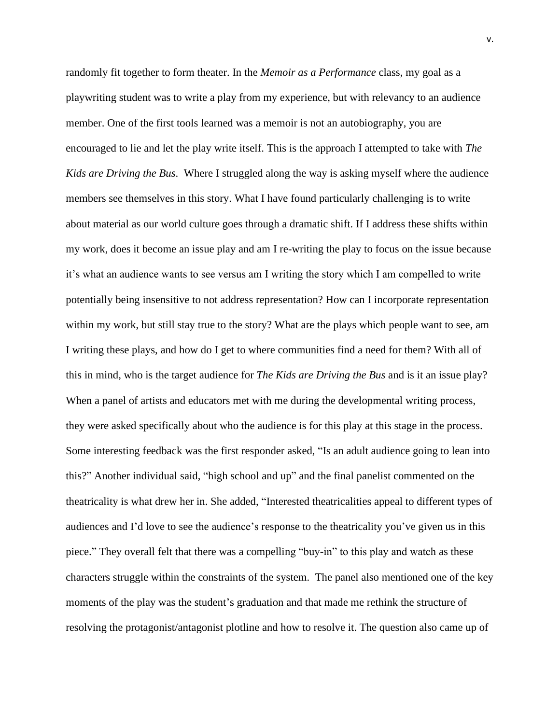randomly fit together to form theater. In the *Memoir as a Performance* class, my goal as a playwriting student was to write a play from my experience, but with relevancy to an audience member. One of the first tools learned was a memoir is not an autobiography, you are encouraged to lie and let the play write itself. This is the approach I attempted to take with *The Kids are Driving the Bus*. Where I struggled along the way is asking myself where the audience members see themselves in this story. What I have found particularly challenging is to write about material as our world culture goes through a dramatic shift. If I address these shifts within my work, does it become an issue play and am I re-writing the play to focus on the issue because it's what an audience wants to see versus am I writing the story which I am compelled to write potentially being insensitive to not address representation? How can I incorporate representation within my work, but still stay true to the story? What are the plays which people want to see, am I writing these plays, and how do I get to where communities find a need for them? With all of this in mind, who is the target audience for *The Kids are Driving the Bus* and is it an issue play? When a panel of artists and educators met with me during the developmental writing process, they were asked specifically about who the audience is for this play at this stage in the process. Some interesting feedback was the first responder asked, "Is an adult audience going to lean into this?" Another individual said, "high school and up" and the final panelist commented on the theatricality is what drew her in. She added, "Interested theatricalities appeal to different types of audiences and I'd love to see the audience's response to the theatricality you've given us in this piece." They overall felt that there was a compelling "buy-in" to this play and watch as these characters struggle within the constraints of the system. The panel also mentioned one of the key moments of the play was the student's graduation and that made me rethink the structure of resolving the protagonist/antagonist plotline and how to resolve it. The question also came up of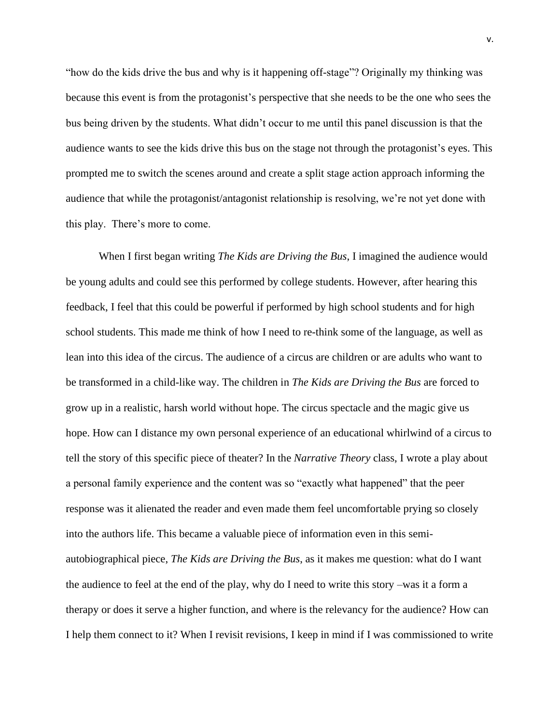"how do the kids drive the bus and why is it happening off-stage"? Originally my thinking was because this event is from the protagonist's perspective that she needs to be the one who sees the bus being driven by the students. What didn't occur to me until this panel discussion is that the audience wants to see the kids drive this bus on the stage not through the protagonist's eyes. This prompted me to switch the scenes around and create a split stage action approach informing the audience that while the protagonist/antagonist relationship is resolving, we're not yet done with this play. There's more to come.

When I first began writing *The Kids are Driving the Bus*, I imagined the audience would be young adults and could see this performed by college students. However, after hearing this feedback, I feel that this could be powerful if performed by high school students and for high school students. This made me think of how I need to re-think some of the language, as well as lean into this idea of the circus. The audience of a circus are children or are adults who want to be transformed in a child-like way. The children in *The Kids are Driving the Bus* are forced to grow up in a realistic, harsh world without hope. The circus spectacle and the magic give us hope. How can I distance my own personal experience of an educational whirlwind of a circus to tell the story of this specific piece of theater? In the *Narrative Theory* class, I wrote a play about a personal family experience and the content was so "exactly what happened" that the peer response was it alienated the reader and even made them feel uncomfortable prying so closely into the authors life. This became a valuable piece of information even in this semiautobiographical piece, *The Kids are Driving the Bus*, as it makes me question: what do I want the audience to feel at the end of the play, why do I need to write this story –was it a form a therapy or does it serve a higher function, and where is the relevancy for the audience? How can I help them connect to it? When I revisit revisions, I keep in mind if I was commissioned to write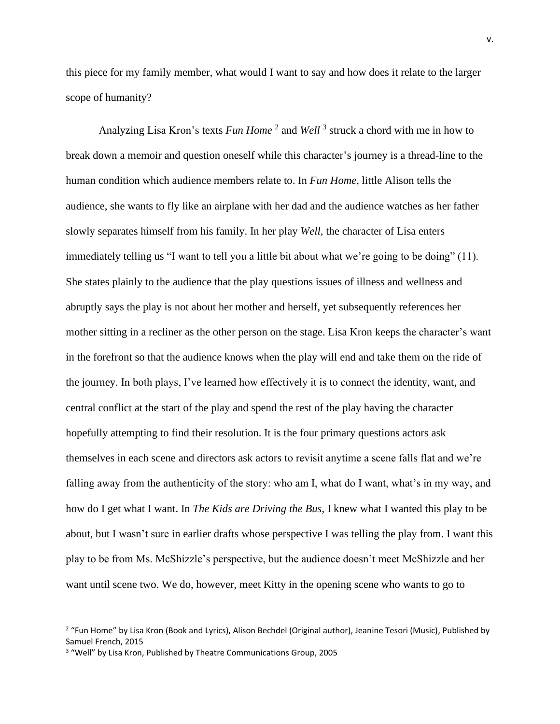this piece for my family member, what would I want to say and how does it relate to the larger scope of humanity?

Analyzing Lisa Kron's texts *Fun Home*<sup>2</sup> and *Well*<sup>3</sup> struck a chord with me in how to break down a memoir and question oneself while this character's journey is a thread-line to the human condition which audience members relate to. In *Fun Home*, little Alison tells the audience, she wants to fly like an airplane with her dad and the audience watches as her father slowly separates himself from his family. In her play *Well,* the character of Lisa enters immediately telling us "I want to tell you a little bit about what we're going to be doing" (11). She states plainly to the audience that the play questions issues of illness and wellness and abruptly says the play is not about her mother and herself, yet subsequently references her mother sitting in a recliner as the other person on the stage. Lisa Kron keeps the character's want in the forefront so that the audience knows when the play will end and take them on the ride of the journey. In both plays, I've learned how effectively it is to connect the identity, want, and central conflict at the start of the play and spend the rest of the play having the character hopefully attempting to find their resolution. It is the four primary questions actors ask themselves in each scene and directors ask actors to revisit anytime a scene falls flat and we're falling away from the authenticity of the story: who am I, what do I want, what's in my way, and how do I get what I want. In *The Kids are Driving the Bus*, I knew what I wanted this play to be about, but I wasn't sure in earlier drafts whose perspective I was telling the play from. I want this play to be from Ms. McShizzle's perspective, but the audience doesn't meet McShizzle and her want until scene two. We do, however, meet Kitty in the opening scene who wants to go to

<sup>2</sup> "Fun Home" by Lisa Kron (Book and Lyrics), Alison Bechdel (Original author), Jeanine Tesori (Music), Published by Samuel French, 2015

<sup>&</sup>lt;sup>3</sup> "Well" by Lisa Kron, Published by Theatre Communications Group, 2005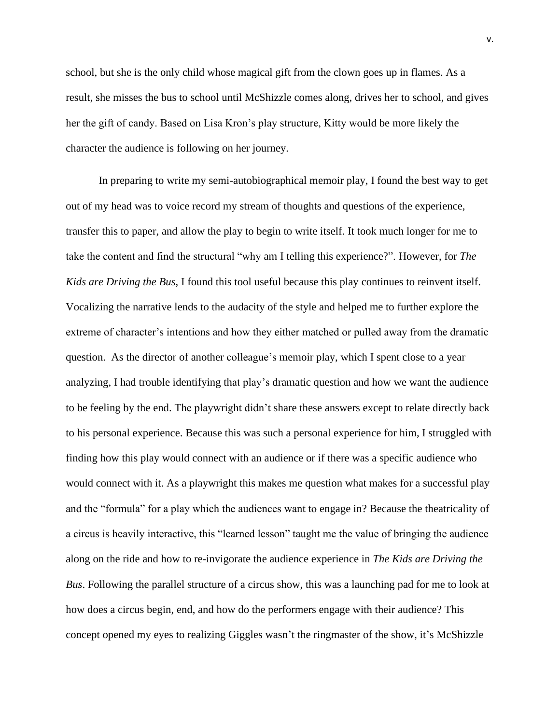school, but she is the only child whose magical gift from the clown goes up in flames. As a result, she misses the bus to school until McShizzle comes along, drives her to school, and gives her the gift of candy. Based on Lisa Kron's play structure, Kitty would be more likely the character the audience is following on her journey.

In preparing to write my semi-autobiographical memoir play, I found the best way to get out of my head was to voice record my stream of thoughts and questions of the experience, transfer this to paper, and allow the play to begin to write itself. It took much longer for me to take the content and find the structural "why am I telling this experience?". However, for *The Kids are Driving the Bus*, I found this tool useful because this play continues to reinvent itself. Vocalizing the narrative lends to the audacity of the style and helped me to further explore the extreme of character's intentions and how they either matched or pulled away from the dramatic question. As the director of another colleague's memoir play, which I spent close to a year analyzing, I had trouble identifying that play's dramatic question and how we want the audience to be feeling by the end. The playwright didn't share these answers except to relate directly back to his personal experience. Because this was such a personal experience for him, I struggled with finding how this play would connect with an audience or if there was a specific audience who would connect with it. As a playwright this makes me question what makes for a successful play and the "formula" for a play which the audiences want to engage in? Because the theatricality of a circus is heavily interactive, this "learned lesson" taught me the value of bringing the audience along on the ride and how to re-invigorate the audience experience in *The Kids are Driving the Bus*. Following the parallel structure of a circus show, this was a launching pad for me to look at how does a circus begin, end, and how do the performers engage with their audience? This concept opened my eyes to realizing Giggles wasn't the ringmaster of the show, it's McShizzle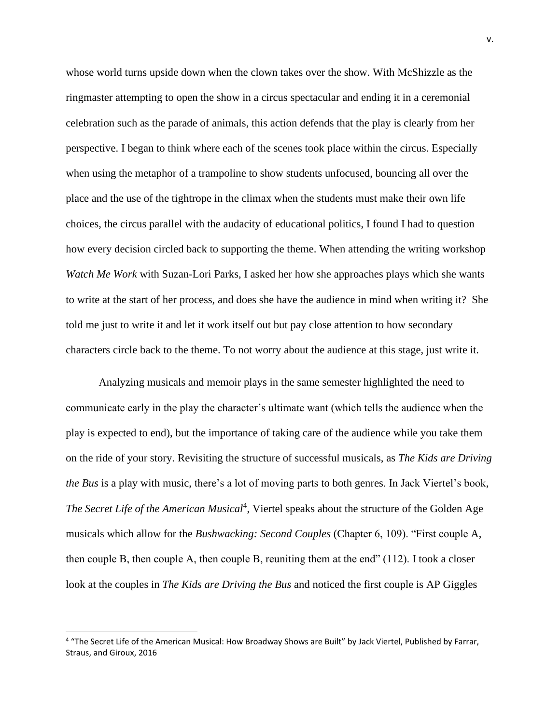whose world turns upside down when the clown takes over the show. With McShizzle as the ringmaster attempting to open the show in a circus spectacular and ending it in a ceremonial celebration such as the parade of animals, this action defends that the play is clearly from her perspective. I began to think where each of the scenes took place within the circus. Especially when using the metaphor of a trampoline to show students unfocused, bouncing all over the place and the use of the tightrope in the climax when the students must make their own life choices, the circus parallel with the audacity of educational politics, I found I had to question how every decision circled back to supporting the theme. When attending the writing workshop *Watch Me Work* with Suzan-Lori Parks, I asked her how she approaches plays which she wants to write at the start of her process, and does she have the audience in mind when writing it? She told me just to write it and let it work itself out but pay close attention to how secondary characters circle back to the theme. To not worry about the audience at this stage, just write it.

Analyzing musicals and memoir plays in the same semester highlighted the need to communicate early in the play the character's ultimate want (which tells the audience when the play is expected to end), but the importance of taking care of the audience while you take them on the ride of your story. Revisiting the structure of successful musicals, as *The Kids are Driving the Bus* is a play with music, there's a lot of moving parts to both genres. In Jack Viertel's book, *The Secret Life of the American Musical*<sup>4</sup> , Viertel speaks about the structure of the Golden Age musicals which allow for the *Bushwacking: Second Couples* (Chapter 6, 109). "First couple A, then couple B, then couple A, then couple B, reuniting them at the end"  $(112)$ . I took a closer look at the couples in *The Kids are Driving the Bus* and noticed the first couple is AP Giggles

<sup>&</sup>lt;sup>4</sup> "The Secret Life of the American Musical: How Broadway Shows are Built" by Jack Viertel, Published by Farrar, Straus, and Giroux, 2016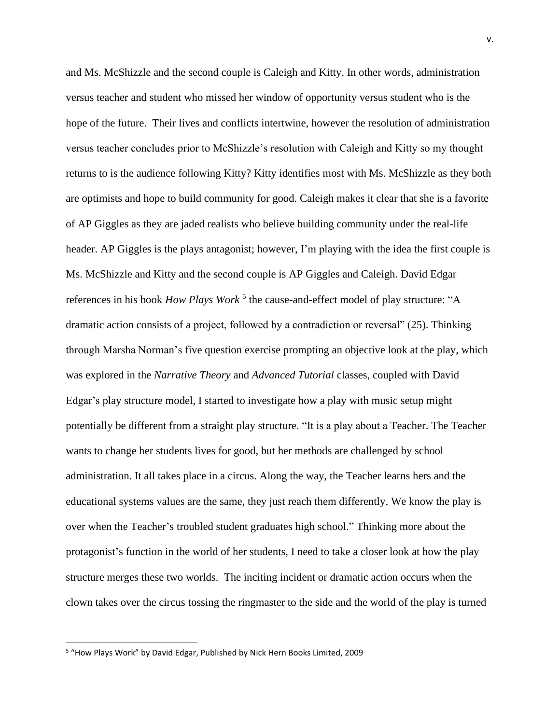and Ms. McShizzle and the second couple is Caleigh and Kitty. In other words, administration versus teacher and student who missed her window of opportunity versus student who is the hope of the future. Their lives and conflicts intertwine, however the resolution of administration versus teacher concludes prior to McShizzle's resolution with Caleigh and Kitty so my thought returns to is the audience following Kitty? Kitty identifies most with Ms. McShizzle as they both are optimists and hope to build community for good. Caleigh makes it clear that she is a favorite of AP Giggles as they are jaded realists who believe building community under the real-life header. AP Giggles is the plays antagonist; however, I'm playing with the idea the first couple is Ms. McShizzle and Kitty and the second couple is AP Giggles and Caleigh. David Edgar references in his book *How Plays Work*<sup>5</sup> the cause-and-effect model of play structure: "A dramatic action consists of a project, followed by a contradiction or reversal" (25). Thinking through Marsha Norman's five question exercise prompting an objective look at the play, which was explored in the *Narrative Theory* and *Advanced Tutorial* classes, coupled with David Edgar's play structure model, I started to investigate how a play with music setup might potentially be different from a straight play structure. "It is a play about a Teacher. The Teacher wants to change her students lives for good, but her methods are challenged by school administration. It all takes place in a circus. Along the way, the Teacher learns hers and the educational systems values are the same, they just reach them differently. We know the play is over when the Teacher's troubled student graduates high school." Thinking more about the protagonist's function in the world of her students, I need to take a closer look at how the play structure merges these two worlds. The inciting incident or dramatic action occurs when the clown takes over the circus tossing the ringmaster to the side and the world of the play is turned

<sup>&</sup>lt;sup>5</sup> "How Plays Work" by David Edgar, Published by Nick Hern Books Limited, 2009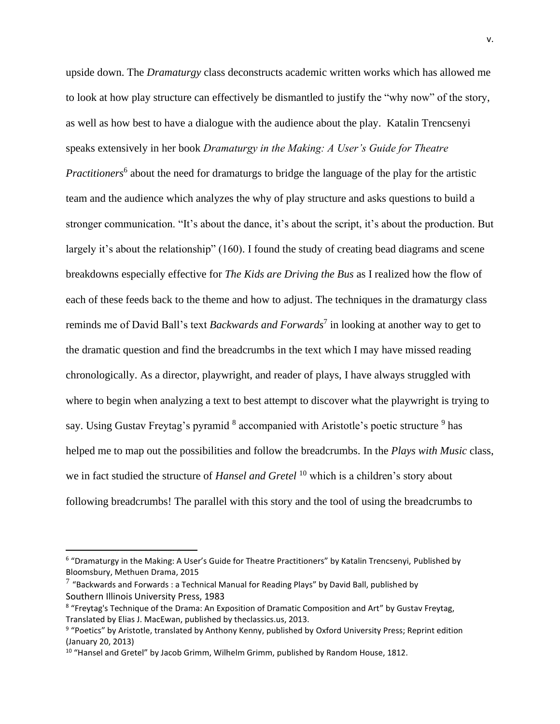upside down. The *Dramaturgy* class deconstructs academic written works which has allowed me to look at how play structure can effectively be dismantled to justify the "why now" of the story, as well as how best to have a dialogue with the audience about the play. Katalin Trencsenyi speaks extensively in her book *Dramaturgy in the Making: A User's Guide for Theatre*  Practitioners<sup>6</sup> about the need for dramaturgs to bridge the language of the play for the artistic team and the audience which analyzes the why of play structure and asks questions to build a stronger communication. "It's about the dance, it's about the script, it's about the production. But largely it's about the relationship" (160). I found the study of creating bead diagrams and scene breakdowns especially effective for *The Kids are Driving the Bus* as I realized how the flow of each of these feeds back to the theme and how to adjust. The techniques in the dramaturgy class reminds me of David Ball's text *Backwards and Forwards*<sup>7</sup> in looking at another way to get to the dramatic question and find the breadcrumbs in the text which I may have missed reading chronologically. As a director, playwright, and reader of plays, I have always struggled with where to begin when analyzing a text to best attempt to discover what the playwright is trying to say. Using Gustav Freytag's pyramid <sup>8</sup> accompanied with Aristotle's poetic structure <sup>9</sup> has helped me to map out the possibilities and follow the breadcrumbs. In the *Plays with Music* class, we in fact studied the structure of *Hansel and Gretel* <sup>10</sup> which is a children's story about following breadcrumbs! The parallel with this story and the tool of using the breadcrumbs to

<sup>&</sup>lt;sup>6</sup> "Dramaturgy in the Making: A User's Guide for Theatre Practitioners" by Katalin Trencsenyi, Published by Bloomsbury, Methuen Drama, 2015

 $^7$  "Backwards and Forwards : a Technical Manual for Reading Plays" by David Ball, published by Southern Illinois University Press, 1983

<sup>&</sup>lt;sup>8</sup> "Freytag's Technique of the Drama: An Exposition of Dramatic Composition and Art" by Gustav Freytag, Translated by Elias J. MacEwan, published by theclassics.us, 2013.

<sup>&</sup>lt;sup>9</sup> "Poetics" by Aristotle, translated by Anthony Kenny, published by Oxford University Press; Reprint edition (January 20, 2013)

<sup>&</sup>lt;sup>10</sup> "Hansel and Gretel" by Jacob Grimm, Wilhelm Grimm, published by Random House, 1812.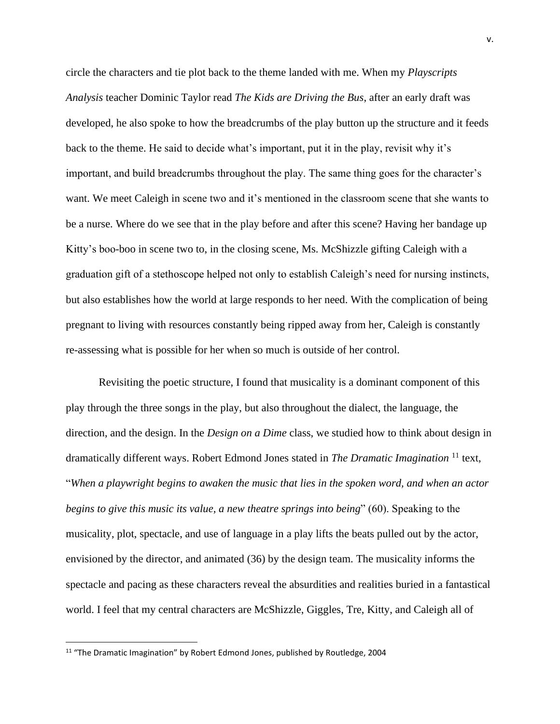circle the characters and tie plot back to the theme landed with me. When my *Playscripts Analysis* teacher Dominic Taylor read *The Kids are Driving the Bus*, after an early draft was developed, he also spoke to how the breadcrumbs of the play button up the structure and it feeds back to the theme. He said to decide what's important, put it in the play, revisit why it's important, and build breadcrumbs throughout the play. The same thing goes for the character's want. We meet Caleigh in scene two and it's mentioned in the classroom scene that she wants to be a nurse. Where do we see that in the play before and after this scene? Having her bandage up Kitty's boo-boo in scene two to, in the closing scene, Ms. McShizzle gifting Caleigh with a graduation gift of a stethoscope helped not only to establish Caleigh's need for nursing instincts, but also establishes how the world at large responds to her need. With the complication of being pregnant to living with resources constantly being ripped away from her, Caleigh is constantly re-assessing what is possible for her when so much is outside of her control.

Revisiting the poetic structure, I found that musicality is a dominant component of this play through the three songs in the play, but also throughout the dialect, the language, the direction, and the design. In the *Design on a Dime* class, we studied how to think about design in dramatically different ways. Robert Edmond Jones stated in *The Dramatic Imagination* <sup>11</sup> text, "*When a playwright begins to awaken the music that lies in the spoken word, and when an actor begins to give this music its value, a new theatre springs into being*" (60). Speaking to the musicality, plot, spectacle, and use of language in a play lifts the beats pulled out by the actor, envisioned by the director, and animated (36) by the design team. The musicality informs the spectacle and pacing as these characters reveal the absurdities and realities buried in a fantastical world. I feel that my central characters are McShizzle, Giggles, Tre, Kitty, and Caleigh all of

<sup>&</sup>lt;sup>11</sup> "The Dramatic Imagination" by Robert Edmond Jones, published by Routledge, 2004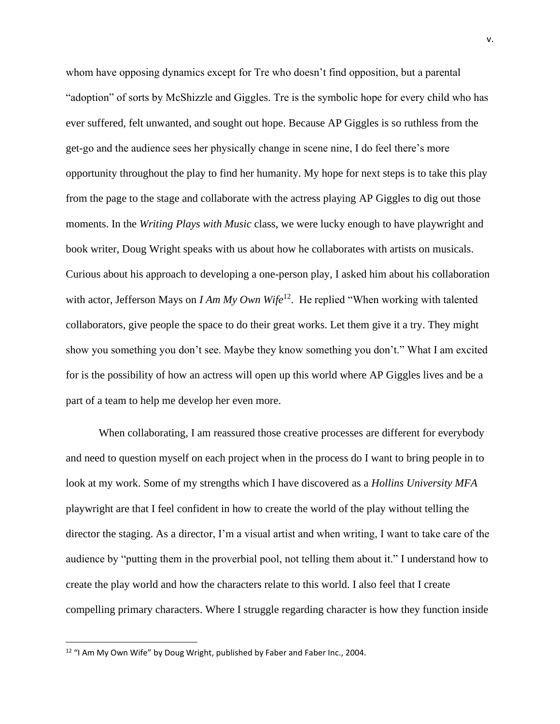whom have opposing dynamics except for Tre who doesn't find opposition, but a parental "adoption" of sorts by McShizzle and Giggles. Tre is the symbolic hope for every child who has ever suffered, felt unwanted, and sought out hope. Because AP Giggles is so ruthless from the get-go and the audience sees her physically change in scene nine, I do feel there's more opportunity throughout the play to find her humanity. My hope for next steps is to take this play from the page to the stage and collaborate with the actress playing AP Giggles to dig out those moments. In the *Writing Plays with Music* class, we were lucky enough to have playwright and book writer, Doug Wright speaks with us about how he collaborates with artists on musicals. Curious about his approach to developing a one-person play, I asked him about his collaboration with actor, Jefferson Mays on *I Am My Own Wife*<sup>12</sup>. He replied "When working with talented collaborators, give people the space to do their great works. Let them give it a try. They might show you something you don't see. Maybe they know something you don't." What I am excited for is the possibility of how an actress will open up this world where AP Giggles lives and be a part of a team to help me develop her even more.

When collaborating, I am reassured those creative processes are different for everybody and need to question myself on each project when in the process do I want to bring people in to look at my work. Some of my strengths which I have discovered as a *Hollins University MFA* playwright are that I feel confident in how to create the world of the play without telling the director the staging. As a director, I'm a visual artist and when writing, I want to take care of the audience by "putting them in the proverbial pool, not telling them about it." I understand how to create the play world and how the characters relate to this world. I also feel that I create compelling primary characters. Where I struggle regarding character is how they function inside

<sup>&</sup>lt;sup>12</sup> "I Am My Own Wife" by Doug Wright, published by Faber and Faber Inc., 2004.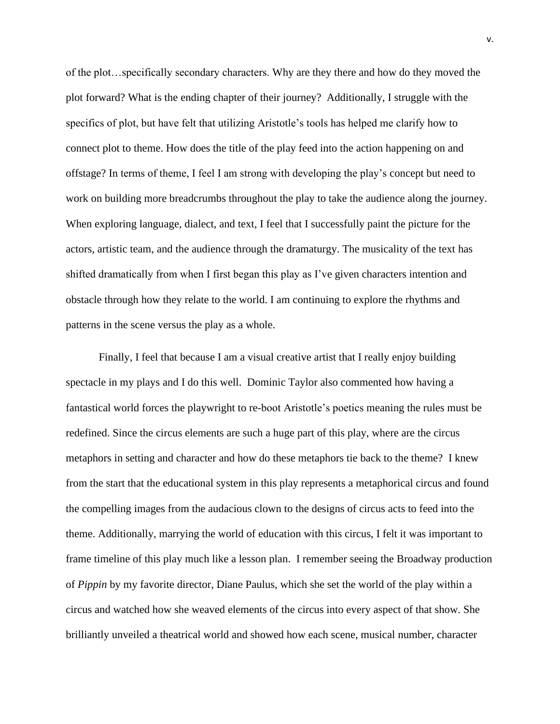of the plot…specifically secondary characters. Why are they there and how do they moved the plot forward? What is the ending chapter of their journey? Additionally, I struggle with the specifics of plot, but have felt that utilizing Aristotle's tools has helped me clarify how to connect plot to theme. How does the title of the play feed into the action happening on and offstage? In terms of theme, I feel I am strong with developing the play's concept but need to work on building more breadcrumbs throughout the play to take the audience along the journey. When exploring language, dialect, and text, I feel that I successfully paint the picture for the actors, artistic team, and the audience through the dramaturgy. The musicality of the text has shifted dramatically from when I first began this play as I've given characters intention and obstacle through how they relate to the world. I am continuing to explore the rhythms and patterns in the scene versus the play as a whole.

Finally, I feel that because I am a visual creative artist that I really enjoy building spectacle in my plays and I do this well. Dominic Taylor also commented how having a fantastical world forces the playwright to re-boot Aristotle's poetics meaning the rules must be redefined. Since the circus elements are such a huge part of this play, where are the circus metaphors in setting and character and how do these metaphors tie back to the theme? I knew from the start that the educational system in this play represents a metaphorical circus and found the compelling images from the audacious clown to the designs of circus acts to feed into the theme. Additionally, marrying the world of education with this circus, I felt it was important to frame timeline of this play much like a lesson plan. I remember seeing the Broadway production of *Pippin* by my favorite director, Diane Paulus, which she set the world of the play within a circus and watched how she weaved elements of the circus into every aspect of that show. She brilliantly unveiled a theatrical world and showed how each scene, musical number, character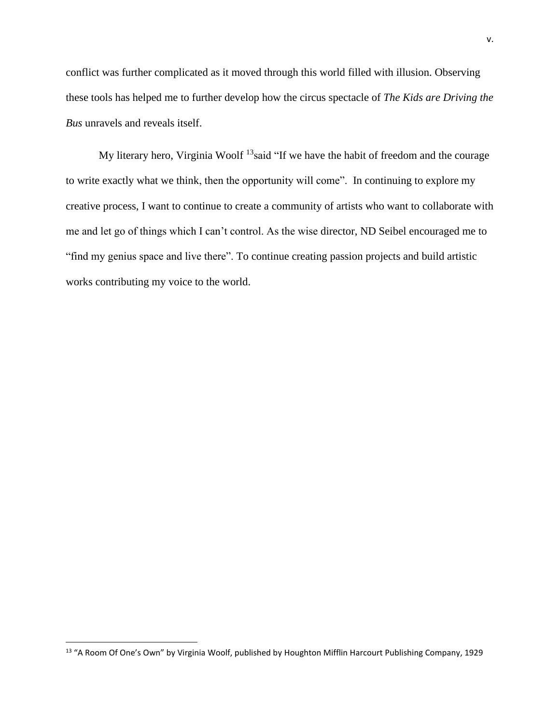conflict was further complicated as it moved through this world filled with illusion. Observing these tools has helped me to further develop how the circus spectacle of *The Kids are Driving the Bus* unravels and reveals itself.

My literary hero, Virginia Woolf  $^{13}$ said "If we have the habit of freedom and the courage to write exactly what we think, then the opportunity will come". In continuing to explore my creative process, I want to continue to create a community of artists who want to collaborate with me and let go of things which I can't control. As the wise director, ND Seibel encouraged me to "find my genius space and live there". To continue creating passion projects and build artistic works contributing my voice to the world.

<sup>&</sup>lt;sup>13</sup> "A Room Of One's Own" by Virginia Woolf, published by Houghton Mifflin Harcourt Publishing Company, 1929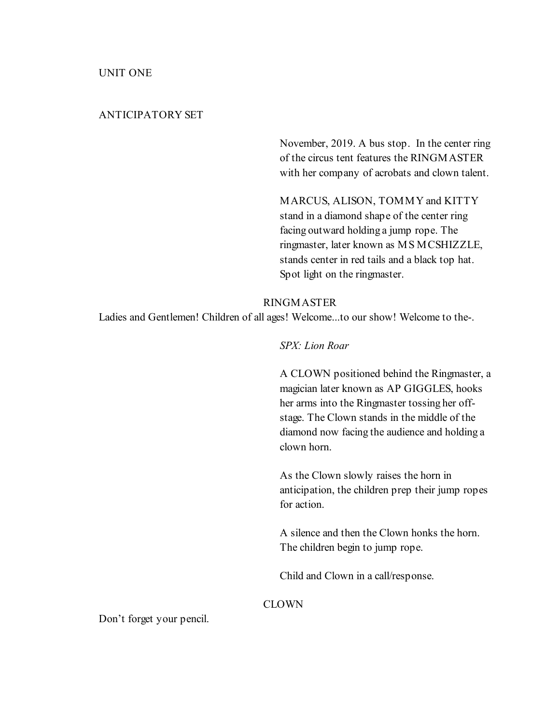#### ANTICIPATORY SET

November, 2019. A bus stop. In the center ring of the circus tent features the RINGMASTER with her company of acrobats and clown talent.

MARCUS, ALISON, TOMMY and KITTY stand in a diamond shape of the center ring facing outward holding a jump rope. The ringmaster, later known as MS MCSHIZZLE, stands center in red tails and a black top hat. Spot light on the ringmaster.

#### RINGMASTER

Ladies and Gentlemen! Children of all ages! Welcome...to our show! Welcome to the-.

#### SPX: Lion Roar

A CLOWN positioned behind the Ringmaster, a magician later known as AP GIGGLES, hooks her arms into the Ringmaster tossing her offstage. The Clown stands in the middle of the diamond now facing the audience and holding a clown horn.

As the Clown slowly raises the horn in anticipation, the children prep their jump ropes for action.

A silence and then the Clown honks the horn. The children begin to jump rope.

Child and Clown in a call/response.

#### CLOWN

Don't forget your pencil.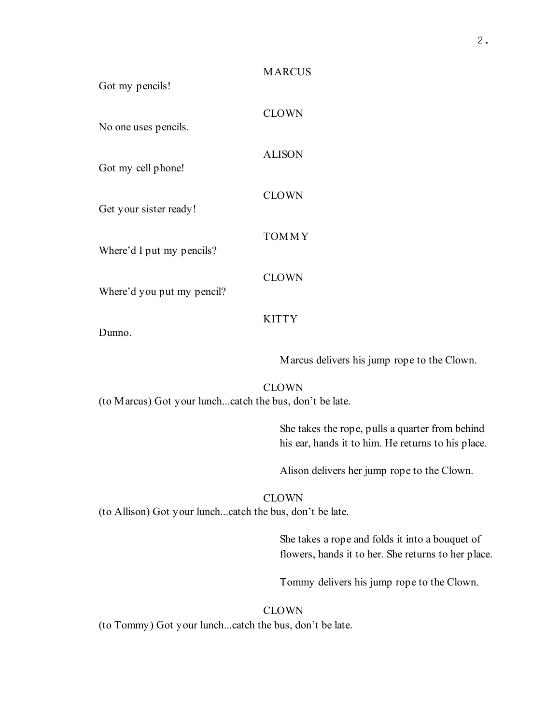| Got my pencils!            | <b>MARCUS</b> |
|----------------------------|---------------|
| No one uses pencils.       | <b>CLOWN</b>  |
| Got my cell phone!         | <b>ALISON</b> |
| Get your sister ready!     | <b>CLOWN</b>  |
|                            | <b>TOMMY</b>  |
| Where'd I put my pencils?  | <b>CLOWN</b>  |
| Where'd you put my pencil? | <b>KITTY</b>  |
| Dunno.                     |               |

Marcus delivers his jump rope to the Clown.

**CLOWN** (to Marcus) Got your lunch...catch the bus, don't be late.

> She takes the rope, pulls a quarter from behind his ear, hands it to him. He returns to his place.

Alison delivers her jump rope to the Clown.

## CLOWN

(to Allison) Got your lunch...catch the bus, don't be late.

She takes a rope and folds it into a bouquet of flowers, hands it to her. She returns to her place.

Tommy delivers his jump rope to the Clown.

#### CLOWN

(to Tommy) Got your lunch...catch the bus, don't be late.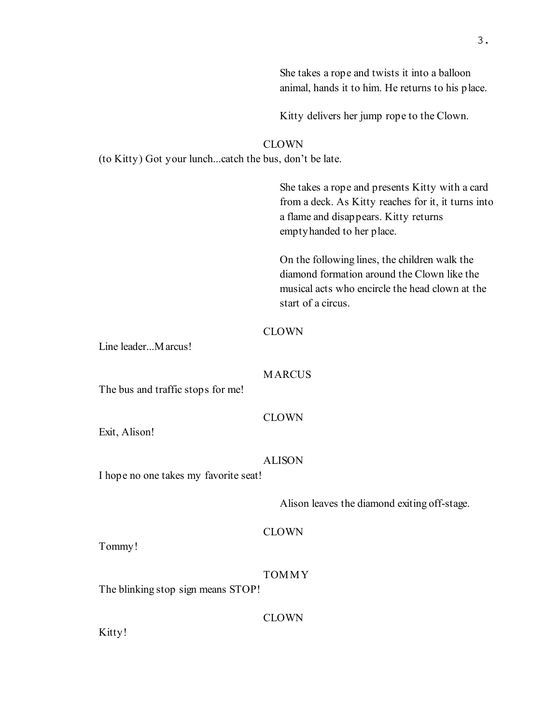|                                                                        | She takes a rope and twists it into a balloon<br>animal, hands it to him. He returns to his place.                                                                            |  |
|------------------------------------------------------------------------|-------------------------------------------------------------------------------------------------------------------------------------------------------------------------------|--|
|                                                                        | Kitty delivers her jump rope to the Clown.                                                                                                                                    |  |
| <b>CLOWN</b><br>(to Kitty) Got your lunchcatch the bus, don't be late. |                                                                                                                                                                               |  |
|                                                                        | She takes a rope and presents Kitty with a card<br>from a deck. As Kitty reaches for it, it turns into<br>a flame and disappears. Kitty returns<br>empty handed to her place. |  |
|                                                                        | On the following lines, the children walk the<br>diamond formation around the Clown like the<br>musical acts who encircle the head clown at the<br>start of a circus.         |  |
| Line leaderMarcus!                                                     | <b>CLOWN</b>                                                                                                                                                                  |  |
| <b>MARCUS</b><br>The bus and traffic stops for me!                     |                                                                                                                                                                               |  |
| Exit, Alison!                                                          | <b>CLOWN</b>                                                                                                                                                                  |  |
| <b>ALISON</b><br>I hope no one takes my favorite seat!                 |                                                                                                                                                                               |  |
|                                                                        | Alison leaves the diamond exiting off-stage.                                                                                                                                  |  |
| Tommy!                                                                 | <b>CLOWN</b>                                                                                                                                                                  |  |
| The blinking stop sign means STOP!                                     | <b>TOMMY</b>                                                                                                                                                                  |  |
| Kitty!                                                                 | <b>CLOWN</b>                                                                                                                                                                  |  |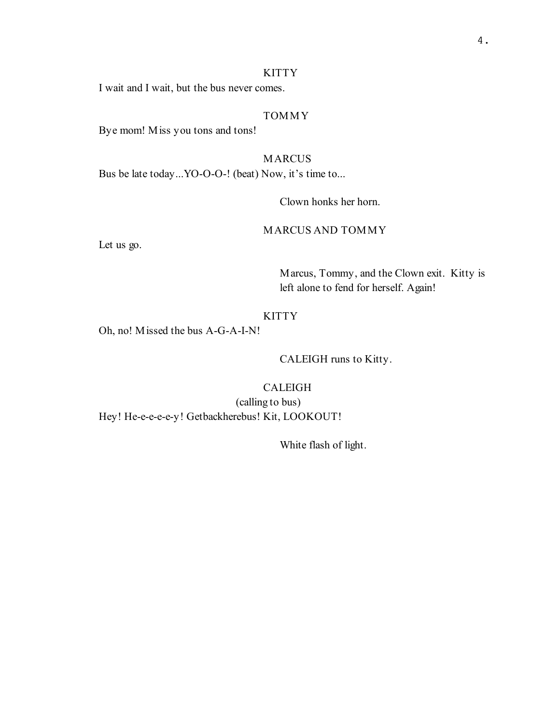#### KITTY

I wait and I wait, but the bus never comes.

## TOMMY

Bye mom! Miss you tons and tons!

## MARCUS

Bus be late today...YO-O-O-! (beat) Now, it's time to...

Clown honks her horn.

#### MARCUS AND TOMMY

Let us go.

Marcus, Tommy, and the Clown exit. Kitty is left alone to fend for herself. Again!

#### **KITTY**

Oh, no! Missed the bus A-G-A-I-N!

CALEIGH runs to Kitty.

#### CALEIGH

(calling to bus) Hey! He-e-e-e-e-y! Getbackherebus! Kit, LOOKOUT!

White flash of light.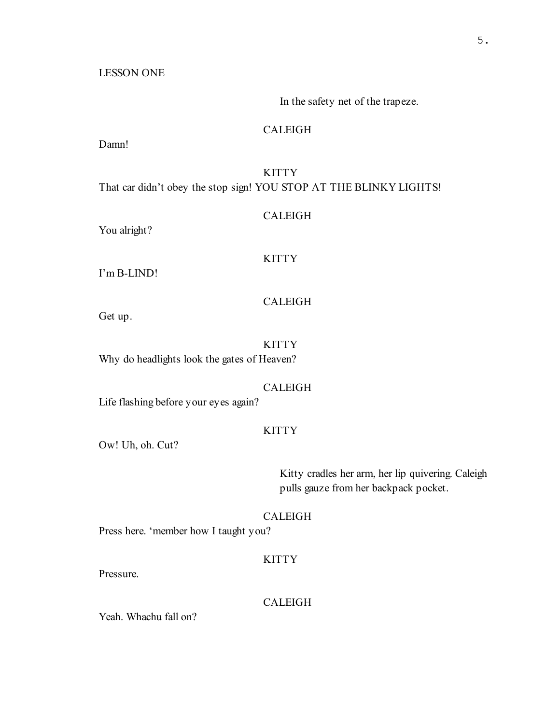LESSON ONE

In the safety net of the trapeze.

## CALEIGH

Damn!

# **KITTY**

That car didn't obey the stop sign! YOU STOP AT THE BLINKY LIGHTS!

#### CALEIGH

You alright?

## **KITTY**

I'm B-LIND!

## CALEIGH

Get up.

KITTY Why do headlights look the gates of Heaven?

## CALEIGH

Life flashing before your eyes again?

## **KITTY**

Ow! Uh, oh. Cut?

Kitty cradles her arm, her lip quivering. Caleigh pulls gauze from her backpack pocket.

## CALEIGH

Press here. 'member how I taught you?

## **KITTY**

Pressure.

## CALEIGH

Yeah. Whachu fall on?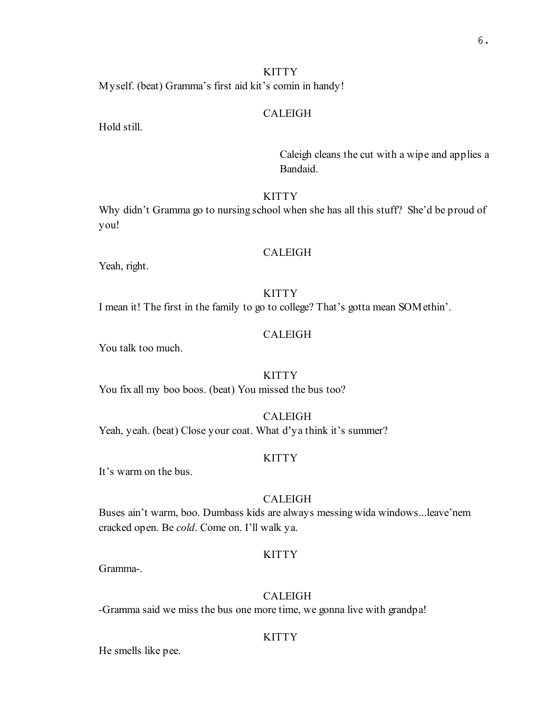# **KITTY**

Myself. (beat) Gramma's first aid kit's comin in handy!

#### CALEIGH

Hold still.

Caleigh cleans the cut with a wipe and applies a Bandaid.

## **KITTY**

Why didn't Gramma go to nursing school when she has all this stuff? She'd be proud of you!

#### CALEIGH

Yeah, right.

## **KITTY**

I mean it! The first in the family to go to college? That's gotta mean SOMethin'.

## CALEIGH

You talk too much.

#### KITTY

You fix all my boo boos. (beat) You missed the bus too?

#### CALEIGH

Yeah, yeah. (beat) Close your coat. What d'ya think it's summer?

## **KITTY**

It's warm on the bus.

#### CALEIGH

Buses ain't warm, boo. Dumbass kids are always messing wida windows...leave'nem cracked open. Be cold. Come on. I'll walk ya.

#### **KITTY**

Gramma-.

#### CALEIGH

-Gramma said we miss the bus one more time, we gonna live with grandpa!

#### **KITTY**

He smells like pee.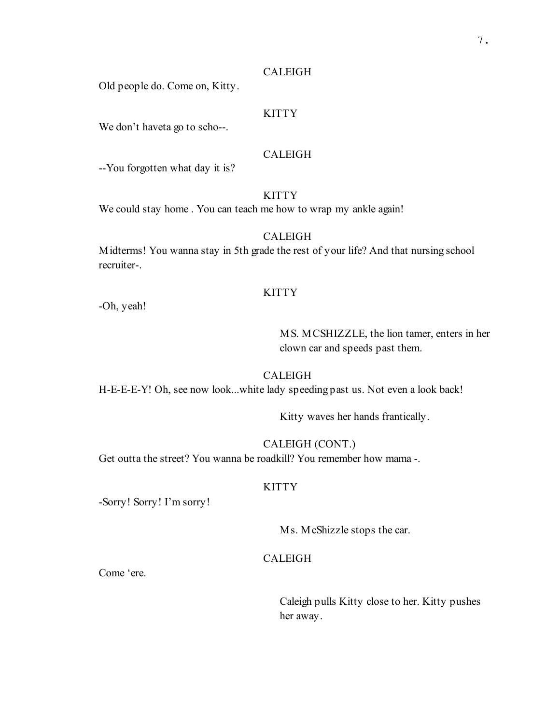Old people do. Come on, Kitty.

## **KITTY**

We don't haveta go to scho--.

#### CALEIGH

--You forgotten what day it is?

## **KITTY**

We could stay home . You can teach me how to wrap my ankle again!

## CALEIGH

Midterms! You wanna stay in 5th grade the rest of your life? And that nursing school recruiter-.

## **KITTY**

-Oh, yeah!

# MS. MCSHIZZLE, the lion tamer, enters in her clown car and speeds past them.

#### CALEIGH

H-E-E-E-Y! Oh, see now look...white lady speeding past us. Not even a look back!

Kitty waves her hands frantically.

## CALEIGH (CONT.)

Get outta the street? You wanna be roadkill? You remember how mama -.

#### KITTY

-Sorry! Sorry! I'm sorry!

Ms. McShizzle stops the car.

#### CALEIGH

Come 'ere.

Caleigh pulls Kitty close to her. Kitty pushes her away.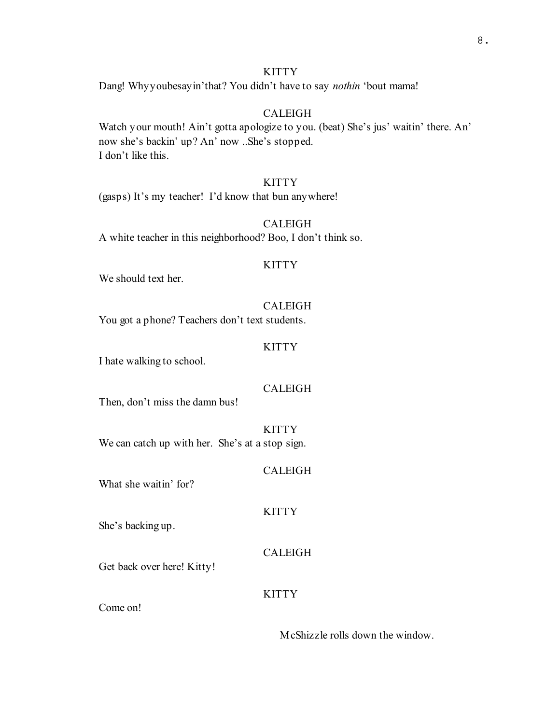# **KITTY**

Dang! Whyyoubesay in'that? You didn't have to say *nothin* 'bout mama!

# CALEIGH

Watch your mouth! Ain't gotta apologize to you. (beat) She's jus' waitin' there. An' now she's backin' up? An' now ..She's stopped. I don't like this.

## **KITTY**

(gasps) It's my teacher! I'd know that bun anywhere!

#### CALEIGH

A white teacher in this neighborhood? Boo, I don't think so.

#### KITTY

We should text her.

#### CALEIGH

You got a phone? Teachers don't text students.

#### KITTY

I hate walking to school.

#### CALEIGH

Then, don't miss the damn bus!

**KITTY** We can catch up with her. She's at a stop sign.

#### CALEIGH

KITTY

What she waitin' for?

She's backing up.

## CALEIGH

Get back over here! Kitty!

## **KITTY**

Come on!

McShizzle rolls down the window.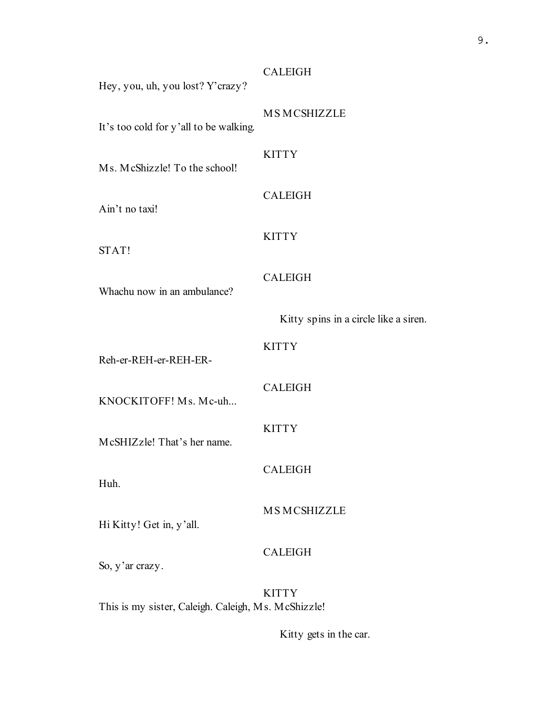MS MCSHIZZLE

Hey, you, uh, you lost? Y'crazy?

It's too cold for y'all to be walking.

## **KITTY**

CALEIGH

Ms. McShizzle! To the school!

Ain't no taxi!

#### **KITTY**

STAT!

# CALEIGH

Whachu now in an ambulance?

Kitty spins in a circle like a siren.

**KITTY** 

Reh-er-REH-er-REH-ER-

KNOCKITOFF! Ms. Mc-uh...

#### **KITTY**

CALEIGH

CALEIGH

McSHIZzle! That's her name.

Huh.

MS MCSHIZZLE

Hi Kitty! Get in, y'all.

## CALEIGH

So, y'ar crazy.

**KITTY** This is my sister, Caleigh. Caleigh, Ms. McShizzle!

Kitty gets in the car.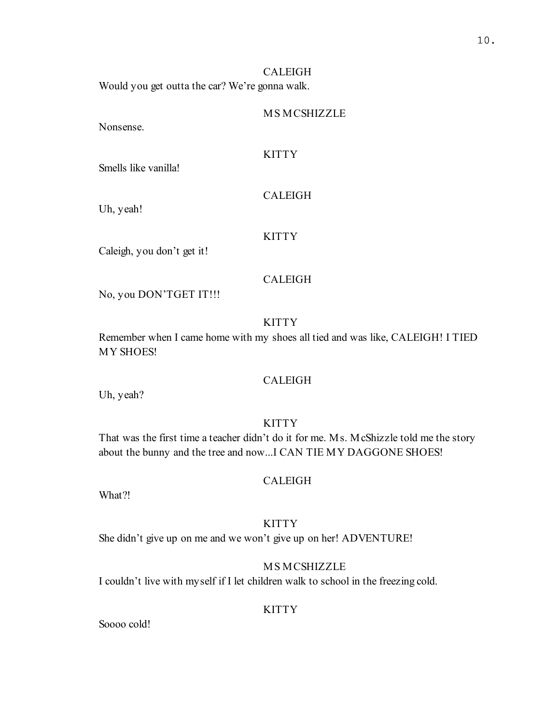Would you get outta the car? We're gonna walk.

#### MS MCSHIZZLE

Nonsense.

#### **KITTY**

Smells like vanilla!

Uh, yeah!

# **KITTY**

CALEIGH

Caleigh, you don't get it!

#### CALEIGH

No, you DON'TGET IT!!!

#### **KITTY**

Remember when I came home with my shoes all tied and was like, CALEIGH! I TIED MY SHOES!

#### CALEIGH

Uh, yeah?

## **KITTY**

That was the first time a teacher didn't do it for me. Ms. McShizzle told me the story about the bunny and the tree and now...I CAN TIE MY DAGGONE SHOES!

#### CALEIGH

What?!

#### **KITTY**

She didn't give up on me and we won't give up on her! ADVENTURE!

# MS MCSHIZZLE

I couldn't live with myself if I let children walk to school in the freezing cold.

#### **KITTY**

Soooo cold!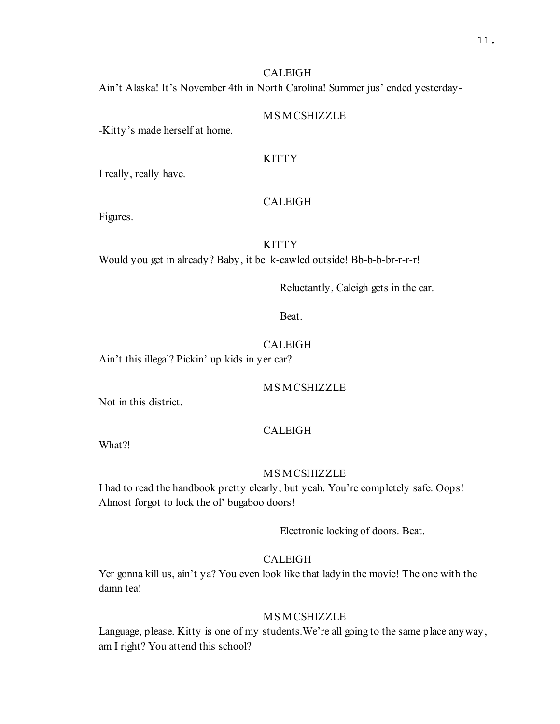Ain't Alaska! It's November 4th in North Carolina! Summer jus' ended yesterday-

## MS MCSHIZZLE

-Kitty's made herself at home.

## **KITTY**

I really, really have.

#### CALEIGH

Figures.

## **KITTY**

Would you get in already? Baby, it be k-cawled outside! Bb-b-b-br-r-r-r!

Reluctantly, Caleigh gets in the car.

Beat.

#### CALEIGH

Ain't this illegal? Pickin' up kids in yer car?

## MS MCSHIZZLE

Not in this district.

#### CALEIGH

What?!

#### MS MCSHIZZLE

I had to read the handbook pretty clearly, but yeah. You're completely safe. Oops! Almost forgot to lock the ol' bugaboo doors!

Electronic locking of doors. Beat.

## CALEIGH

Yer gonna kill us, ain't ya? You even look like that ladyin the movie! The one with the damn tea!

#### MS MCSHIZZLE

Language, please. Kitty is one of my students.We're all going to the same place anyway, am I right? You attend this school?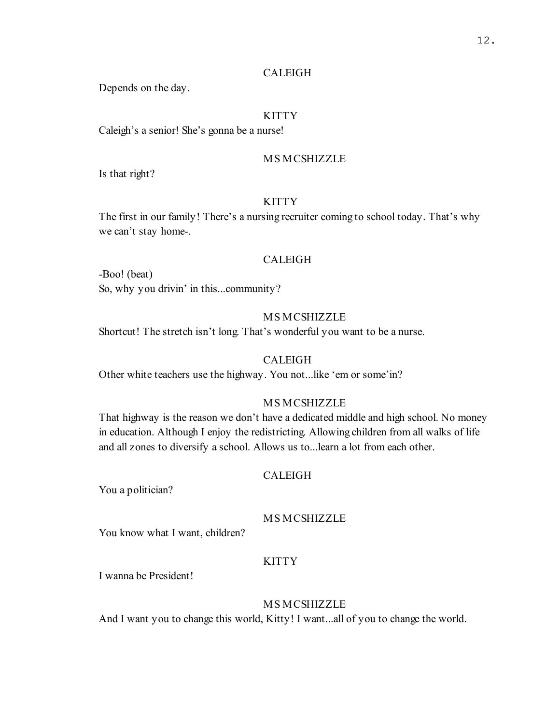Depends on the day.

#### **KITTY**

Caleigh's a senior! She's gonna be a nurse!

#### MS MCSHIZZLE

Is that right?

## **KITTY**

The first in our family! There's a nursing recruiter coming to school today. That's why we can't stay home-.

#### CALEIGH

-Boo! (beat) So, why you drivin' in this...community?

# MS MCSHIZZLE

Shortcut! The stretch isn't long. That's wonderful you want to be a nurse.

#### **CALEIGH**

Other white teachers use the highway. You not...like 'em or some'in?

## MS MCSHIZZLE

That highway is the reason we don't have a dedicated middle and high school. No money in education. Although I enjoy the redistricting. Allowing children from all walks of life and all zones to diversify a school. Allows us to...learn a lot from each other.

## CALEIGH

You a politician?

## MS MCSHIZZLE

You know what I want, children?

## KITTY

I wanna be President!

#### MS MCSHIZZLE

And I want you to change this world, Kitty! I want...all of you to change the world.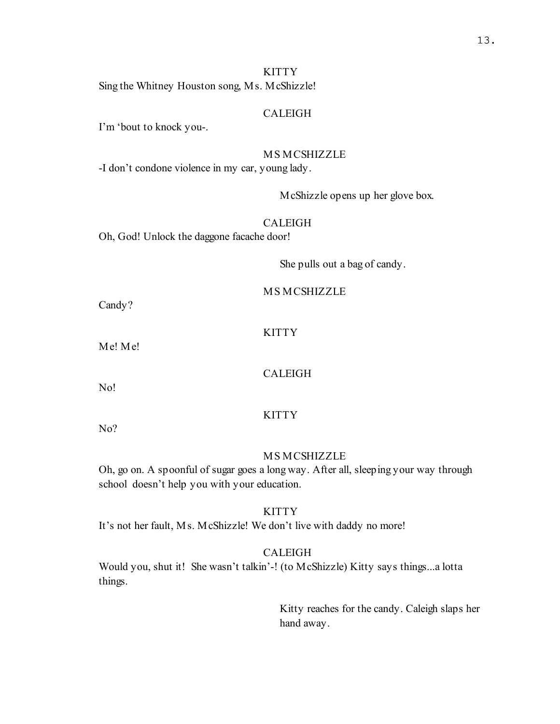#### **KITTY**

Sing the Whitney Houston song, Ms. McShizzle!

#### CALEIGH

I'm 'bout to knock you-.

#### MS MCSHIZZLE

-I don't condone violence in my car, young lady.

McShizzle opens up her glove box.

## CALEIGH

Oh, God! Unlock the daggone facache door!

She pulls out a bag of candy.

MS MCSHIZZLE

Candy?

## **KITTY**

Me! Me!

#### CALEIGH

No!

## **KITTY**

No?

#### MS MCSHIZZLE

Oh, go on. A spoonful of sugar goes a long way. After all, sleeping your way through school doesn't help you with your education.

#### KITTY

It's not her fault, Ms. McShizzle! We don't live with daddy no more!

#### CALEIGH

Would you, shut it! She wasn't talkin'-! (to McShizzle) Kitty says things...a lotta things.

> Kitty reaches for the candy. Caleigh slaps her hand away.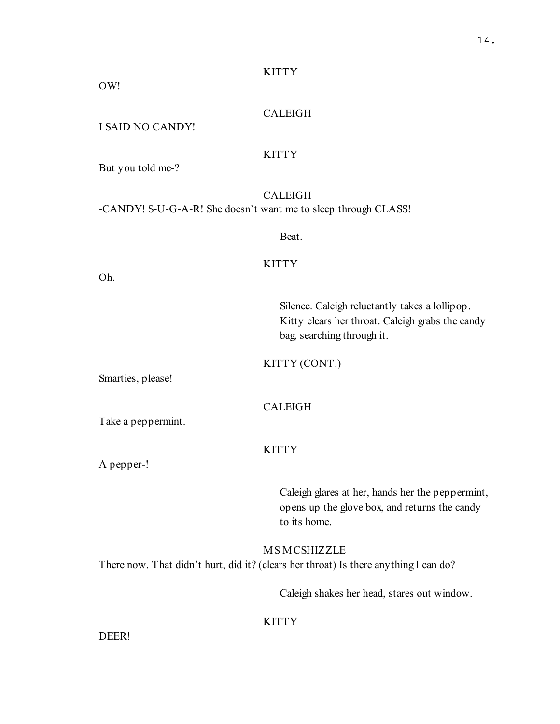## **KITTY**

## OW!

## CALEIGH

#### I SAID NO CANDY!

#### **KITTY**

But you told me-?

#### CALEIGH

-CANDY! S-U-G-A-R! She doesn't want me to sleep through CLASS!

Beat.

#### **KITTY**

Oh.

Silence. Caleigh reluctantly takes a lollipop. Kitty clears her throat. Caleigh grabs the candy bag, searching through it.

KITTY (CONT.)

Smarties, please!

#### CALEIGH

Take a peppermint.

# **KITTY**

A pepper-!

Caleigh glares at her, hands her the peppermint, opens up the glove box, and returns the candy to its home.

MS MCSHIZZLE There now. That didn't hurt, did it? (clears her throat) Is there anything I can do?

Caleigh shakes her head, stares out window.

## **KITTY**

DEER!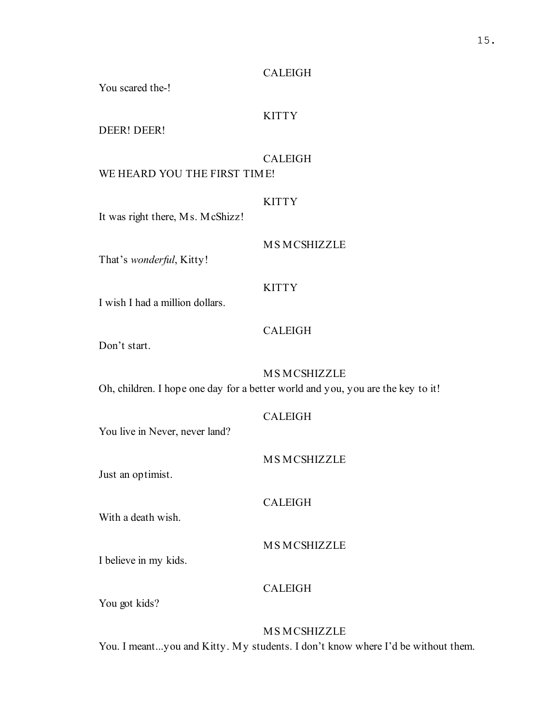You scared the-!

# **KITTY**

DEER! DEER!

# CALEIGH

# WE HEARD YOU THE FIRST TIME!

## **KITTY**

It was right there, Ms. McShizz!

## MS MCSHIZZLE

That's wonderful, Kitty!

## KITTY

I wish I had a million dollars.

## CALEIGH

Don't start.

# MS MCSHIZZLE

Oh, children. I hope one day for a better world and you, you are the key to it!

## CALEIGH

You live in Never, never land?

## MS MCSHIZZLE

Just an optimist.

## CALEIGH

With a death wish.

MS MCSHIZZLE

I believe in my kids.

# CALEIGH

You got kids?

# MS MCSHIZZLE You. I meant...you and Kitty. My students. I don't know where I'd be without them.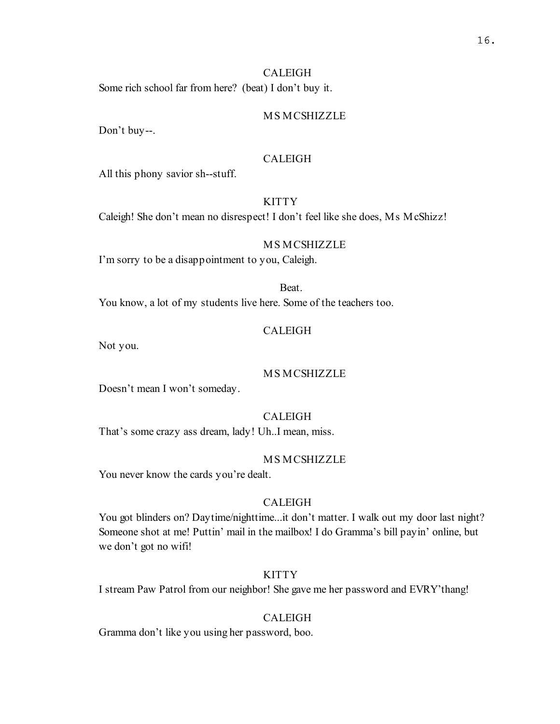Some rich school far from here? (beat) I don't buy it.

## MS MCSHIZZLE

Don't buy--.

## CALEIGH

All this phony savior sh--stuff.

# **KITTY**

Caleigh! She don't mean no disrespect! I don't feel like she does, Ms McShizz!

## MS MCSHIZZLE

I'm sorry to be a disappointment to you, Caleigh.

## Beat.

You know, a lot of my students live here. Some of the teachers too.

## CALEIGH

Not you.

## MS MCSHIZZLE

Doesn't mean I won't someday.

## CALEIGH

That's some crazy ass dream, lady! Uh..I mean, miss.

## MS MCSHIZZLE

You never know the cards you're dealt.

## CALEIGH

You got blinders on? Daytime/nighttime...it don't matter. I walk out my door last night? Someone shot at me! Puttin' mail in the mailbox! I do Gramma's bill payin' online, but we don't got no wifi!

## KITTY

I stream Paw Patrol from our neighbor! She gave me her password and EVRY'thang!

## CALEIGH

Gramma don't like you using her password, boo.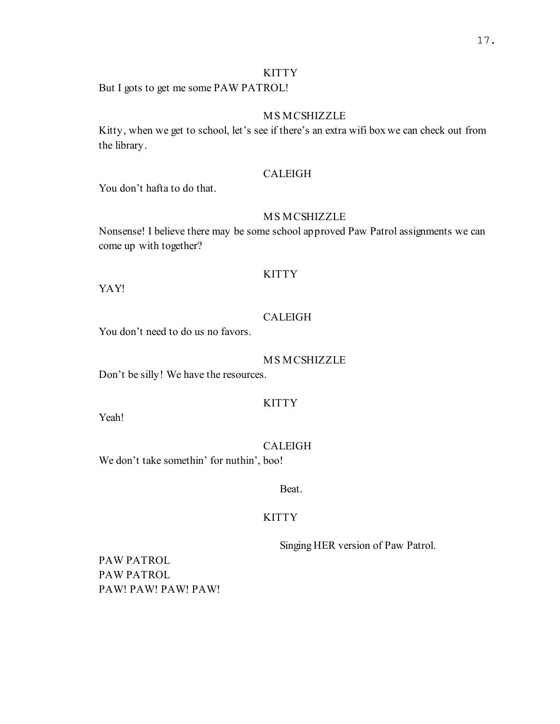#### KITTY

But I gots to get me some PAW PATROL!

# MS MCSHIZZLE

Kitty, when we get to school, let's see if there's an extra wifi box we can check out from the library.

## CALEIGH

You don't hafta to do that.

#### MS MCSHIZZLE

Nonsense! I believe there may be some school approved Paw Patrol assignments we can come up with together?

#### **KITTY**

YAY!

# CALEIGH

You don't need to do us no favors.

#### MS MCSHIZZLE

Don't be silly! We have the resources.

## **KITTY**

Yeah!

#### CALEIGH

We don't take somethin' for nuthin', boo!

#### Beat.

#### KITTY

Singing HER version of Paw Patrol.

PAW PATROL PAW PATROL PAW! PAW! PAW! PAW!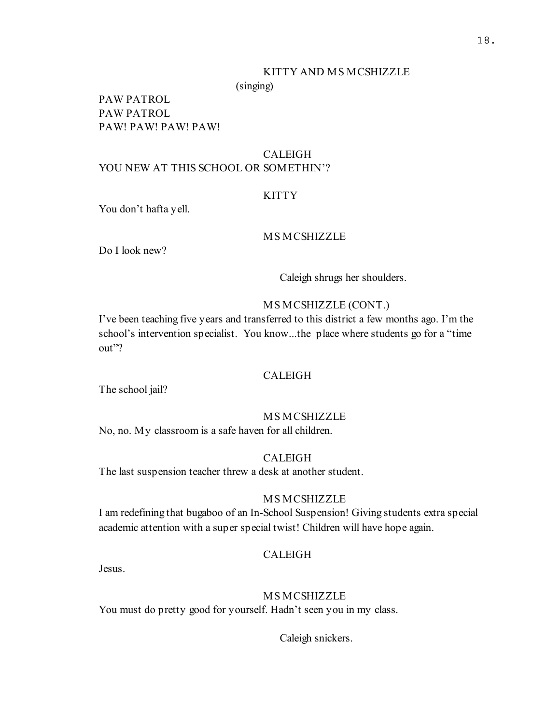#### KITTY AND MS MCSHIZZLE

(singing)

PAW PATROL PAW PATROL PAW! PAW! PAW! PAW!

## CALEIGH YOU NEW AT THIS SCHOOL OR SOMETHIN'?

#### **KITTY**

You don't hafta yell.

## MS MCSHIZZLE

Do I look new?

Caleigh shrugs her shoulders.

#### MS MCSHIZZLE (CONT.)

I've been teaching five years and transferred to this district a few months ago. I'm the school's intervention specialist. You know...the place where students go for a "time out"?

#### CALEIGH

The school jail?

#### MS MCSHIZZLE

No, no. My classroom is a safe haven for all children.

## CALEIGH

The last suspension teacher threw a desk at another student.

#### MS MCSHIZZLE

I am redefining that bugaboo of an In-School Suspension! Giving students extra special academic attention with a super special twist! Children will have hope again.

#### CALEIGH

Jesus.

#### MS MCSHIZZLE

You must do pretty good for yourself. Hadn't seen you in my class.

Caleigh snickers.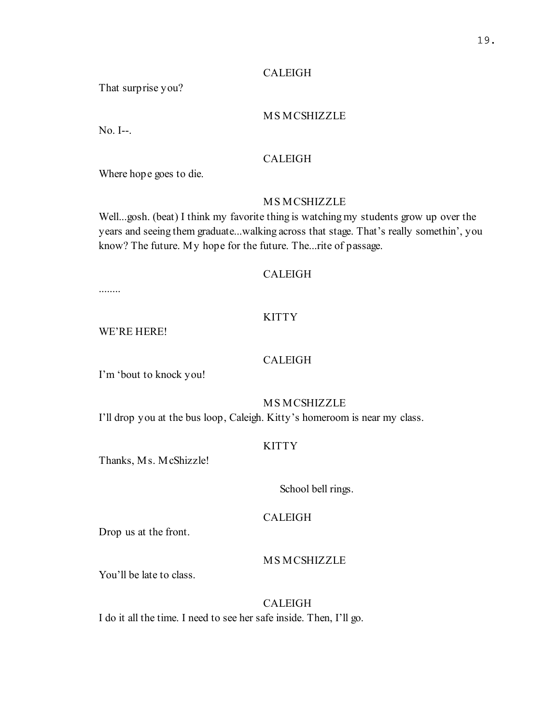### CALEIGH

That surprise you?

# MS MCSHIZZLE

No. I--.

# CALEIGH

Where hope goes to die.

# MS MCSHIZZLE

Well...gosh. (beat) I think my favorite thing is watching my students grow up over the years and seeing them graduate...walking across that stage. That's really somethin', you know? The future. My hope for the future. The...rite of passage.

# CALEIGH

........

# KITTY

WE'RE HERE!

# CALEIGH

I'm 'bout to knock you!

# MS MCSHIZZLE

I'll drop you at the bus loop, Caleigh. Kitty's homeroom is near my class.

### KITTY

Thanks, Ms. McShizzle!

#### School bell rings.

# CALEIGH

Drop us at the front.

# MS MCSHIZZLE

You'll be late to class.

# CALEIGH

I do it all the time. I need to see her safe inside. Then, I'll go.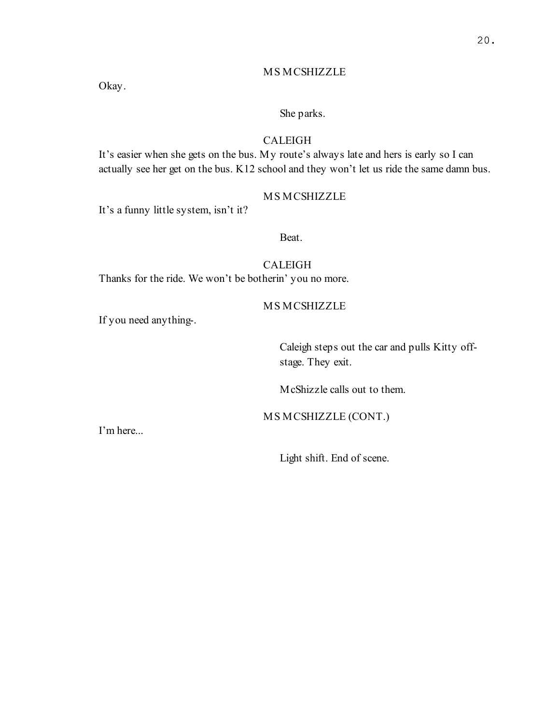Okay.

### She parks.

#### CALEIGH

It's easier when she gets on the bus. My route's always late and hers is early so I can actually see her get on the bus. K12 school and they won't let us ride the same damn bus.

# MS MCSHIZZLE

It's a funny little system, isn't it?

Beat.

# CALEIGH

Thanks for the ride. We won't be botherin' you no more.

#### MS MCSHIZZLE

If you need anything-.

Caleigh steps out the car and pulls Kitty offstage. They exit.

McShizzle calls out to them.

MS MCSHIZZLE (CONT.)

I'm here...

Light shift. End of scene.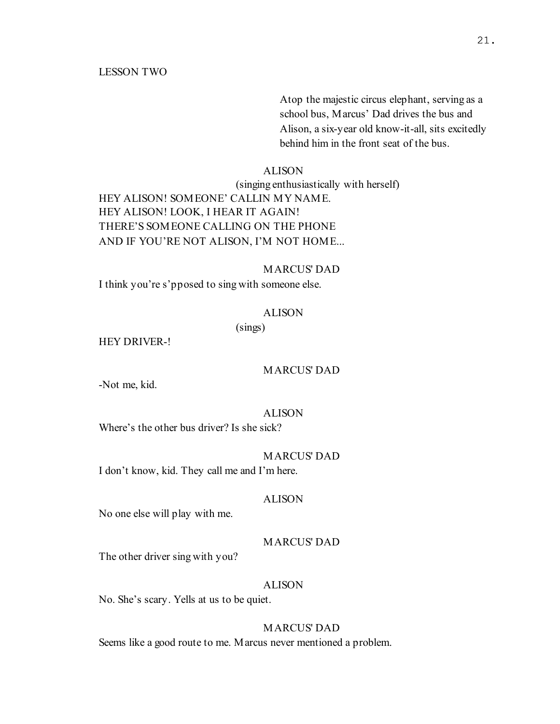Atop the majestic circus elephant, serving as a school bus, Marcus' Dad drives the bus and Alison, a six-year old know-it-all, sits excitedly behind him in the front seat of the bus.

#### ALISON

(singing enthusiastically with herself) HEY ALISON! SOMEONE' CALLIN MY NAME. HEY ALISON! LOOK, I HEAR IT AGAIN! THERE'S SOMEONE CALLING ON THE PHONE AND IF YOU'RE NOT ALISON, I'M NOT HOME...

#### MARCUS' DAD

I think you're s'pposed to sing with someone else.

#### ALISON

(sings)

HEY DRIVER-!

#### MARCUS' DAD

-Not me, kid.

#### ALISON

Where's the other bus driver? Is she sick?

#### MARCUS' DAD

I don't know, kid. They call me and I'm here.

#### ALISON

No one else will play with me.

#### MARCUS' DAD

The other driver sing with you?

### ALISON

No. She's scary. Yells at us to be quiet.

# MARCUS' DAD

Seems like a good route to me. Marcus never mentioned a problem.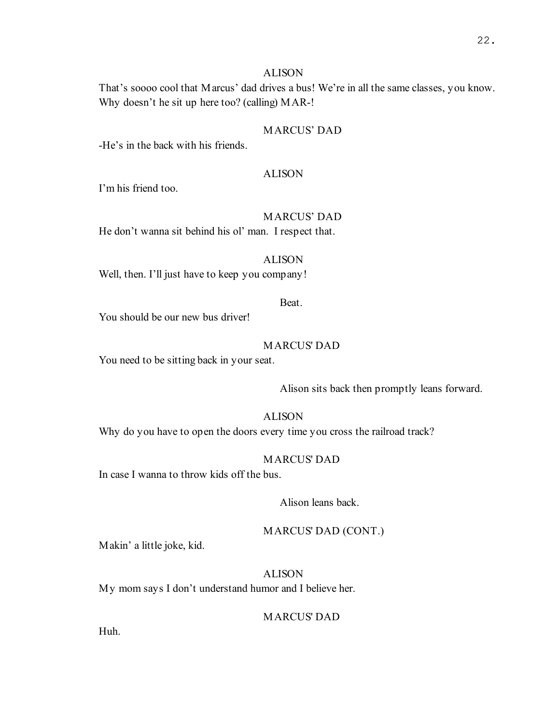#### ALISON

That's soooo cool that Marcus' dad drives a bus! We're in all the same classes, you know. Why doesn't he sit up here too? (calling) MAR-!

# MARCUS' DAD

-He's in the back with his friends.

### ALISON

I'm his friend too.

# MARCUS' DAD

He don't wanna sit behind his ol' man. I respect that.

#### ALISON

Well, then. I'll just have to keep you company!

### Beat.

You should be our new bus driver!

#### MARCUS' DAD

You need to be sitting back in your seat.

Alison sits back then promptly leans forward.

#### ALISON

Why do you have to open the doors every time you cross the railroad track?

# MARCUS' DAD

In case I wanna to throw kids off the bus.

### Alison leans back.

#### MARCUS' DAD (CONT.)

Makin' a little joke, kid.

# ALISON

My mom says I don't understand humor and I believe her.

### MARCUS' DAD

Huh.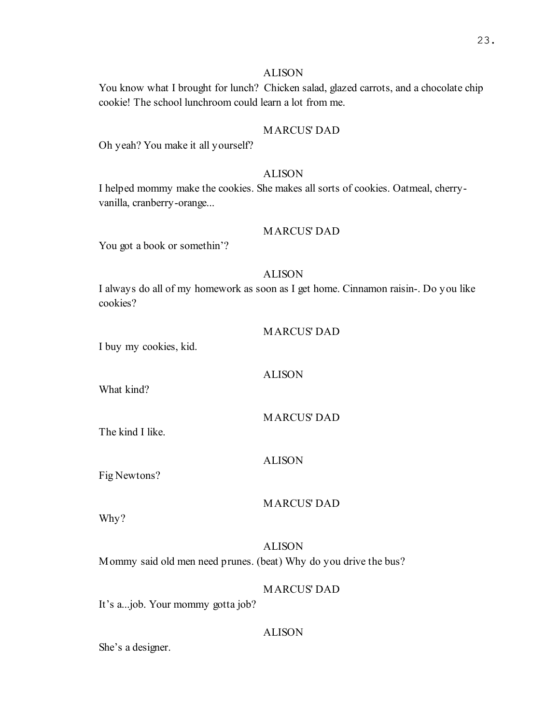#### ALISON

You know what I brought for lunch? Chicken salad, glazed carrots, and a chocolate chip cookie! The school lunchroom could learn a lot from me.

# MARCUS' DAD

Oh yeah? You make it all yourself?

# ALISON

I helped mommy make the cookies. She makes all sorts of cookies. Oatmeal, cherryvanilla, cranberry-orange...

### MARCUS' DAD

You got a book or somethin'?

# ALISON

I always do all of my homework as soon as I get home. Cinnamon raisin-. Do you like cookies?

I buy my cookies, kid.

What kind?

MARCUS' DAD

The kind I like.

#### ALISON

ALISON

Fig Newtons?

### MARCUS' DAD

Why?

# ALISON Mommy said old men need prunes. (beat) Why do you drive the bus?

MARCUS' DAD

It's a...job. Your mommy gotta job?

#### ALISON

She's a designer.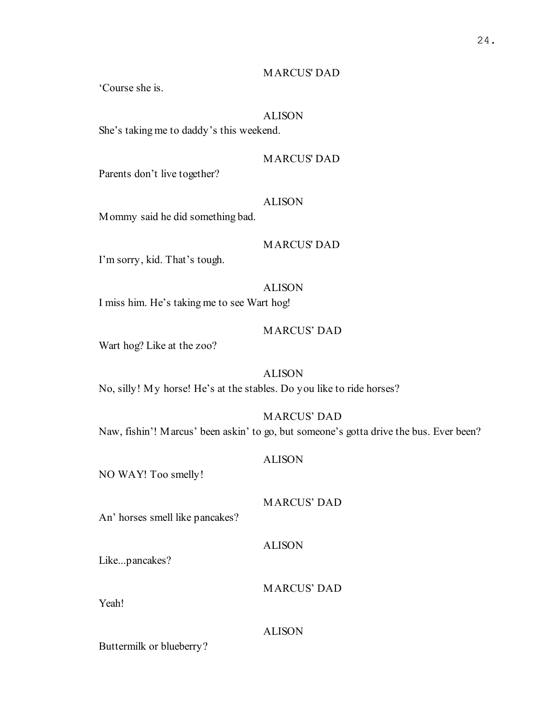# MARCUS' DAD

'Course she is.

# ALISON

She's taking me to daddy's this weekend.

# MARCUS' DAD

Parents don't live together?

### ALISON

Mommy said he did something bad.

#### MARCUS' DAD

I'm sorry, kid. That's tough.

# ALISON

I miss him. He's taking me to see Wart hog!

### MARCUS' DAD

Wart hog? Like at the zoo?

# ALISON

No, silly! My horse! He's at the stables. Do you like to ride horses?

#### MARCUS' DAD

Naw, fishin'! Marcus' been askin' to go, but someone's gotta drive the bus. Ever been?

# ALISON

NO WAY! Too smelly!

#### MARCUS' DAD

An' horses smell like pancakes?

#### ALISON

Like...pancakes?

MARCUS' DAD

Yeah!

#### ALISON

Buttermilk or blueberry?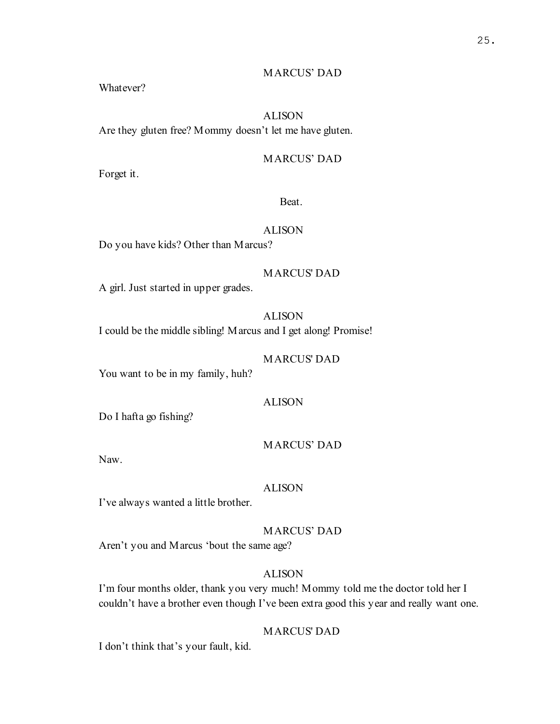# MARCUS' DAD

Whatever?

# ALISON

Are they gluten free? Mommy doesn't let me have gluten.

# MARCUS' DAD

Forget it.

## Beat.

### ALISON

Do you have kids? Other than Marcus?

### MARCUS' DAD

A girl. Just started in upper grades.

# ALISON

I could be the middle sibling! Marcus and I get along! Promise!

# MARCUS' DAD

You want to be in my family, huh?

# ALISON

Do I hafta go fishing?

### MARCUS' DAD

Naw.

#### ALISON

I've always wanted a little brother.

### MARCUS' DAD

Aren't you and Marcus 'bout the same age?

# ALISON

I'm four months older, thank you very much! Mommy told me the doctor told her I couldn't have a brother even though I've been extra good this year and really want one.

# MARCUS' DAD

I don't think that's your fault, kid.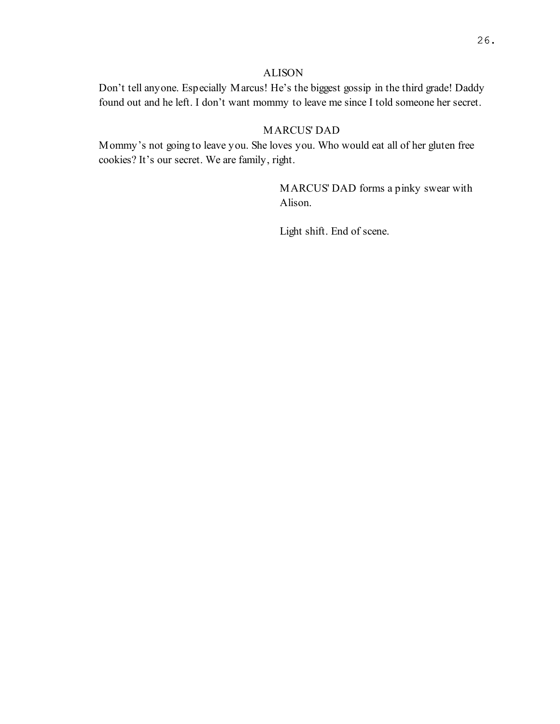### ALISON

Don't tell anyone. Especially Marcus! He's the biggest gossip in the third grade! Daddy found out and he left. I don't want mommy to leave me since I told someone her secret.

# MARCUS' DAD

Mommy's not going to leave you. She loves you. Who would eat all of her gluten free cookies? It's our secret. We are family, right.

> MARCUS' DAD forms a pinky swear with Alison.

Light shift. End of scene.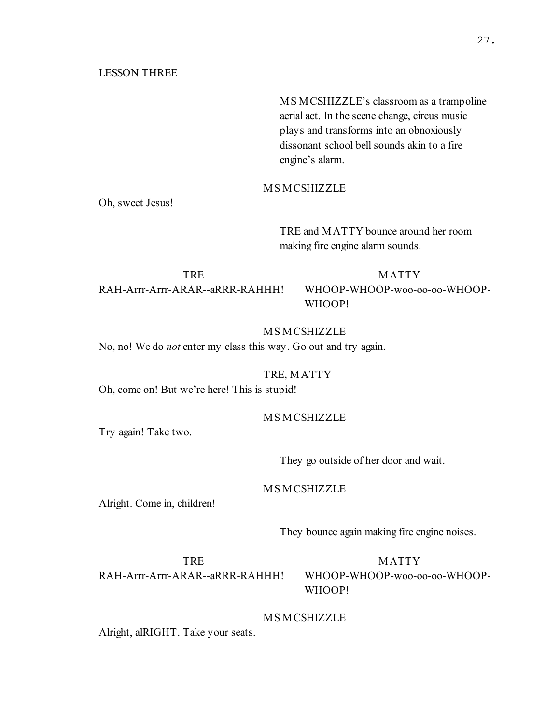#### LESSON THREE

MS MCSHIZZLE's classroom as a trampoline aerial act. In the scene change, circus music plays and transforms into an obnoxiously dissonant school bell sounds akin to a fire engine's alarm.

MS MCSHIZZLE

Oh, sweet Jesus!

TRE and MATTY bounce around her room making fire engine alarm sounds.

**TRE** RAH-Arrr-Arrr-ARAR--aRRR-RAHHH!

MATTY WHOOP-WHOOP-woo-oo-oo-WHOOP-WHOOP!

MS MCSHIZZLE No, no! We do not enter my class this way. Go out and try again.

TRE, MATTY

Oh, come on! But we're here! This is stupid!

### MS MCSHIZZLE

Try again! Take two.

They go outside of her door and wait.

### MS MCSHIZZLE

Alright. Come in, children!

They bounce again making fire engine noises.

TRE RAH-Arrr-Arrr-ARAR--aRRR-RAHHH!

MATTY WHOOP-WHOOP-woo-oo-oo-WHOOP-WHOOP!

#### MS MCSHIZZLE

Alright, alRIGHT. Take your seats.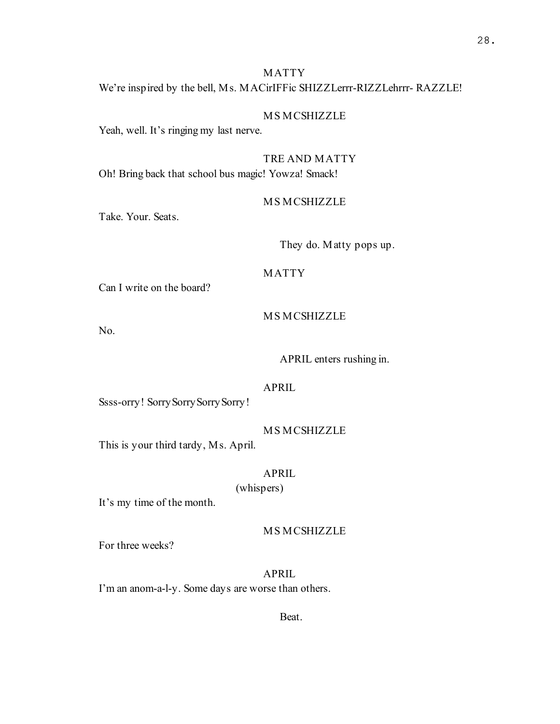# MATTY We're inspired by the bell, Ms. MACirIFFic SHIZZLerrr-RIZZLehrrr- RAZZLE!

# MS MCSHIZZLE

Yeah, well. It's ringing my last nerve.

# TRE AND MATTY

Oh! Bring back that school bus magic! Yowza! Smack!

# MS MCSHIZZLE

Take. Your. Seats.

They do. Matty pops up.

# MATTY

Can I write on the board?

#### MS MCSHIZZLE

No.

#### APRIL enters rushing in.

### APRIL

Ssss-orry! Sorry Sorry Sorry Sorry!

#### MS MCSHIZZLE

This is your third tardy, Ms. April.

# APRIL

(whispers)

It's my time of the month.

### MS MCSHIZZLE

For three weeks?

APRIL I'm an anom-a-l-y. Some days are worse than others.

Beat.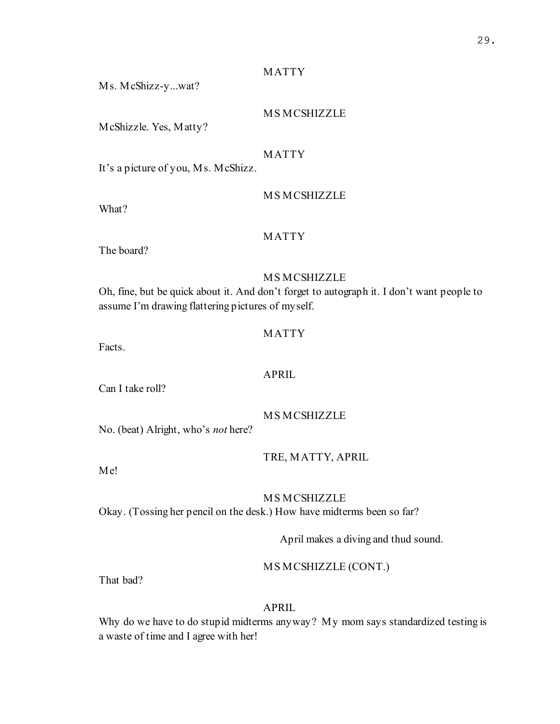# MATTY

Ms. McShizz-y...wat?

# MS MCSHIZZLE

McShizzle. Yes, Matty?

# MATTY

It's a picture of you, Ms. McShizz.

What?

# MS MCSHIZZLE

# MATTY

The board?

# MS MCSHIZZLE

Oh, fine, but be quick about it. And don't forget to autograph it. I don't want people to assume I'm drawing flattering pictures of myself.

# MATTY

Facts.

Can I take roll?

APRIL

MS MCSHIZZLE

No. (beat) Alright, who's not here?

TRE, MATTY, APRIL

Me!

# MS MCSHIZZLE

Okay. (Tossing her pencil on the desk.) How have midterms been so far?

April makes a diving and thud sound.

# MS MCSHIZZLE (CONT.)

That bad?

# APRIL

Why do we have to do stupid midterms anyway? My mom says standardized testing is a waste of time and I agree with her!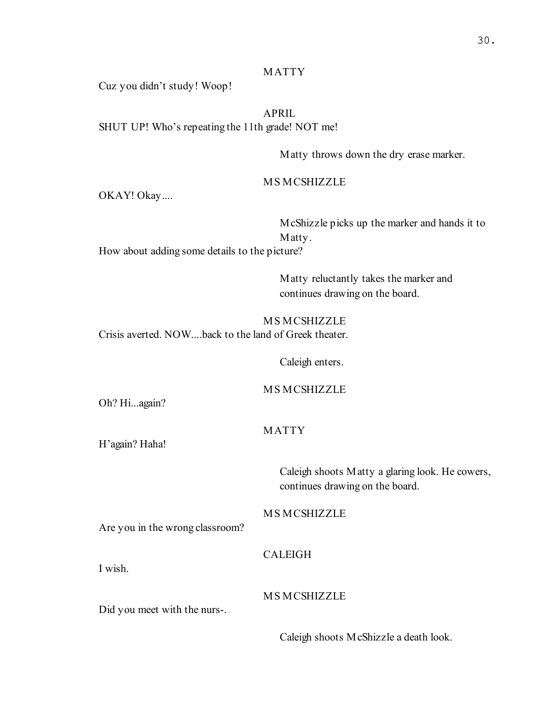# MATTY

Cuz you didn't study! Woop!

APRIL SHUT UP! Who's repeating the 11th grade! NOT me!

Matty throws down the dry erase marker.

MS MCSHIZZLE

OKAY! Okay....

McShizzle picks up the marker and hands it to Matty.

How about adding some details to the picture?

Matty reluctantly takes the marker and continues drawing on the board.

MS MCSHIZZLE Crisis averted. NOW....back to the land of Greek theater.

Caleigh enters.

MS MCSHIZZLE

Oh? Hi...again?

# MATTY

H'again? Haha!

Caleigh shoots Matty a glaring look. He cowers, continues drawing on the board.

MS MCSHIZZLE

Are you in the wrong classroom?

CALEIGH

I wish.

MS MCSHIZZLE

Did you meet with the nurs-.

Caleigh shoots McShizzle a death look.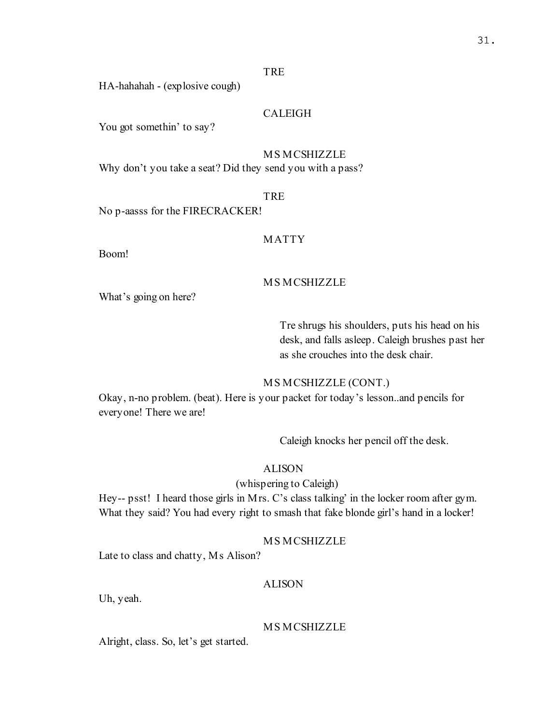# TRE

HA-hahahah - (explosive cough)

# CALEIGH

You got somethin' to say?

### MS MCSHIZZLE

Why don't you take a seat? Did they send you with a pass?

# TRE

No p-aasss for the FIRECRACKER!

### MATTY

Boom!

### MS MCSHIZZLE

What's going on here?

# Tre shrugs his shoulders, puts his head on his desk, and falls asleep. Caleigh brushes past her as she crouches into the desk chair.

### MS MCSHIZZLE (CONT.)

Okay, n-no problem. (beat). Here is your packet for today's lesson..and pencils for everyone! There we are!

Caleigh knocks her pencil off the desk.

### ALISON

# (whispering to Caleigh)

Hey-- psst! I heard those girls in Mrs. C's class talking' in the locker room after gym. What they said? You had every right to smash that fake blonde girl's hand in a locker!

### MS MCSHIZZLE

Late to class and chatty, Ms Alison?

# ALISON

Uh, yeah.

#### MS MCSHIZZLE

Alright, class. So, let's get started.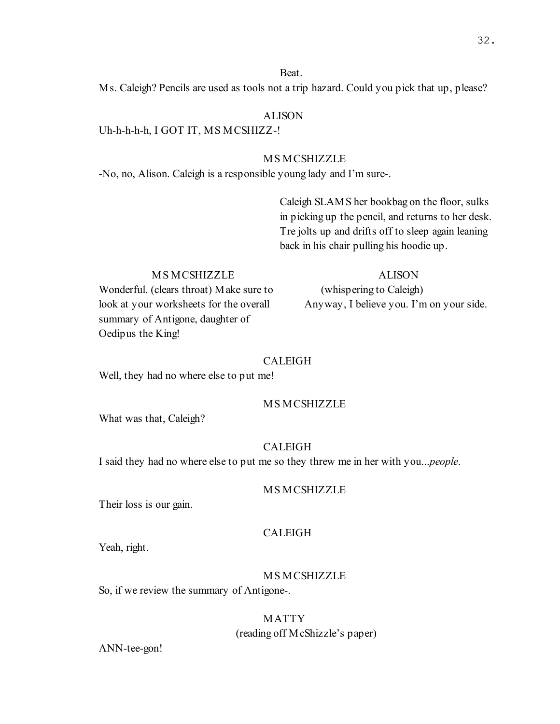#### Beat.

Ms. Caleigh? Pencils are used as tools not a trip hazard. Could you pick that up, please?

### ALISON

Uh-h-h-h-h, I GOT IT, MS MCSHIZZ-!

# MS MCSHIZZLE

-No, no, Alison. Caleigh is a responsible young lady and I'm sure-.

Caleigh SLAMS her bookbag on the floor, sulks in picking up the pencil, and returns to her desk. Tre jolts up and drifts off to sleep again leaning back in his chair pulling his hoodie up.

### MS MCSHIZZLE

Wonderful. (clears throat) Make sure to look at your worksheets for the overall summary of Antigone, daughter of Oedipus the King!

#### ALISON

(whispering to Caleigh) Anyway, I believe you. I'm on your side.

#### CALEIGH

Well, they had no where else to put me!

#### MS MCSHIZZLE

What was that, Caleigh?

#### CALEIGH

I said they had no where else to put me so they threw me in her with you...people.

### MS MCSHIZZLE

Their loss is our gain.

# CALEIGH

Yeah, right.

### MS MCSHIZZLE

So, if we review the summary of Antigone-.

# MATTY

(reading off McShizzle's paper)

ANN-tee-gon!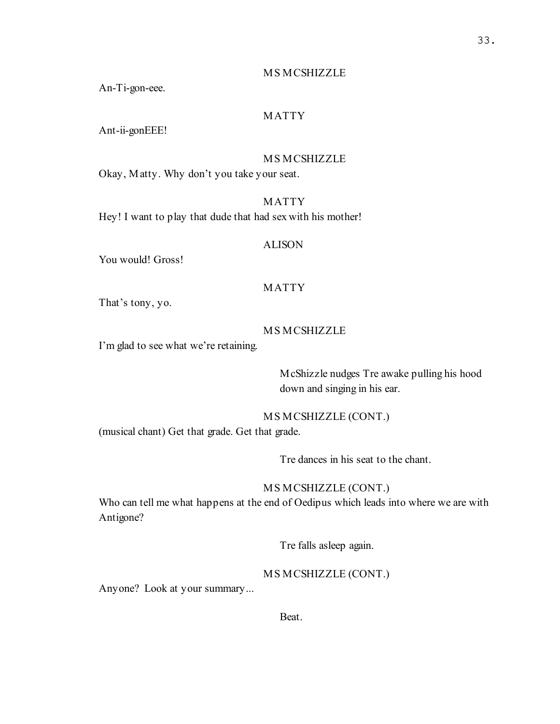An-Ti-gon-eee.

# MATTY

Ant-ii-gonEEE!

### MS MCSHIZZLE

Okay, Matty. Why don't you take your seat.

# MATTY

Hey! I want to play that dude that had sex with his mother!

#### ALISON

You would! Gross!

### MATTY

That's tony, yo.

### MS MCSHIZZLE

I'm glad to see what we're retaining.

McShizzle nudges Tre awake pulling his hood down and singing in his ear.

### MS MCSHIZZLE (CONT.)

(musical chant) Get that grade. Get that grade.

Tre dances in his seat to the chant.

# MS MCSHIZZLE (CONT.)

Who can tell me what happens at the end of Oedipus which leads into where we are with Antigone?

Tre falls asleep again.

### MS MCSHIZZLE (CONT.)

Anyone? Look at your summary...

Beat.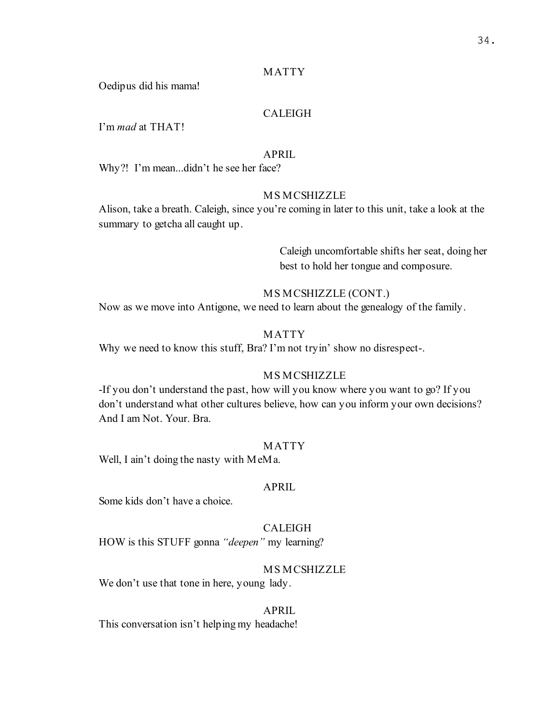# MATTY

Oedipus did his mama!

# CALEIGH

I'm mad at THAT!

#### APRIL

Why?! I'm mean...didn't he see her face?

### MS MCSHIZZLE

Alison, take a breath. Caleigh, since you're coming in later to this unit, take a look at the summary to getcha all caught up.

> Caleigh uncomfortable shifts her seat, doing her best to hold her tongue and composure.

### MS MCSHIZZLE (CONT.)

Now as we move into Antigone, we need to learn about the genealogy of the family.

### MATTY

Why we need to know this stuff, Bra? I'm not tryin' show no disrespect-.

#### MS MCSHIZZLE

-If you don't understand the past, how will you know where you want to go? If you don't understand what other cultures believe, how can you inform your own decisions? And I am Not. Your. Bra.

#### MATTY

Well, I ain't doing the nasty with MeMa.

#### APRIL

Some kids don't have a choice.

# CALEIGH

HOW is this STUFF gonna "deepen" my learning?

#### MS MCSHIZZLE

We don't use that tone in here, young lady.

#### APRIL

This conversation isn't helping my headache!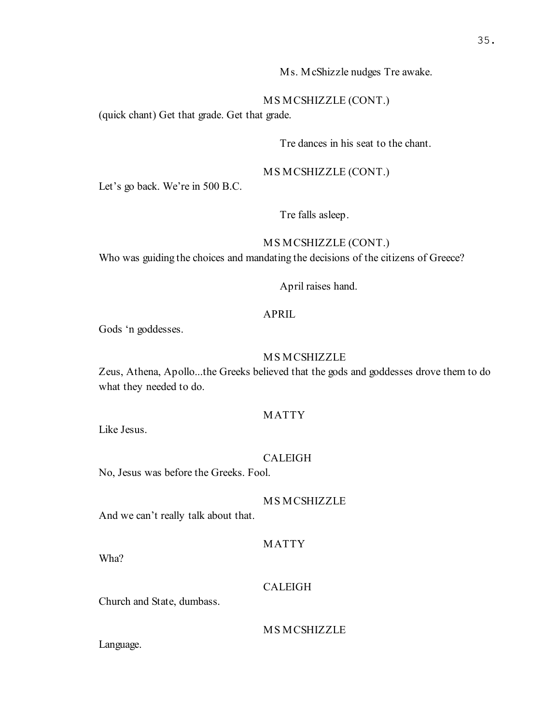Ms. McShizzle nudges Tre awake.

MS MCSHIZZLE (CONT.)

(quick chant) Get that grade. Get that grade.

Tre dances in his seat to the chant.

MS MCSHIZZLE (CONT.)

Let's go back. We're in 500 B.C.

Tre falls asleep.

# MS MCSHIZZLE (CONT.)

Who was guiding the choices and mandating the decisions of the citizens of Greece?

April raises hand.

# APRIL

Gods 'n goddesses.

# MS MCSHIZZLE

Zeus, Athena, Apollo...the Greeks believed that the gods and goddesses drove them to do what they needed to do.

# MATTY

Like Jesus.

# CALEIGH

No, Jesus was before the Greeks. Fool.

#### MS MCSHIZZLE

And we can't really talk about that.

### MATTY

Wha?

### CALEIGH

Church and State, dumbass.

MS MCSHIZZLE

Language.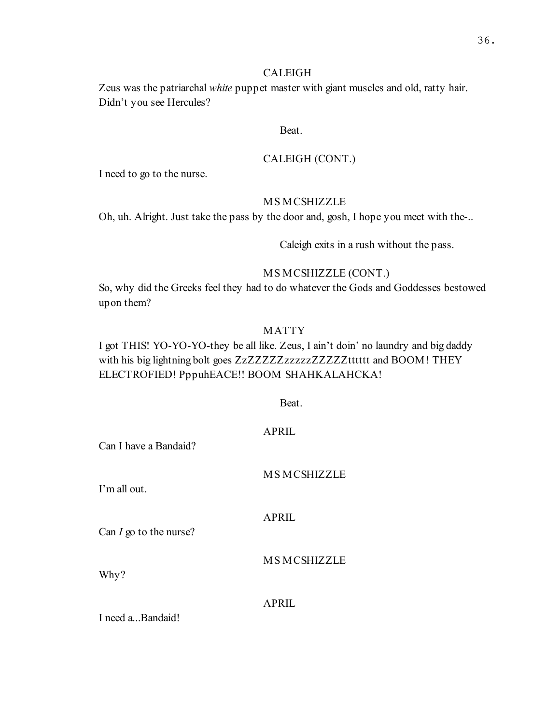### CALEIGH

Zeus was the patriarchal white puppet master with giant muscles and old, ratty hair. Didn't you see Hercules?

### Beat.

# CALEIGH (CONT.)

I need to go to the nurse.

# MS MCSHIZZLE

Oh, uh. Alright. Just take the pass by the door and, gosh, I hope you meet with the-..

Caleigh exits in a rush without the pass.

# MS MCSHIZZLE (CONT.)

So, why did the Greeks feel they had to do whatever the Gods and Goddesses bestowed upon them?

# MATTY

I got THIS! YO-YO-YO-they be all like. Zeus, I ain't doin' no laundry and big daddy with his big lightning bolt goes ZzZZZZZzzzzzzZZZZZZtttttt and BOOM! THEY ELECTROFIED! PppuhEACE!! BOOM SHAHKALAHCKA!

Beat.

| Can I have a Bandaid?    | <b>APRIL</b>       |
|--------------------------|--------------------|
| I'm all out.             | <b>MSMCSHIZZLE</b> |
| Can $I$ go to the nurse? | <b>APRIL</b>       |
| Why?                     | <b>MSMCSHIZZLE</b> |
| I need aBandaid!         | <b>APRIL</b>       |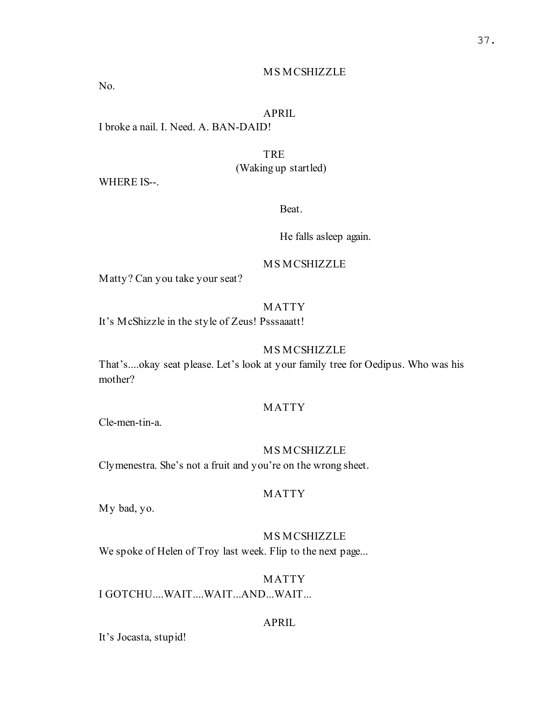No.

# APRIL

I broke a nail. I. Need. A. BAN-DAID!

# TRE

(Waking up startled)

WHERE IS--.

Beat.

He falls asleep again.

#### MS MCSHIZZLE

Matty? Can you take your seat?

# MATTY

It's McShizzle in the style of Zeus! Psssaaatt!

### MS MCSHIZZLE

That's....okay seat please. Let's look at your family tree for Oedipus. Who was his mother?

# MATTY

Cle-men-tin-a.

### MS MCSHIZZLE

Clymenestra. She's not a fruit and you're on the wrong sheet.

# MATTY

My bad, yo.

### MS MCSHIZZLE

We spoke of Helen of Troy last week. Flip to the next page...

# MATTY

I GOTCHU....WAIT....WAIT...AND...WAIT...

# APRIL

It's Jocasta, stupid!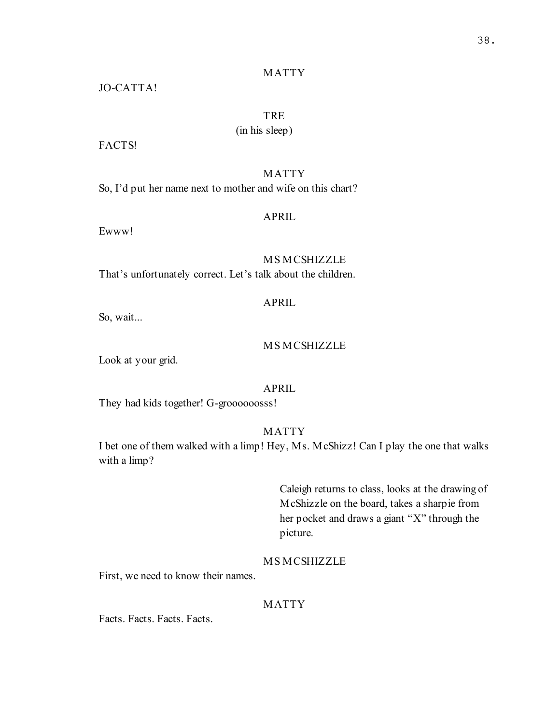### MATTY

JO-CATTA!

# TRE

(in his sleep)

FACTS!

# MATTY

So, I'd put her name next to mother and wife on this chart?

### APRIL

Ewww!

MS MCSHIZZLE That's unfortunately correct. Let's talk about the children.

# APRIL

So, wait...

#### MS MCSHIZZLE

Look at your grid.

### APRIL

They had kids together! G-groooooosss!

### MATTY

I bet one of them walked with a limp! Hey, Ms. McShizz! Can I play the one that walks with a limp?

> Caleigh returns to class, looks at the drawing of McShizzle on the board, takes a sharpie from her pocket and draws a giant "X" through the picture.

### MS MCSHIZZLE

First, we need to know their names.

# MATTY

Facts. Facts. Facts. Facts.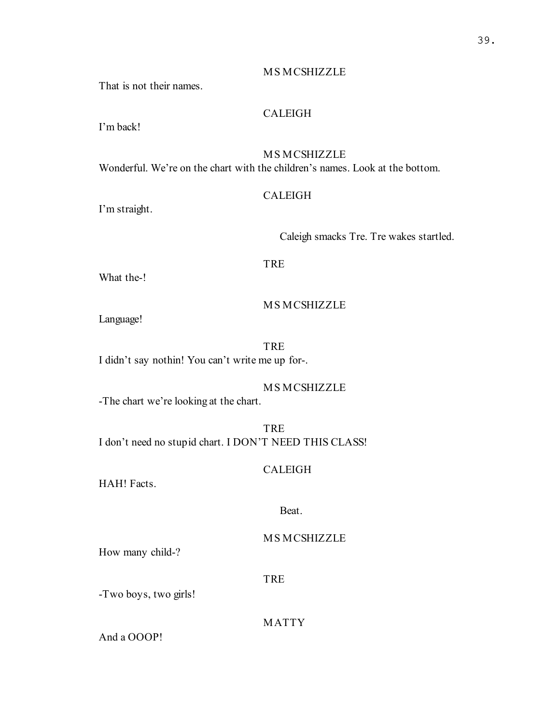That is not their names.

# CALEIGH

I'm back!

# MS MCSHIZZLE

Wonderful. We're on the chart with the children's names. Look at the bottom.

# CALEIGH

I'm straight.

Caleigh smacks Tre. Tre wakes startled.

# TRE

What the-!

# MS MCSHIZZLE

Language!

TRE I didn't say nothin! You can't write me up for-.

# MS MCSHIZZLE

-The chart we're looking at the chart.

### TRE

I don't need no stupid chart. I DON'T NEED THIS CLASS!

# CALEIGH

HAH! Facts.

### Beat.

# MS MCSHIZZLE

How many child-?

#### TRE

-Two boys, two girls!

# MATTY

And a OOOP!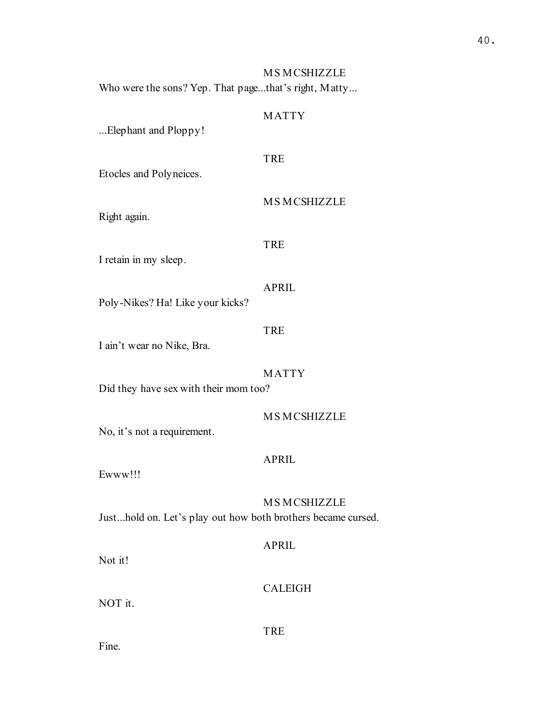MS MCSHIZZLE Who were the sons? Yep. That page...that's right, Matty...

# MATTY

...Elephant and Ploppy!

### TRE

Etocles and Polyneices.

MS MCSHIZZLE

Right again.

#### TRE

I retain in my sleep.

#### APRIL

Poly-Nikes? Ha! Like your kicks?

#### TRE

I ain't wear no Nike, Bra.

MATTY

Did they have sex with their mom too?

# MS MCSHIZZLE

No, it's not a requirement.

### APRIL

Ewww!!!

#### MS MCSHIZZLE

Just...hold on. Let's play out how both brothers became cursed.

# APRIL

Not it!

# CALEIGH

NOT it.

TRE

Fine.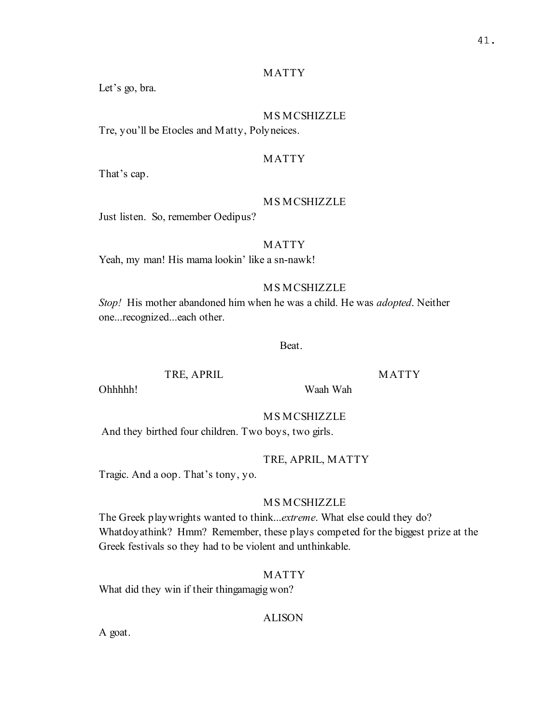#### MATTY

Let's go, bra.

# MS MCSHIZZLE

Tre, you'll be Etocles and Matty, Polyneices.

#### MATTY

That's cap.

# MS MCSHIZZLE

Just listen. So, remember Oedipus?

#### MATTY

Yeah, my man! His mama lookin' like a sn-nawk!

### MS MCSHIZZLE

Stop! His mother abandoned him when he was a child. He was *adopted*. Neither one...recognized...each other.

Beat.

TRE, APRIL

MATTY

Ohhhhh!

MS MCSHIZZLE

And they birthed four children. Two boys, two girls.

#### TRE, APRIL, MATTY

Waah Wah

Tragic. And a oop. That's tony, yo.

#### MS MCSHIZZLE

The Greek playwrights wanted to think...extreme. What else could they do? Whatdoyathink? Hmm? Remember, these plays competed for the biggest prize at the Greek festivals so they had to be violent and unthinkable.

#### MATTY

What did they win if their thingamagig won?

# ALISON

A goat.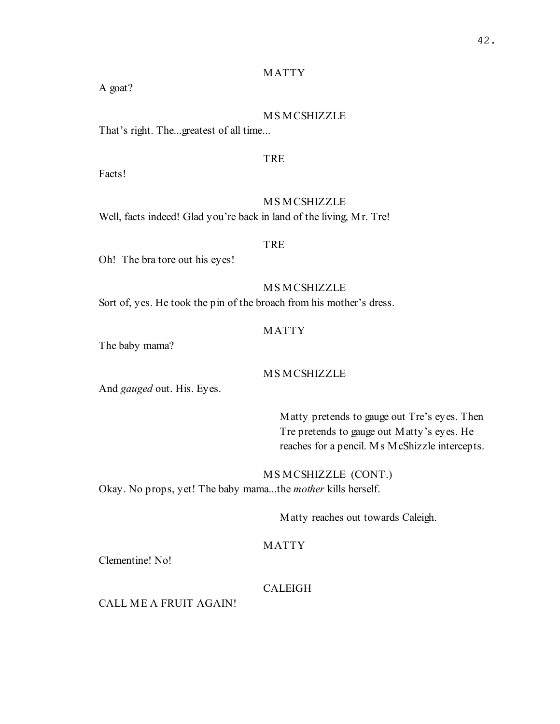# MATTY

A goat?

# MS MCSHIZZLE

That's right. The...greatest of all time...

# TRE

Facts!

# MS MCSHIZZLE

Well, facts indeed! Glad you're back in land of the living, Mr. Tre!

### TRE

Oh! The bra tore out his eyes!

# MS MCSHIZZLE

Sort of, yes. He took the pin of the broach from his mother's dress.

# MATTY

The baby mama?

# MS MCSHIZZLE

And gauged out. His. Eyes.

Matty pretends to gauge out Tre's eyes. Then Tre pretends to gauge out Matty's eyes. He reaches for a pencil. Ms McShizzle intercepts.

MS MCSHIZZLE (CONT.) Okay. No props, yet! The baby mama...the mother kills herself.

Matty reaches out towards Caleigh.

# MATTY

Clementine! No!

# CALEIGH

CALL ME A FRUIT AGAIN!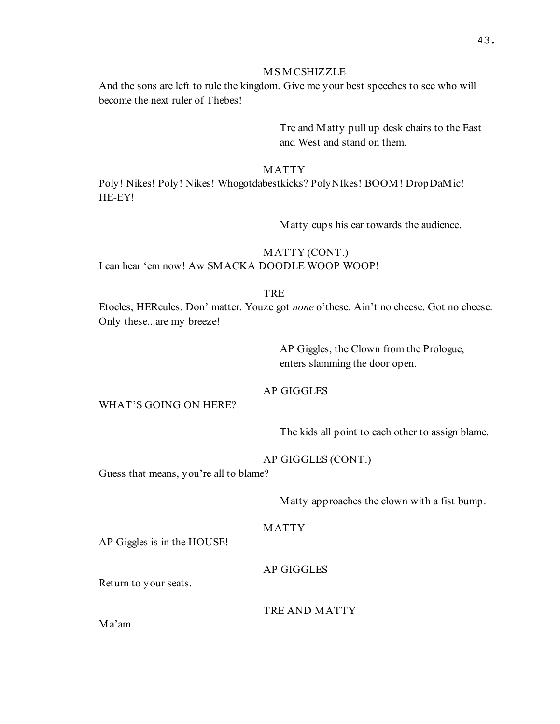And the sons are left to rule the kingdom. Give me your best speeches to see who will become the next ruler of Thebes!

> Tre and Matty pull up desk chairs to the East and West and stand on them.

#### MATTY

Poly! Nikes! Poly! Nikes! Whogotdabestkicks? PolyNIkes! BOOM! DropDaMic! HE-EY!

Matty cups his ear towards the audience.

# MATTY (CONT.) I can hear 'em now! Aw SMACKA DOODLE WOOP WOOP!

# **TRE**

Etocles, HERcules. Don' matter. Youze got none o'these. Ain't no cheese. Got no cheese. Only these...are my breeze!

> AP Giggles, the Clown from the Prologue, enters slamming the door open.

#### AP GIGGLES

### WHAT'S GOING ON HERE?

The kids all point to each other to assign blame.

#### AP GIGGLES (CONT.)

Guess that means, you're all to blame?

Matty approaches the clown with a fist bump.

# MATTY

AP Giggles is in the HOUSE!

AP GIGGLES

Return to your seats.

# TRE AND MATTY

Ma'am.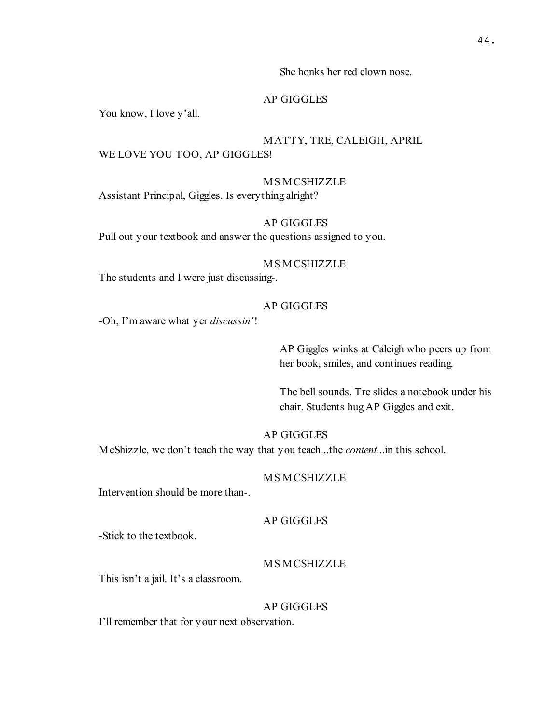She honks her red clown nose.

#### AP GIGGLES

You know, I love y'all.

# MATTY, TRE, CALEIGH, APRIL

# WE LOVE YOU TOO, AP GIGGLES!

# MS MCSHIZZLE

Assistant Principal, Giggles. Is everything alright?

# AP GIGGLES

Pull out your textbook and answer the questions assigned to you.

### MS MCSHIZZLE

The students and I were just discussing-.

#### AP GIGGLES

-Oh, I'm aware what yer *discussin*'!

AP Giggles winks at Caleigh who peers up from her book, smiles, and continues reading.

The bell sounds. Tre slides a notebook under his chair. Students hug AP Giggles and exit.

### AP GIGGLES

McShizzle, we don't teach the way that you teach...the content...in this school.

### MS MCSHIZZLE

Intervention should be more than-.

#### AP GIGGLES

-Stick to the textbook.

# MS MCSHIZZLE

This isn't a jail. It's a classroom.

#### AP GIGGLES

I'll remember that for your next observation.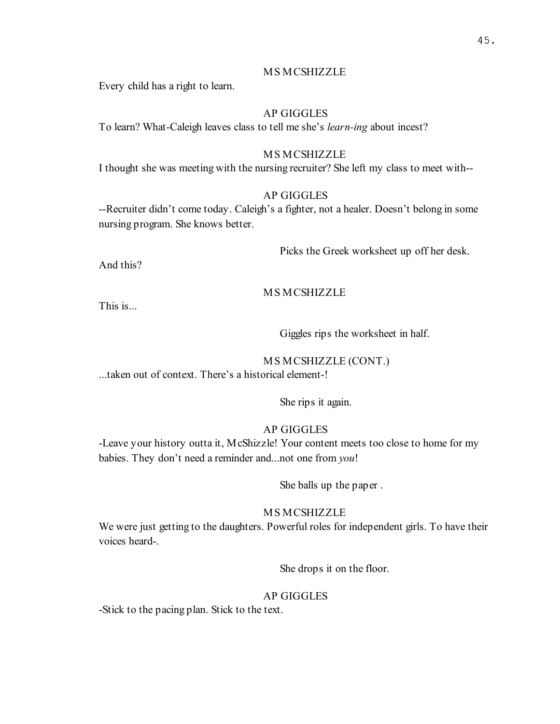Every child has a right to learn.

# AP GIGGLES

To learn? What-Caleigh leaves class to tell me she's learn-ing about incest?

# MS MCSHIZZLE

I thought she was meeting with the nursing recruiter? She left my class to meet with--

# AP GIGGLES

--Recruiter didn't come today. Caleigh's a fighter, not a healer. Doesn't belong in some nursing program. She knows better.

Picks the Greek worksheet up off her desk.

And this?

# MS MCSHIZZLE

This is...

Giggles rips the worksheet in half.

# MS MCSHIZZLE (CONT.)

...taken out of context. There's a historical element-!

She rips it again.

# AP GIGGLES

-Leave your history outta it, McShizzle! Your content meets too close to home for my babies. They don't need a reminder and...not one from you!

She balls up the paper .

# MS MCSHIZZLE

We were just getting to the daughters. Powerful roles for independent girls. To have their voices heard-.

She drops it on the floor.

# AP GIGGLES

-Stick to the pacing plan. Stick to the text.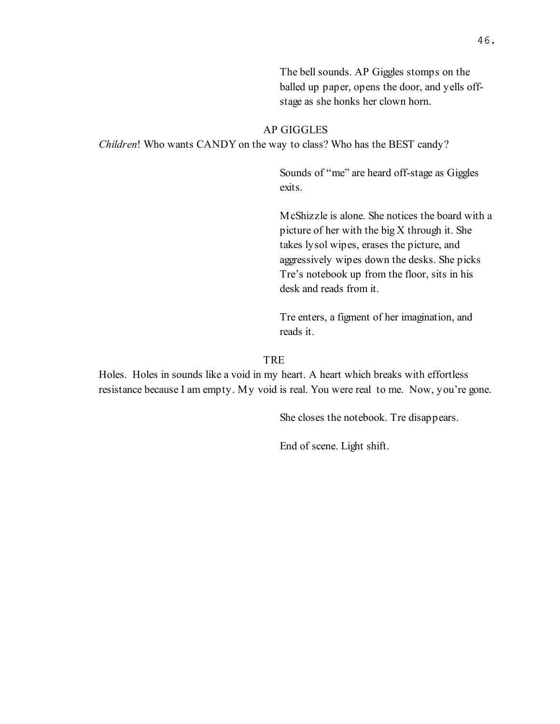The bell sounds. AP Giggles stomps on the balled up paper, opens the door, and yells offstage as she honks her clown horn.

#### AP GIGGLES

Children! Who wants CANDY on the way to class? Who has the BEST candy?

Sounds of "me" are heard off-stage as Giggles exits.

McShizzle is alone. She notices the board with a picture of her with the big X through it. She takes lysol wipes, erases the picture, and aggressively wipes down the desks. She picks Tre's notebook up from the floor, sits in his desk and reads from it.

Tre enters, a figment of her imagination, and reads it.

#### **TRE**

Holes. Holes in sounds like a void in my heart. A heart which breaks with effortless resistance because I am empty. My void is real. You were real to me. Now, you're gone.

She closes the notebook. Tre disappears.

End of scene. Light shift.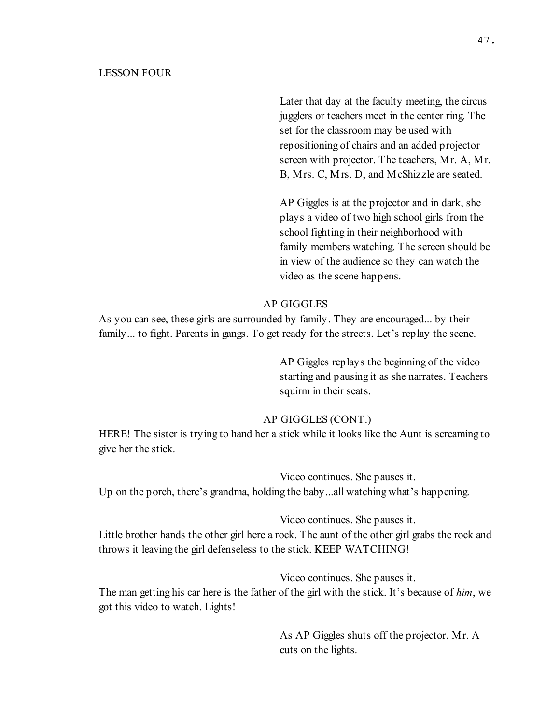### LESSON FOUR

Later that day at the faculty meeting, the circus jugglers or teachers meet in the center ring. The set for the classroom may be used with repositioning of chairs and an added projector screen with projector. The teachers, Mr. A, Mr. B, Mrs. C, Mrs. D, and McShizzle are seated.

AP Giggles is at the projector and in dark, she plays a video of two high school girls from the school fighting in their neighborhood with family members watching. The screen should be in view of the audience so they can watch the video as the scene happens.

# AP GIGGLES

As you can see, these girls are surrounded by family. They are encouraged... by their family... to fight. Parents in gangs. To get ready for the streets. Let's replay the scene.

> AP Giggles replays the beginning of the video starting and pausing it as she narrates. Teachers squirm in their seats.

### AP GIGGLES (CONT.)

HERE! The sister is trying to hand her a stick while it looks like the Aunt is screaming to give her the stick.

Video continues. She pauses it. Up on the porch, there's grandma, holding the baby...all watching what's happening.

Video continues. She pauses it.

Little brother hands the other girl here a rock. The aunt of the other girl grabs the rock and throws it leaving the girl defenseless to the stick. KEEP WATCHING!

Video continues. She pauses it.

The man getting his car here is the father of the girl with the stick. It's because of him, we got this video to watch. Lights!

> As AP Giggles shuts off the projector, Mr. A cuts on the lights.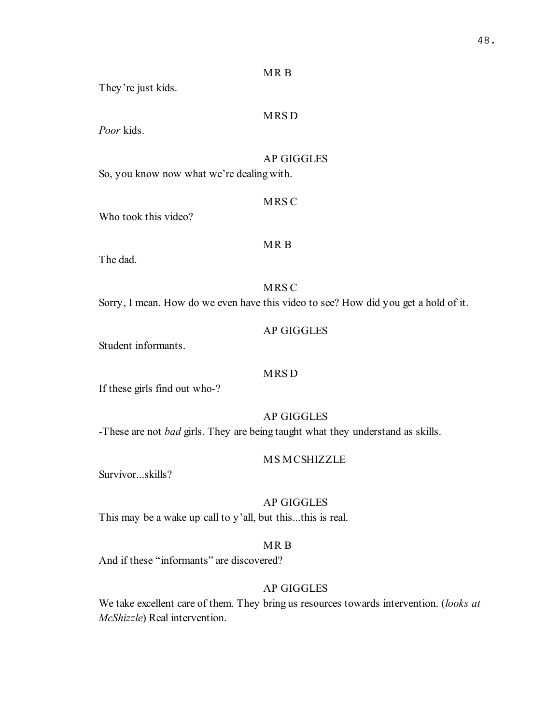|--|--|

They're just kids.

# MRS D

Poor kids.

# AP GIGGLES

So, you know now what we're dealing with.

MRS C

Who took this video?

# MR B

The dad.

MRS C

Sorry, I mean. How do we even have this video to see? How did you get a hold of it.

AP GIGGLES

Student informants.

# MRS D

If these girls find out who-?

AP GIGGLES

-These are not *bad* girls. They are being taught what they understand as skills.

MS MCSHIZZLE

Survivor...skills?

# AP GIGGLES

This may be a wake up call to y'all, but this...this is real.

# MR B

And if these "informants" are discovered?

# AP GIGGLES

We take excellent care of them. They bring us resources towards intervention. (looks at McShizzle) Real intervention.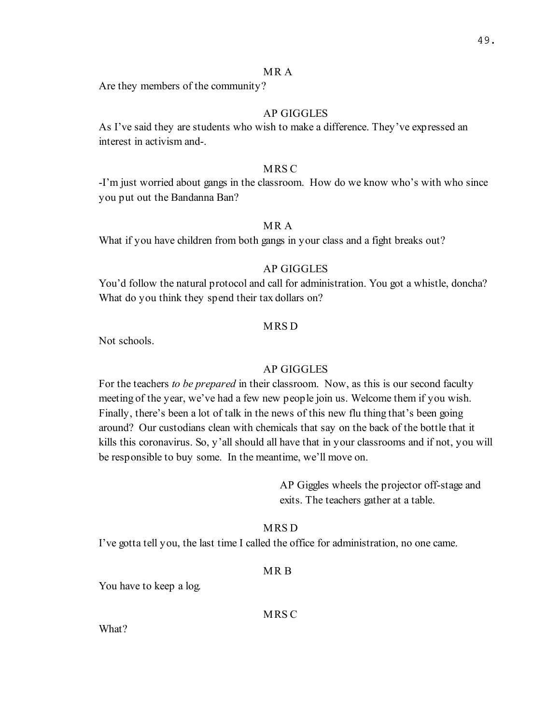#### MR A

Are they members of the community?

# AP GIGGLES

As I've said they are students who wish to make a difference. They've expressed an interest in activism and-.

#### MRS C

-I'm just worried about gangs in the classroom. How do we know who's with who since you put out the Bandanna Ban?

# MR A

What if you have children from both gangs in your class and a fight breaks out?

### AP GIGGLES

You'd follow the natural protocol and call for administration. You got a whistle, doncha? What do you think they spend their tax dollars on?

#### MRS D

Not schools.

### AP GIGGLES

For the teachers to be prepared in their classroom. Now, as this is our second faculty meeting of the year, we've had a few new people join us. Welcome them if you wish. Finally, there's been a lot of talk in the news of this new flu thing that's been going around? Our custodians clean with chemicals that say on the back of the bottle that it kills this coronavirus. So, y'all should all have that in your classrooms and if not, you will be responsible to buy some. In the meantime, we'll move on.

> AP Giggles wheels the projector off-stage and exits. The teachers gather at a table.

# MRS D

I've gotta tell you, the last time I called the office for administration, no one came.

#### MR B

You have to keep a log.

MRS C

What?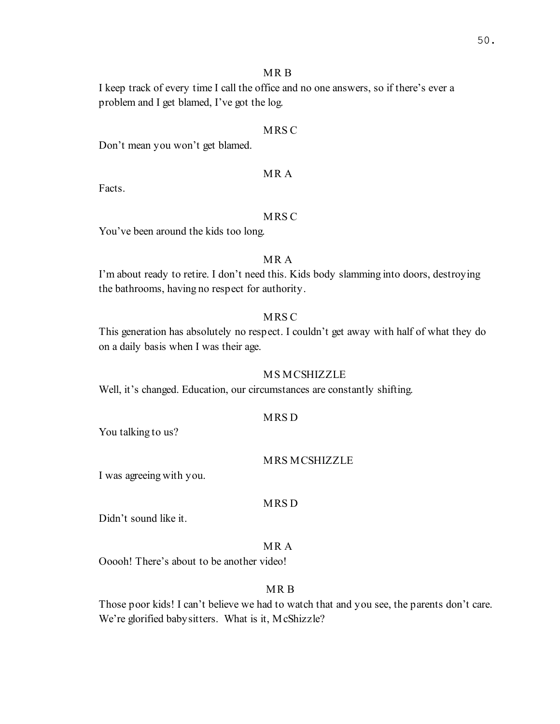### MR B

I keep track of every time I call the office and no one answers, so if there's ever a problem and I get blamed, I've got the log.

### MRS C

Don't mean you won't get blamed.

# MR A

Facts.

# MRS C

You've been around the kids too long.

# MR A

I'm about ready to retire. I don't need this. Kids body slamming into doors, destroying the bathrooms, having no respect for authority.

# MRS C

This generation has absolutely no respect. I couldn't get away with half of what they do on a daily basis when I was their age.

# MS MCSHIZZLE

Well, it's changed. Education, our circumstances are constantly shifting.

### MRS D

You talking to us?

### MRS MCSHIZZLE

I was agreeing with you.

### MRS D

Didn't sound like it.

# MR A

Ooooh! There's about to be another video!

# MR B

Those poor kids! I can't believe we had to watch that and you see, the parents don't care. We're glorified babysitters. What is it, McShizzle?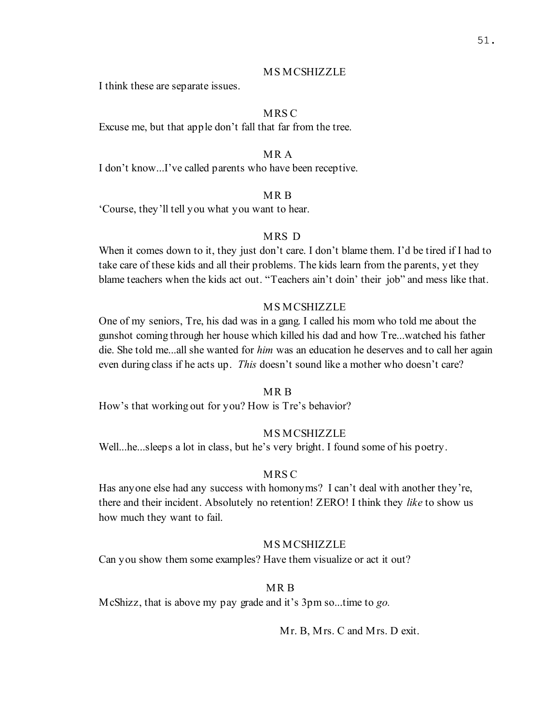I think these are separate issues.

# **MRS C**

Excuse me, but that apple don't fall that far from the tree.

### MR A

I don't know...I've called parents who have been receptive.

# MR B

'Course, they'll tell you what you want to hear.

# MRS D

When it comes down to it, they just don't care. I don't blame them. I'd be tired if I had to take care of these kids and all their problems. The kids learn from the parents, yet they blame teachers when the kids act out. "Teachers ain't doin' their job" and mess like that.

#### MS MCSHIZZLE

One of my seniors, Tre, his dad was in a gang. I called his mom who told me about the gunshot coming through her house which killed his dad and how Tre...watched his father die. She told me...all she wanted for *him* was an education he deserves and to call her again even during class if he acts up. *This* doesn't sound like a mother who doesn't care?

#### MR B

How's that working out for you? How is Tre's behavior?

# MS MCSHIZZLE

Well...he...sleeps a lot in class, but he's very bright. I found some of his poetry.

#### MRS C

Has anyone else had any success with homonyms? I can't deal with another they're, there and their incident. Absolutely no retention! ZERO! I think they like to show us how much they want to fail.

### MS MCSHIZZLE

Can you show them some examples? Have them visualize or act it out?

# MR B

McShizz, that is above my pay grade and it's 3pm so...time to go.

Mr. B, Mrs. C and Mrs. D exit.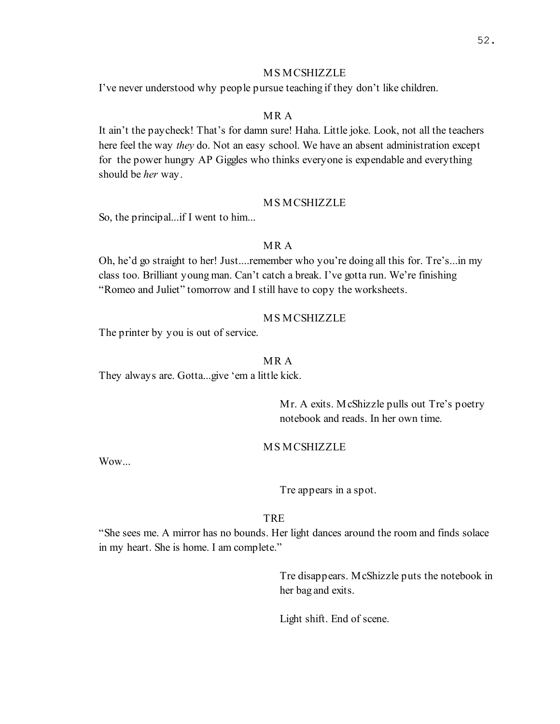I've never understood why people pursue teaching if they don't like children.

# MR A

It ain't the paycheck! That's for damn sure! Haha. Little joke. Look, not all the teachers here feel the way they do. Not an easy school. We have an absent administration except for the power hungry AP Giggles who thinks everyone is expendable and everything should be *her* way.

### MS MCSHIZZLE

So, the principal...if I went to him...

# MR A

Oh, he'd go straight to her! Just....remember who you're doing all this for. Tre's...in my class too. Brilliant young man. Can't catch a break. I've gotta run. We're finishing "Romeo and Juliet" tomorrow and I still have to copy the worksheets.

# MS MCSHIZZLE

The printer by you is out of service.

### MR A

They always are. Gotta...give 'em a little kick.

Mr. A exits. McShizzle pulls out Tre's poetry notebook and reads. In her own time.

### MS MCSHIZZLE

Wow...

Tre appears in a spot.

# TRE

"She sees me. A mirror has no bounds. Her light dances around the room and finds solace in my heart. She is home. I am complete."

> Tre disappears. McShizzle puts the notebook in her bag and exits.

Light shift. End of scene.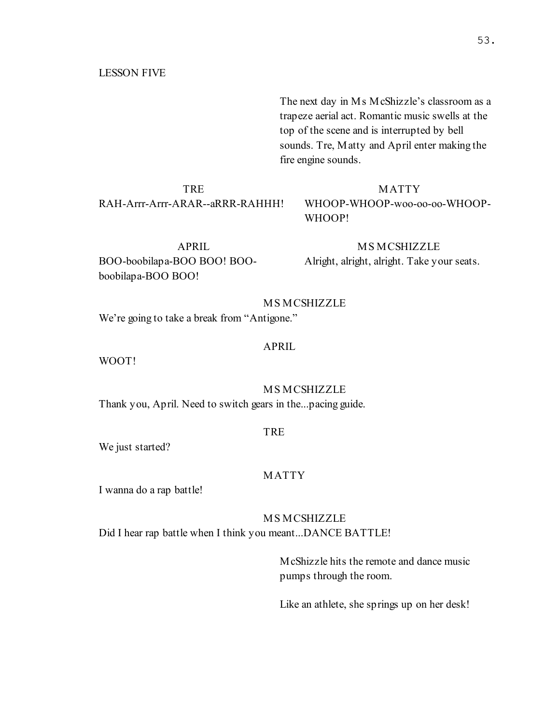### LESSON FIVE

The next day in Ms McShizzle's classroom as a trapeze aerial act. Romantic music swells at the top of the scene and is interrupted by bell sounds. Tre, Matty and April enter making the fire engine sounds.

**TRE** RAH-Arrr-Arrr-ARAR--aRRR-RAHHH!

#### MATTY

WHOOP-WHOOP-woo-oo-oo-WHOOP-WHOOP!

APRIL BOO-boobilapa-BOO BOO! BOOboobilapa-BOO BOO!

**MS MCSHIZZLE** Alright, alright, alright. Take your seats.

### MS MCSHIZZLE

We're going to take a break from "Antigone."

#### APRIL

WOOT!

# MS MCSHIZZLE

Thank you, April. Need to switch gears in the...pacing guide.

#### TRE

We just started?

#### MATTY

I wanna do a rap battle!

# MS MCSHIZZLE

Did I hear rap battle when I think you meant...DANCE BATTLE!

McShizzle hits the remote and dance music pumps through the room.

Like an athlete, she springs up on her desk!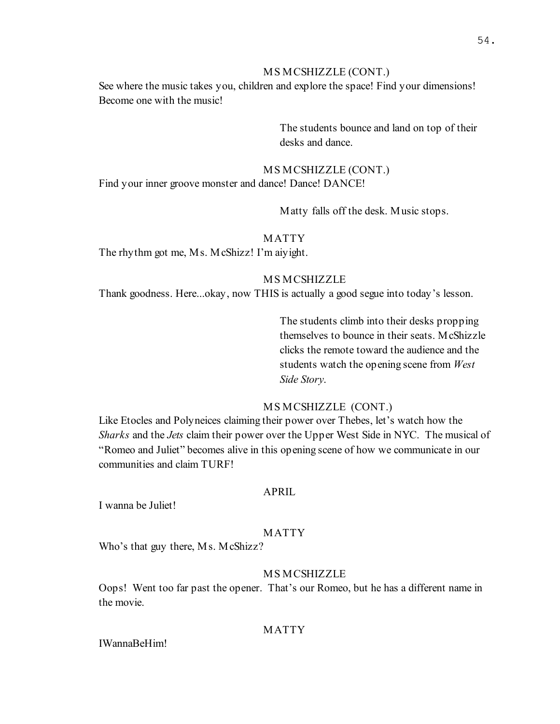### MS MCSHIZZLE (CONT.)

See where the music takes you, children and explore the space! Find your dimensions! Become one with the music!

> The students bounce and land on top of their desks and dance.

# MS MCSHIZZLE (CONT.)

Find your inner groove monster and dance! Dance! DANCE!

Matty falls off the desk. Music stops.

# MATTY

The rhythm got me, Ms. McShizz! I'm aiyight.

# MS MCSHIZZLE

Thank goodness. Here...okay, now THIS is actually a good segue into today's lesson.

The students climb into their desks propping themselves to bounce in their seats. McShizzle clicks the remote toward the audience and the students watch the opening scene from West Side Story.

# MS MCSHIZZLE (CONT.)

Like Etocles and Polyneices claiming their power over Thebes, let's watch how the Sharks and the Jets claim their power over the Upper West Side in NYC. The musical of "Romeo and Juliet" becomes alive in this opening scene of how we communicate in our communities and claim TURF!

# APRIL

I wanna be Juliet!

# MATTY

Who's that guy there, Ms. McShizz?

# **MS MCSHIZZLE**

Oops! Went too far past the opener. That's our Romeo, but he has a different name in the movie.

# MATTY

IWannaBeHim!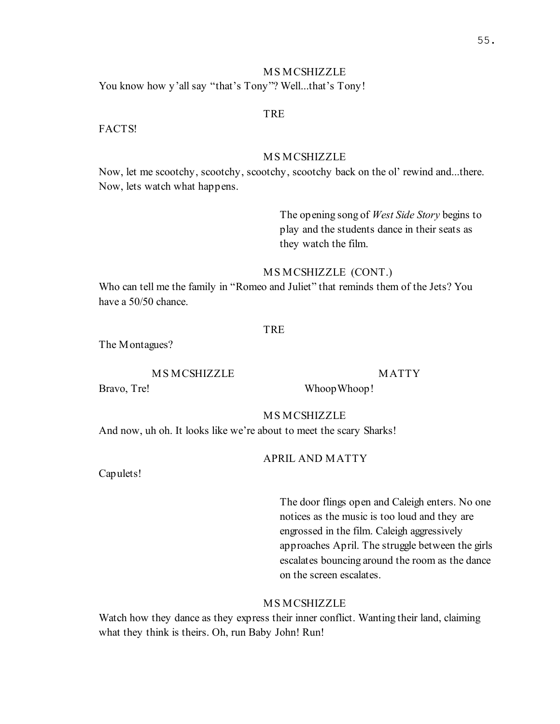# MS MCSHIZZLE You know how y'all say "that's Tony"? Well...that's Tony!

#### TRE

FACTS!

#### MS MCSHIZZLE

Now, let me scootchy, scootchy, scootchy, scootchy back on the ol' rewind and...there. Now, lets watch what happens.

> The opening song of West Side Story begins to play and the students dance in their seats as they watch the film.

#### MS MCSHIZZLE (CONT.)

Who can tell me the family in "Romeo and Juliet" that reminds them of the Jets? You have a 50/50 chance.

#### **TRE**

The Montagues?

# **MS MCSHIZZLE**

MATTY

Bravo, Tre!

WhoopWhoop!

MS MCSHIZZLE

And now, uh oh. It looks like we're about to meet the scary Sharks!

# APRIL AND MATTY

Capulets!

The door flings open and Caleigh enters. No one notices as the music is too loud and they are engrossed in the film. Caleigh aggressively approaches April. The struggle between the girls escalates bouncing around the room as the dance on the screen escalates.

# MS MCSHIZZLE

Watch how they dance as they express their inner conflict. Wanting their land, claiming what they think is theirs. Oh, run Baby John! Run!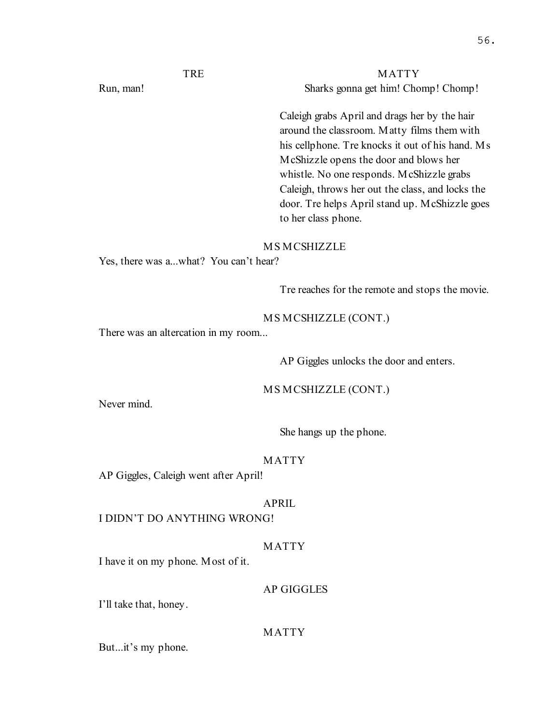# MATTY Sharks gonna get him! Chomp! Chomp!

Caleigh grabs April and drags her by the hair around the classroom. Matty films them with his cellphone. Tre knocks it out of his hand. Ms McShizzle opens the door and blows her whistle. No one responds. McShizzle grabs Caleigh, throws her out the class, and locks the door. Tre helps April stand up. McShizzle goes to her class phone.

#### MS MCSHIZZLE

Yes, there was a...what? You can't hear?

Tre reaches for the remote and stops the movie.

#### MS MCSHIZZLE (CONT.)

There was an altercation in my room...

AP Giggles unlocks the door and enters.

MS MCSHIZZLE (CONT.)

Never mind.

She hangs up the phone.

#### MATTY

AP Giggles, Caleigh went after April!

# APRIL

I DIDN'T DO ANYTHING WRONG!

# MATTY

I have it on my phone. Most of it.

# AP GIGGLES

I'll take that, honey.

# MATTY

But...it's my phone.

# TRE

Run, man!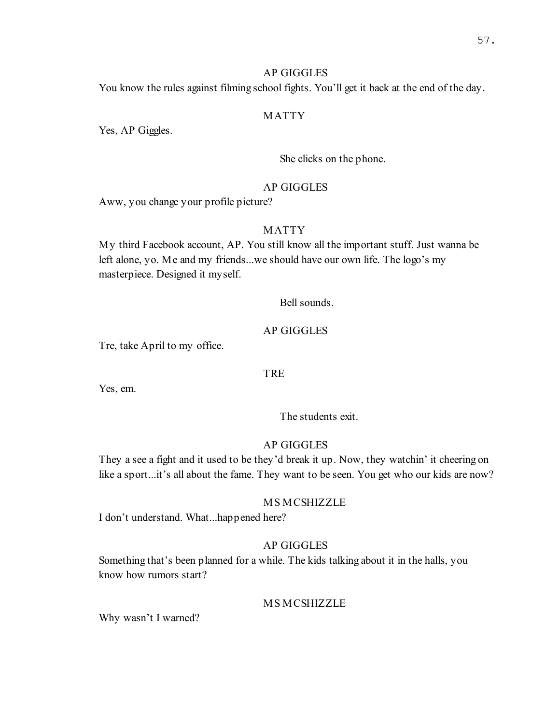# AP GIGGLES

You know the rules against filming school fights. You'll get it back at the end of the day.

# MATTY

Yes, AP Giggles.

She clicks on the phone.

# AP GIGGLES

Aww, you change your profile picture?

# MATTY

My third Facebook account, AP. You still know all the important stuff. Just wanna be left alone, yo. Me and my friends...we should have our own life. The logo's my masterpiece. Designed it myself.

Bell sounds.

# AP GIGGLES

Tre, take April to my office.

# TRE

Yes, em.

The students exit.

#### AP GIGGLES

They a see a fight and it used to be they'd break it up. Now, they watchin' it cheering on like a sport...it's all about the fame. They want to be seen. You get who our kids are now?

#### MS MCSHIZZLE

I don't understand. What...happened here?

# AP GIGGLES

Something that's been planned for a while. The kids talking about it in the halls, you know how rumors start?

#### MS MCSHIZZLE

Why wasn't I warned?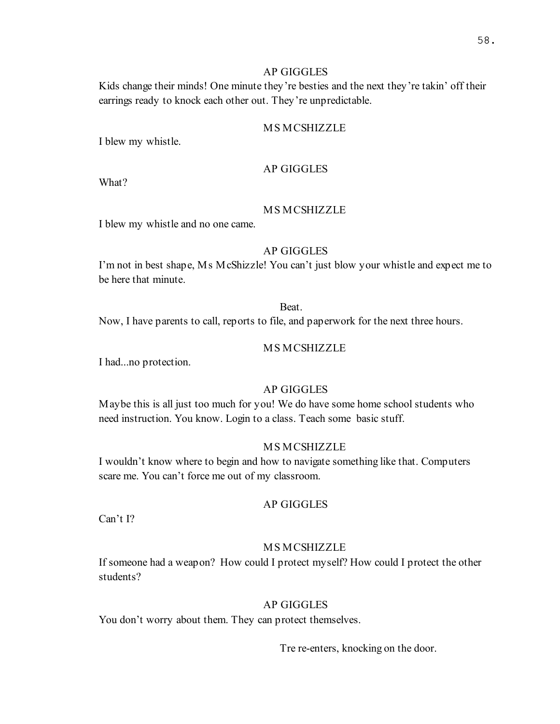# AP GIGGLES

Kids change their minds! One minute they're besties and the next they're takin' off their earrings ready to knock each other out. They're unpredictable.

#### MS MCSHIZZLE

I blew my whistle.

#### AP GIGGLES

What?

# MS MCSHIZZLE

I blew my whistle and no one came.

## AP GIGGLES

I'm not in best shape, Ms McShizzle! You can't just blow your whistle and expect me to be here that minute.

#### Beat.

Now, I have parents to call, reports to file, and paperwork for the next three hours.

#### MS MCSHIZZLE

I had...no protection.

# AP GIGGLES

Maybe this is all just too much for you! We do have some home school students who need instruction. You know. Login to a class. Teach some basic stuff.

#### MS MCSHIZZLE

I wouldn't know where to begin and how to navigate something like that. Computers scare me. You can't force me out of my classroom.

#### AP GIGGLES

Can't I?

#### MS MCSHIZZLE

If someone had a weapon? How could I protect myself? How could I protect the other students?

# AP GIGGLES

You don't worry about them. They can protect themselves.

Tre re-enters, knocking on the door.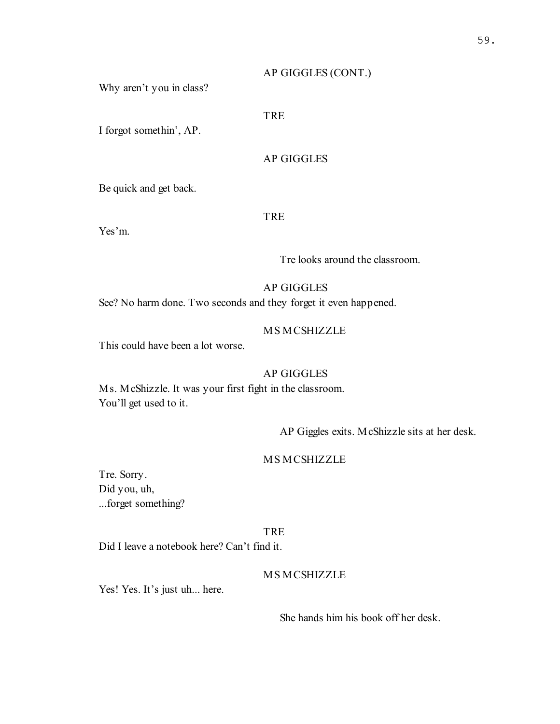## AP GIGGLES (CONT.)

Why aren't you in class?

# TRE

I forgot somethin', AP.

# AP GIGGLES

Be quick and get back.

#### TRE

Yes'm.

Tre looks around the classroom.

# AP GIGGLES

See? No harm done. Two seconds and they forget it even happened.

#### MS MCSHIZZLE

This could have been a lot worse.

# AP GIGGLES

Ms. McShizzle. It was your first fight in the classroom. You'll get used to it.

AP Giggles exits. McShizzle sits at her desk.

# MS MCSHIZZLE

Tre. Sorry. Did you, uh, ...forget something?

#### TRE

Did I leave a notebook here? Can't find it.

# MS MCSHIZZLE

Yes! Yes. It's just uh... here.

She hands him his book off her desk.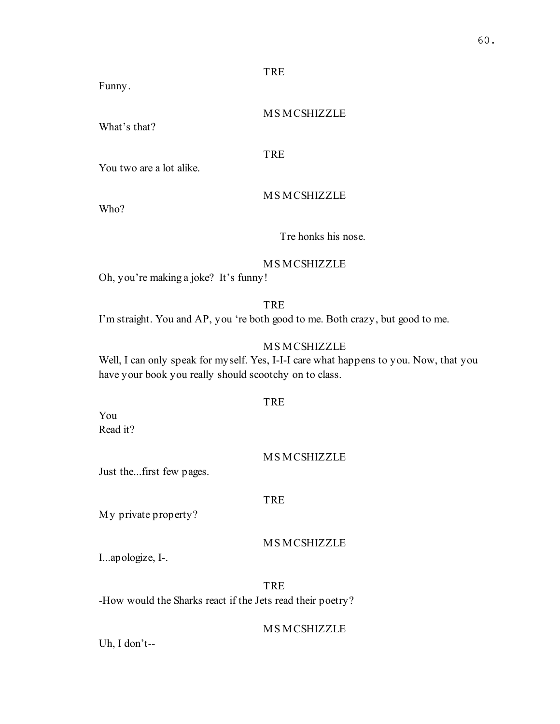Funny.

MS MCSHIZZLE

What's that?

TRE

You two are a lot alike.

MS MCSHIZZLE

Who?

Tre honks his nose.

# MS MCSHIZZLE

Oh, you're making a joke? It's funny!

TRE I'm straight. You and AP, you 're both good to me. Both crazy, but good to me.

# MS MCSHIZZLE

Well, I can only speak for myself. Yes, I-I-I care what happens to you. Now, that you have your book you really should scootchy on to class.

TRE

You Read it?

# MS MCSHIZZLE

Just the...first few pages.

# **TRE**

My private property?

# MS MCSHIZZLE

I...apologize, I-.

TRE -How would the Sharks react if the Jets read their poetry?

# MS MCSHIZZLE

Uh, I don't--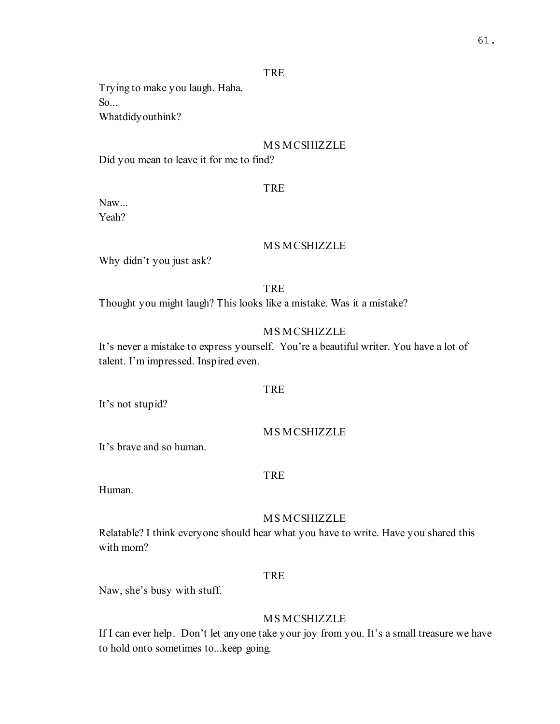Trying to make you laugh. Haha. So... Whatdidyouthink?

# MS MCSHIZZLE

Did you mean to leave it for me to find?

#### TRE

Naw... Yeah?

#### MS MCSHIZZLE

Why didn't you just ask?

# **TRE**

Thought you might laugh? This looks like a mistake. Was it a mistake?

# MS MCSHIZZLE

It's never a mistake to express yourself. You're a beautiful writer. You have a lot of talent. I'm impressed. Inspired even.

#### **TRE**

It's not stupid?

#### MS MCSHIZZLE

It's brave and so human.

# TRE

Human.

## MS MCSHIZZLE

Relatable? I think everyone should hear what you have to write. Have you shared this with mom?

# TRE

Naw, she's busy with stuff.

# MS MCSHIZZLE

If I can ever help. Don't let anyone take your joy from you. It's a small treasure we have to hold onto sometimes to...keep going.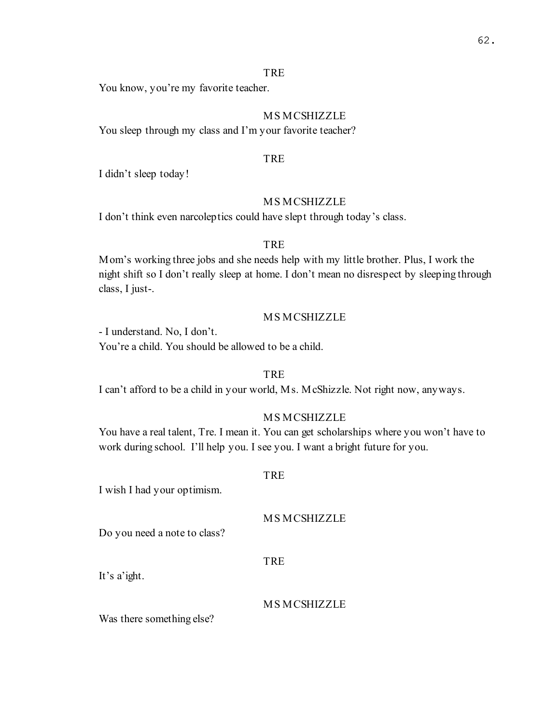You know, you're my favorite teacher.

# MS MCSHIZZLE

You sleep through my class and I'm your favorite teacher?

# TRE

I didn't sleep today!

# MS MCSHIZZLE

I don't think even narcoleptics could have slept through today's class.

# **TRE**

Mom's working three jobs and she needs help with my little brother. Plus, I work the night shift so I don't really sleep at home. I don't mean no disrespect by sleeping through class, I just-.

# MS MCSHIZZLE

- I understand. No, I don't. You're a child. You should be allowed to be a child.

# TRE

I can't afford to be a child in your world, Ms. McShizzle. Not right now, anyways.

# MS MCSHIZZLE

You have a real talent, Tre. I mean it. You can get scholarships where you won't have to work during school. I'll help you. I see you. I want a bright future for you.

#### **TRE**

I wish I had your optimism.

# MS MCSHIZZLE

Do you need a note to class?

#### TRE

It's a'ight.

MS MCSHIZZLE

Was there something else?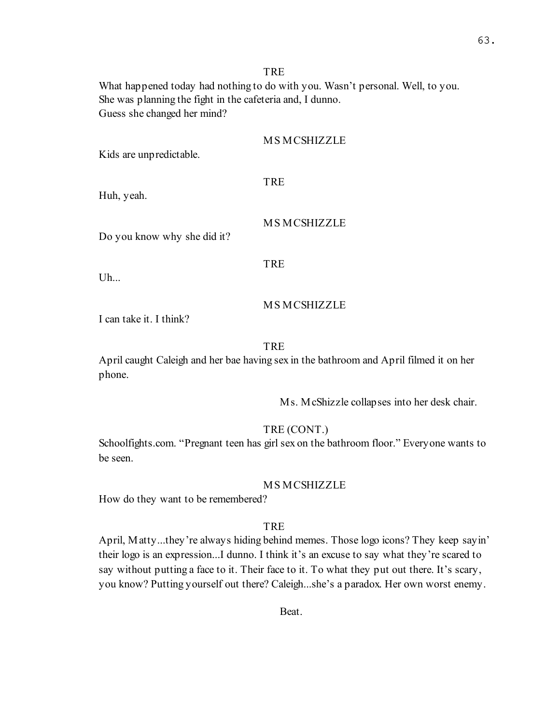What happened today had nothing to do with you. Wasn't personal. Well, to you. She was planning the fight in the cafeteria and, I dunno. Guess she changed her mind?

#### MS MCSHIZZLE

Kids are unpredictable.

#### **TRE**

Huh, yeah.

#### MS MCSHIZZLE

Do you know why she did it?

#### **TRE**

Uh...

# MS MCSHIZZLE

I can take it. I think?

#### **TRE**

April caught Caleigh and her bae having sex in the bathroom and April filmed it on her phone.

Ms. McShizzle collapses into her desk chair.

#### TRE (CONT.)

Schoolfights.com. "Pregnant teen has girl sex on the bathroom floor." Everyone wants to be seen.

#### MS MCSHIZZLE

How do they want to be remembered?

#### **TRE**

April, Matty...they're always hiding behind memes. Those logo icons? They keep sayin' their logo is an expression...I dunno. I think it's an excuse to say what they're scared to say without putting a face to it. Their face to it. To what they put out there. It's scary, you know? Putting yourself out there? Caleigh...she's a paradox. Her own worst enemy.

Beat.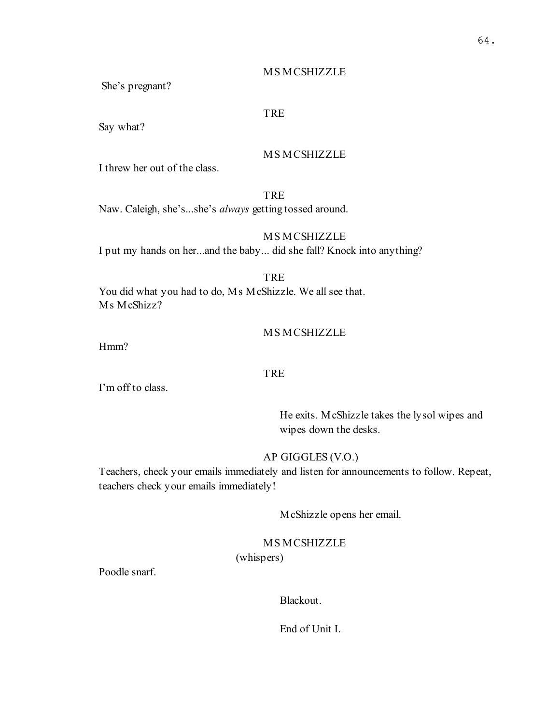# MS MCSHIZZLE

She's pregnant?

# TRE

Say what?

# MS MCSHIZZLE

I threw her out of the class.

TRE

Naw. Caleigh, she's...she's always getting tossed around.

# MS MCSHIZZLE

I put my hands on her...and the baby... did she fall? Knock into anything?

TRE

You did what you had to do, Ms McShizzle. We all see that. Ms McShizz?

# MS MCSHIZZLE

Hmm?

# TRE

I'm off to class.

He exits. McShizzle takes the lysol wipes and wipes down the desks.

# AP GIGGLES (V.O.)

Teachers, check your emails immediately and listen for announcements to follow. Repeat, teachers check your emails immediately!

McShizzle opens her email.

# MS MCSHIZZLE

(whispers)

Poodle snarf.

Blackout.

End of Unit I.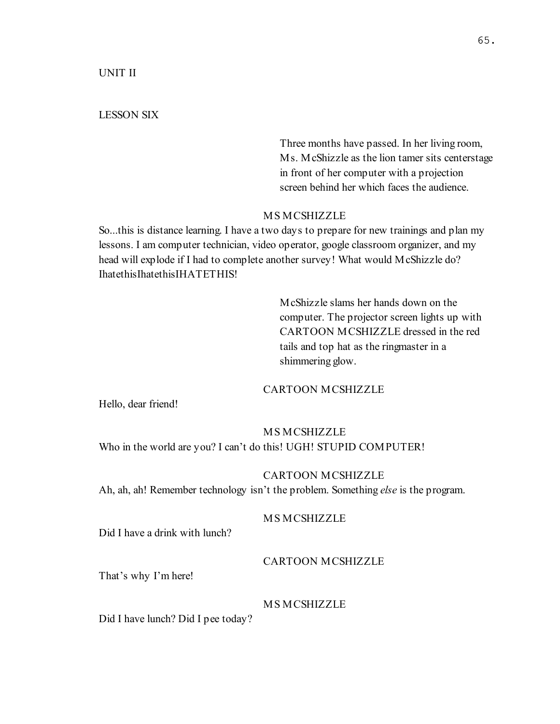UNIT II

#### LESSON SIX

Three months have passed. In her living room, Ms. McShizzle as the lion tamer sits centerstage in front of her computer with a projection screen behind her which faces the audience.

# MS MCSHIZZLE

So...this is distance learning. I have a two days to prepare for new trainings and plan my lessons. I am computer technician, video operator, google classroom organizer, and my head will explode if I had to complete another survey! What would McShizzle do? IhatethisIhatethisIHATETHIS!

> McShizzle slams her hands down on the computer. The projector screen lights up with CARTOON MCSHIZZLE dressed in the red tails and top hat as the ringmaster in a shimmering glow.

#### CARTOON MCSHIZZLE

Hello, dear friend!

# MS MCSHIZZLE

Who in the world are you? I can't do this! UGH! STUPID COMPUTER!

#### CARTOON MCSHIZZLE

Ah, ah, ah! Remember technology isn't the problem. Something *else* is the program.

# MS MCSHIZZLE

Did I have a drink with lunch?

#### CARTOON MCSHIZZLE

That's why I'm here!

# MS MCSHIZZLE

Did I have lunch? Did I pee today?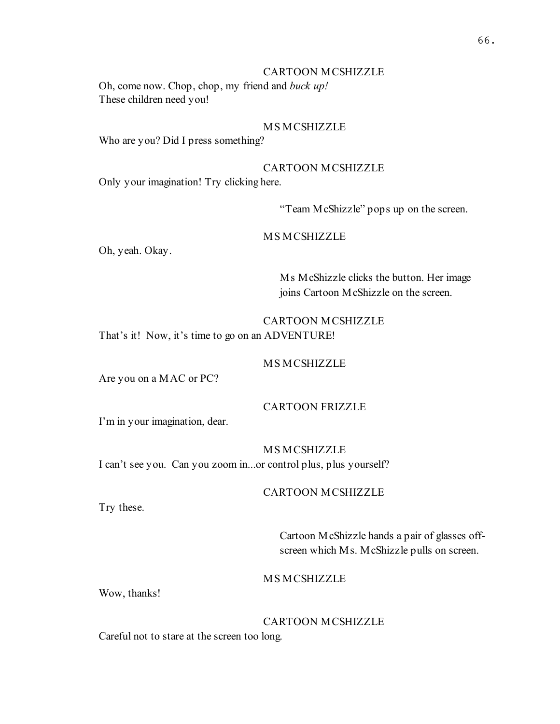# CARTOON MCSHIZZLE

Oh, come now. Chop, chop, my friend and buck up! These children need you!

#### MS MCSHIZZLE

Who are you? Did I press something?

# CARTOON MCSHIZZLE

Only your imagination! Try clicking here.

"Team McShizzle" pops up on the screen.

# MS MCSHIZZLE

Oh, yeah. Okay.

Ms McShizzle clicks the button. Her image joins Cartoon McShizzle on the screen.

# CARTOON MCSHIZZLE That's it! Now, it's time to go on an ADVENTURE!

#### MS MCSHIZZLE

Are you on a MAC or PC?

# CARTOON FRIZZLE

I'm in your imagination, dear.

#### MS MCSHIZZLE

I can't see you. Can you zoom in...or control plus, plus yourself?

# CARTOON MCSHIZZLE

Try these.

Cartoon McShizzle hands a pair of glasses offscreen which Ms. McShizzle pulls on screen.

# MS MCSHIZZLE

Wow, thanks!

# CARTOON MCSHIZZLE

Careful not to stare at the screen too long.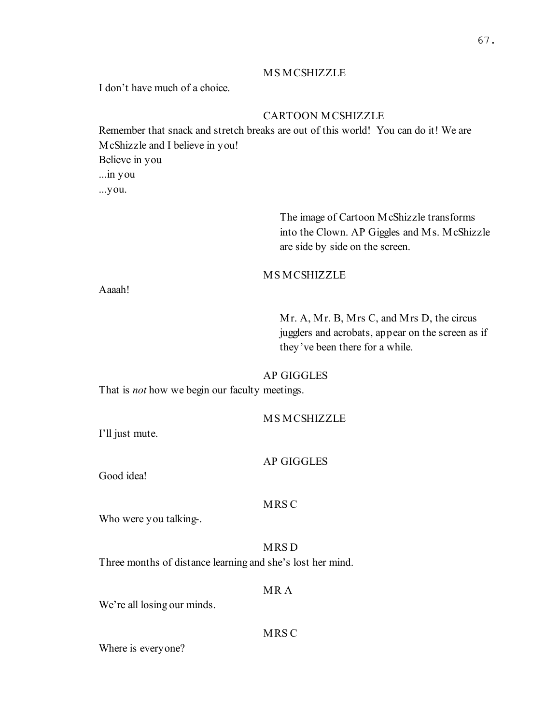# MS MCSHIZZLE

I don't have much of a choice.

# CARTOON MCSHIZZLE

Remember that snack and stretch breaks are out of this world! You can do it! We are McShizzle and I believe in you! Believe in you ...in you ...you.

> The image of Cartoon McShizzle transforms into the Clown. AP Giggles and Ms. McShizzle are side by side on the screen.

# **MS MCSHIZZLE**

Aaaah!

Mr. A, Mr. B, Mrs C, and Mrs D, the circus jugglers and acrobats, appear on the screen as if they've been there for a while.

# AP GIGGLES

That is *not* how we begin our faculty meetings.

# MS MCSHIZZLE

I'll just mute.

#### AP GIGGLES

Good idea!

#### MRS C

Who were you talking-.

# MRS D

Three months of distance learning and she's lost her mind.

# MR A

We're all losing our minds.

# MRS C

Where is everyone?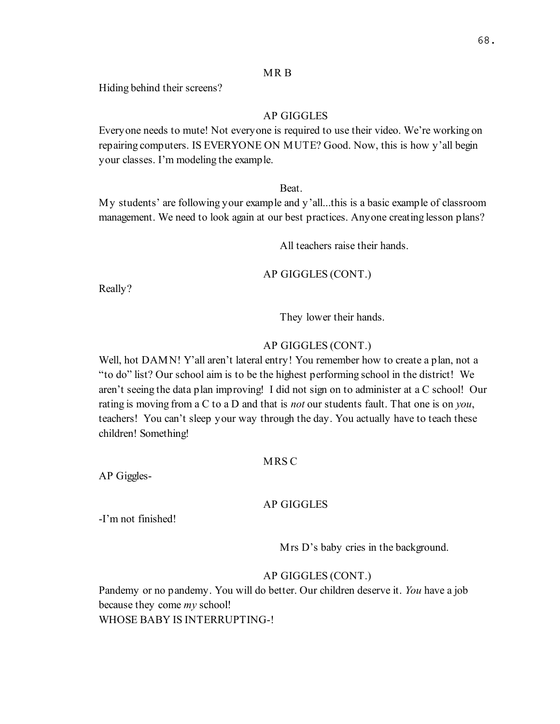#### MR B

Hiding behind their screens?

# AP GIGGLES

Everyone needs to mute! Not everyone is required to use their video. We're working on repairing computers. IS EVERYONE ON MUTE? Good. Now, this is how y'all begin your classes. I'm modeling the example.

Beat.

My students' are following your example and y'all...this is a basic example of classroom management. We need to look again at our best practices. Anyone creating lesson plans?

All teachers raise their hands.

AP GIGGLES (CONT.)

Really?

They lower their hands.

#### AP GIGGLES (CONT.)

Well, hot DAMN! Y'all aren't lateral entry! You remember how to create a plan, not a "to do" list? Our school aim is to be the highest performing school in the district! We aren't seeing the data plan improving! I did not sign on to administer at a C school! Our rating is moving from a C to a D and that is not our students fault. That one is on you, teachers! You can't sleep your way through the day. You actually have to teach these children! Something!

#### MRS C

AP Giggles-

#### AP GIGGLES

-I'm not finished!

Mrs D's baby cries in the background.

#### AP GIGGLES (CONT.)

Pandemy or no pandemy. You will do better. Our children deserve it. You have a job because they come *my* school! WHOSE BABY IS INTERRUPTING-!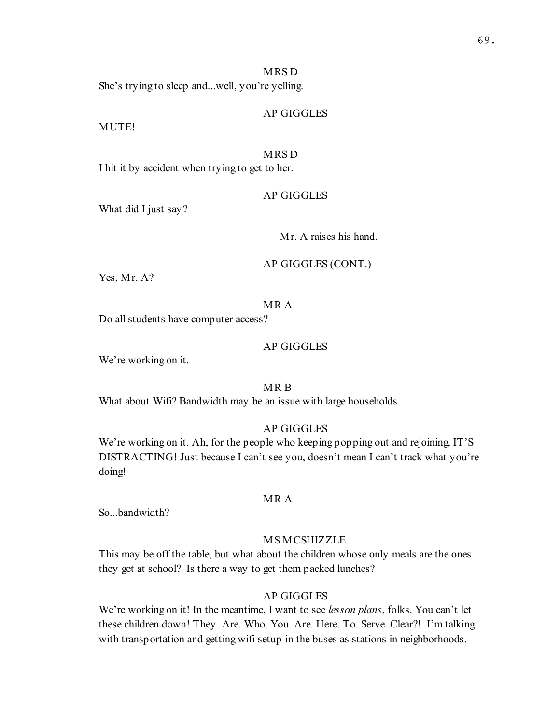#### MRS D

She's trying to sleep and...well, you're yelling.

# AP GIGGLES

MUTE!

#### MRS D

I hit it by accident when trying to get to her.

#### AP GIGGLES

What did I just say?

Mr. A raises his hand.

# AP GIGGLES (CONT.)

Yes, Mr. A?

# MR A

Do all students have computer access?

# AP GIGGLES

We're working on it.

# MR B

What about Wifi? Bandwidth may be an issue with large households.

# AP GIGGLES

We're working on it. Ah, for the people who keeping popping out and rejoining, IT'S DISTRACTING! Just because I can't see you, doesn't mean I can't track what you're doing!

#### MR A

So...bandwidth?

# MS MCSHIZZLE

This may be off the table, but what about the children whose only meals are the ones they get at school? Is there a way to get them packed lunches?

#### AP GIGGLES

We're working on it! In the meantime, I want to see *lesson plans*, folks. You can't let these children down! They. Are. Who. You. Are. Here. To. Serve. Clear?! I'm talking with transportation and getting wifi setup in the buses as stations in neighborhoods.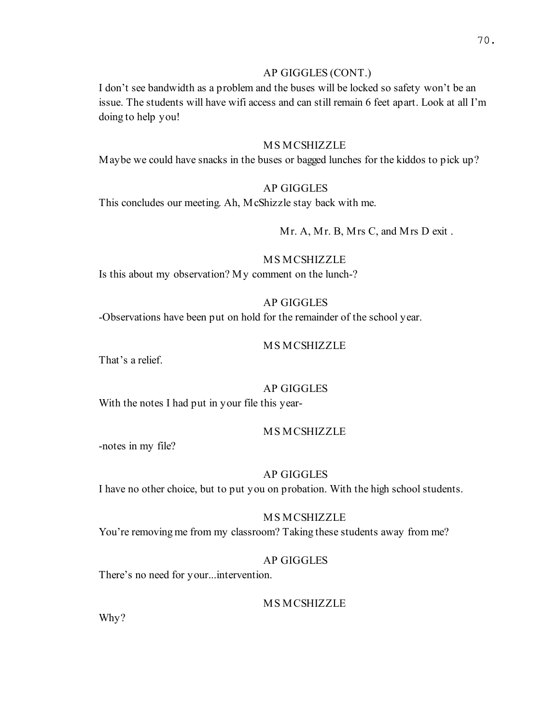# AP GIGGLES (CONT.)

I don't see bandwidth as a problem and the buses will be locked so safety won't be an issue. The students will have wifi access and can still remain 6 feet apart. Look at all I'm doing to help you!

#### MS MCSHIZZLE

Maybe we could have snacks in the buses or bagged lunches for the kiddos to pick up?

# AP GIGGLES

This concludes our meeting. Ah, McShizzle stay back with me.

# Mr. A, Mr. B, Mrs C, and Mrs D exit .

# MS MCSHIZZLE

Is this about my observation? My comment on the lunch-?

# AP GIGGLES

-Observations have been put on hold for the remainder of the school year.

# MS MCSHIZZLE

That's a relief.

# AP GIGGLES

With the notes I had put in your file this year-

#### MS MCSHIZZLE

-notes in my file?

# AP GIGGLES

I have no other choice, but to put you on probation. With the high school students.

## MS MCSHIZZLE

You're removing me from my classroom? Taking these students away from me?

# AP GIGGLES

There's no need for your...intervention.

# MS MCSHIZZLE

Why?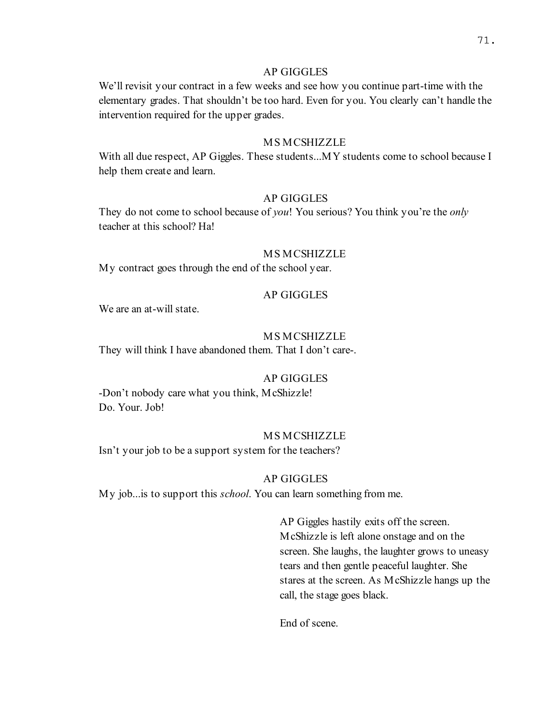# AP GIGGLES

We'll revisit your contract in a few weeks and see how you continue part-time with the elementary grades. That shouldn't be too hard. Even for you. You clearly can't handle the intervention required for the upper grades.

#### MS MCSHIZZLE

With all due respect, AP Giggles. These students...MY students come to school because I help them create and learn.

# AP GIGGLES

They do not come to school because of *you*! You serious? You think you're the *only* teacher at this school? Ha!

# MS MCSHIZZLE

My contract goes through the end of the school year.

# AP GIGGLES

We are an at-will state.

#### MS MCSHIZZLE

They will think I have abandoned them. That I don't care-.

# AP GIGGLES

-Don't nobody care what you think, McShizzle! Do. Your. Job!

#### MS MCSHIZZLE

Isn't your job to be a support system for the teachers?

#### AP GIGGLES

My job...is to support this school. You can learn something from me.

AP Giggles hastily exits off the screen. McShizzle is left alone onstage and on the screen. She laughs, the laughter grows to uneasy tears and then gentle peaceful laughter. She stares at the screen. As McShizzle hangs up the call, the stage goes black.

End of scene.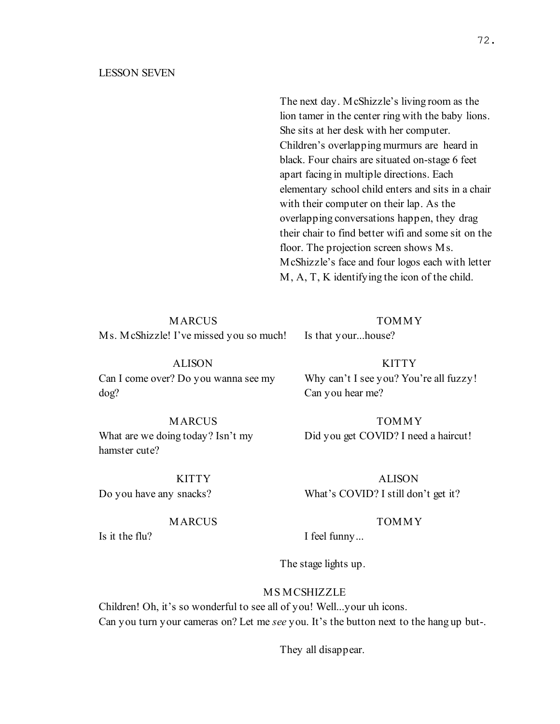#### LESSON SEVEN

The next day. McShizzle's living room as the lion tamer in the center ring with the baby lions. She sits at her desk with her computer. Children's overlapping murmurs are heard in black. Four chairs are situated on-stage 6 feet apart facing in multiple directions. Each elementary school child enters and sits in a chair with their computer on their lap. As the overlapping conversations happen, they drag their chair to find better wifi and some sit on the floor. The projection screen shows Ms. McShizzle's face and four logos each with letter M, A, T, K identifying the icon of the child.

MARCUS Ms. McShizzle! I've missed you so much!

# TOMMY

Is that your...house?

KITTY Why can't I see you? You're all fuzzy! Can you hear me?

> TOMMY Did you get COVID? I need a haircut!

ALISON What's COVID? I still don't get it?

#### TOMMY

I feel funny...

The stage lights up.

# MS MCSHIZZLE

Children! Oh, it's so wonderful to see all of you! Well...your uh icons. Can you turn your cameras on? Let me see you. It's the button next to the hang up but-.

They all disappear.

ALISON Can I come over? Do you wanna see my dog?

**MARCUS** 

MARCUS What are we doing today? Isn't my hamster cute?

KITTY Do you have any snacks?

Is it the flu?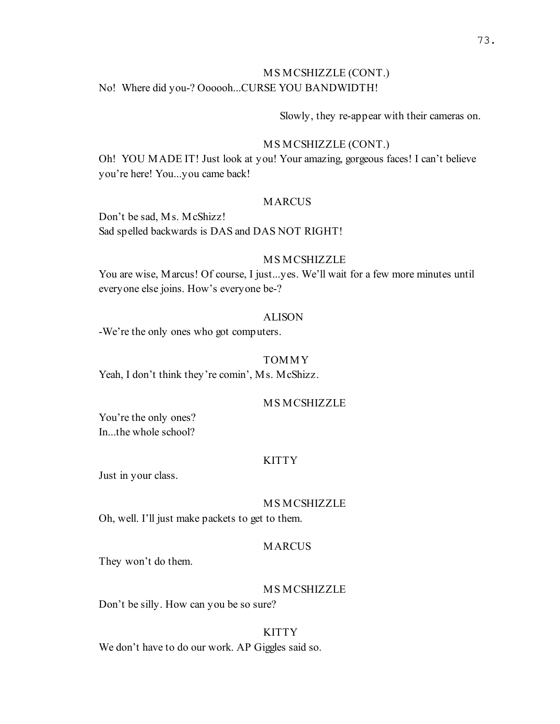# MS MCSHIZZLE (CONT.) No! Where did you-? Oooooh...CURSE YOU BANDWIDTH!

#### Slowly, they re-appear with their cameras on.

#### MS MCSHIZZLE (CONT.)

Oh! YOU MADE IT! Just look at you! Your amazing, gorgeous faces! I can't believe you're here! You...you came back!

#### MARCUS

Don't be sad, Ms. McShizz! Sad spelled backwards is DAS and DAS NOT RIGHT!

#### MS MCSHIZZLE

You are wise, Marcus! Of course, I just...yes. We'll wait for a few more minutes until everyone else joins. How's everyone be-?

# ALISON

-We're the only ones who got computers.

#### TOMMY

Yeah, I don't think they're comin', Ms. McShizz.

#### MS MCSHIZZLE

You're the only ones? In...the whole school?

#### KITTY

Just in your class.

#### MS MCSHIZZLE

Oh, well. I'll just make packets to get to them.

#### MARCUS

They won't do them.

#### MS MCSHIZZLE

Don't be silly. How can you be so sure?

#### **KITTY**

We don't have to do our work. AP Giggles said so.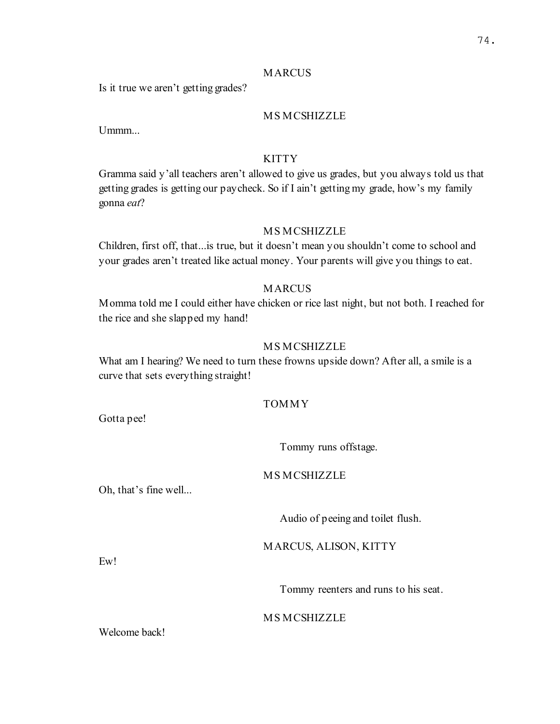#### MARCUS

Is it true we aren't getting grades?

# MS MCSHIZZLE

Ummm...

# **KITTY**

Gramma said y'all teachers aren't allowed to give us grades, but you always told us that getting grades is getting our paycheck. So if I ain't getting my grade, how's my family gonna eat?

# MS MCSHIZZLE

Children, first off, that...is true, but it doesn't mean you shouldn't come to school and your grades aren't treated like actual money. Your parents will give you things to eat.

# **MARCUS**

Momma told me I could either have chicken or rice last night, but not both. I reached for the rice and she slapped my hand!

# MS MCSHIZZLE

What am I hearing? We need to turn these frowns upside down? After all, a smile is a curve that sets everything straight!

# TOMMY

Gotta pee!

Tommy runs offstage.

# MS MCSHIZZLE

Oh, that's fine well...

Audio of peeing and toilet flush.

MARCUS, ALISON, KITTY

Ew!

Tommy reenters and runs to his seat.

#### MS MCSHIZZLE

Welcome back!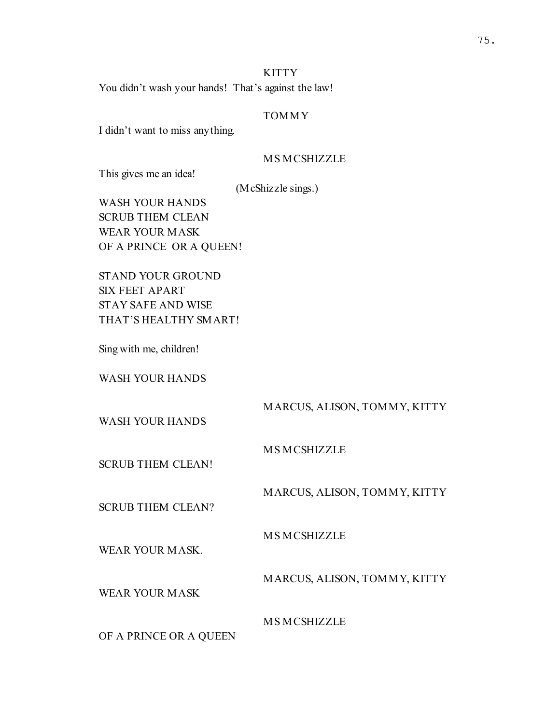# KITTY

You didn't wash your hands! That's against the law!

# TOMMY

I didn't want to miss anything.

# MS MCSHIZZLE

This gives me an idea!

(McShizzle sings.)

WASH YOUR HANDS SCRUB THEM CLEAN WEAR YOUR MASK OF A PRINCE OR A QUEEN!

STAND YOUR GROUND SIX FEET APART STAY SAFE AND WISE THAT'S HEALTHY SMART!

Sing with me, children!

WASH YOUR HANDS

MARCUS, ALISON, TOMMY, KITTY

WASH YOUR HANDS

MS MCSHIZZLE

SCRUB THEM CLEAN!

MARCUS, ALISON, TOMMY, KITTY

SCRUB THEM CLEAN?

MS MCSHIZZLE

WEAR YOUR MASK.

MARCUS, ALISON, TOMMY, KITTY

WEAR YOUR MASK

MS MCSHIZZLE

OF A PRINCE OR A QUEEN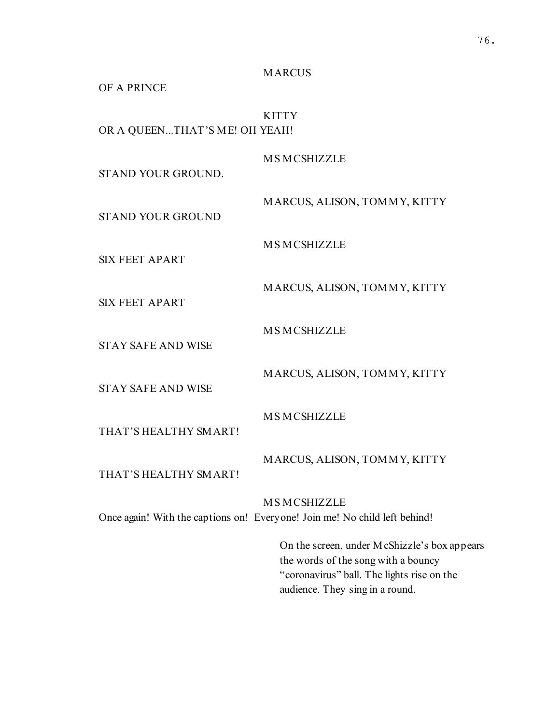MARCUS

OF A PRINCE

**KITTY** OR A QUEEN...THAT'S ME! OH YEAH!

MS MCSHIZZLE

STAND YOUR GROUND.

STAND YOUR GROUND

MS MCSHIZZLE

MS MCSHIZZLE

SIX FEET APART

MARCUS, ALISON, TOMMY, KITTY

MARCUS, ALISON, TOMMY, KITTY

SIX FEET APART

STAY SAFE AND WISE

MARCUS, ALISON, TOMMY, KITTY

STAY SAFE AND WISE

THAT'S HEALTHY SMART!

MS MCSHIZZLE THAT'S HEALTHY SMART!

MARCUS, ALISON, TOMMY, KITTY

MS MCSHIZZLE

Once again! With the captions on! Everyone! Join me! No child left behind!

On the screen, under McShizzle's box appears the words of the song with a bouncy "coronavirus" ball. The lights rise on the audience. They sing in a round.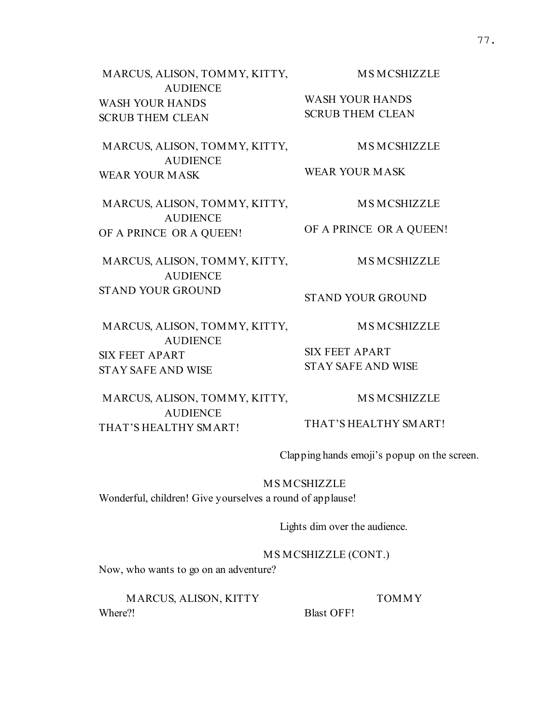MARCUS, ALISON, TOMMY, KITTY, AUDIENCE WASH YOUR HANDS SCRUB THEM CLEAN MS MCSHIZZLE WASH YOUR HANDS SCRUB THEM CLEAN MARCUS, ALISON, TOMMY, KITTY, AUDIENCE MS MCSHIZZLE WEAR YOUR MASK MARCUS, ALISON, TOMMY, KITTY, AUDIENCE OF A PRINCE OR A QUEEN! MS MCSHIZZLE OF A PRINCE OR A QUEEN! MARCUS, ALISON, TOMMY, KITTY, AUDIENCE STAND YOUR GROUND MS MCSHIZZLE STAND YOUR GROUND MARCUS, ALISON, TOMMY, KITTY, AUDIENCE SIX FEET APART STAY SAFE AND WISE MS MCSHIZZLE SIX FEET APART STAY SAFE AND WISE MARCUS, ALISON, TOMMY, KITTY, MS MCSHIZZLE

AUDIENCE THAT'S HEALTHY SMART!

Clapping hands emoji's popup on the screen.

TOMMY

THAT'S HEALTHY SMART!

MS MCSHIZZLE

Wonderful, children! Give yourselves a round of applause!

Lights dim over the audience.

MS MCSHIZZLE (CONT.)

Now, who wants to go on an adventure?

MARCUS, ALISON, KITTY Where?!

Blast OFF!

WEAR YOUR MASK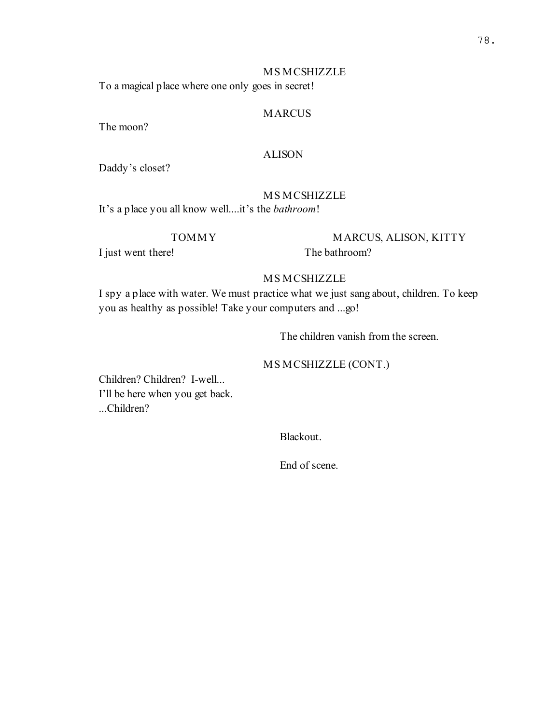# 78.

# MS MCSHIZZLE

To a magical place where one only goes in secret!

# **MARCUS**

The moon?

#### ALISON

Daddy's closet?

#### MS MCSHIZZLE

It's a place you all know well....it's the *bathroom*!

TOMMY

I just went there!

MARCUS, ALISON, KITTY The bathroom?

# MS MCSHIZZLE

I spy a place with water. We must practice what we just sang about, children. To keep you as healthy as possible! Take your computers and ...go!

The children vanish from the screen.

# MS MCSHIZZLE (CONT.)

Children? Children? I-well... I'll be here when you get back. ...Children?

Blackout.

End of scene.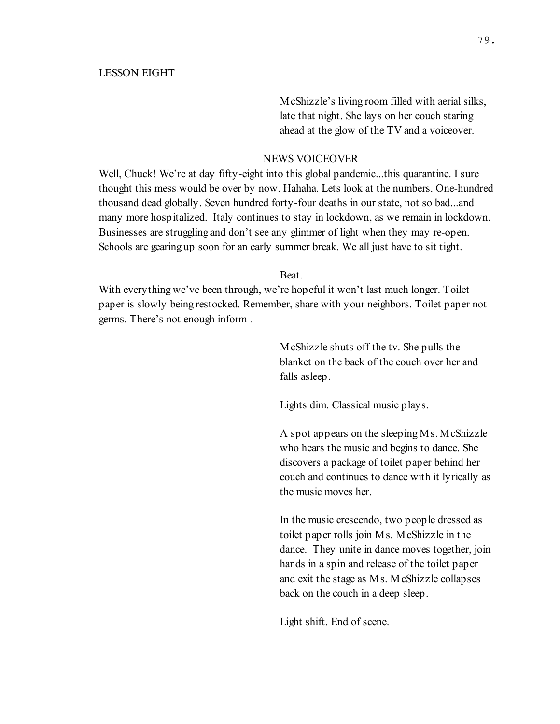McShizzle's living room filled with aerial silks, late that night. She lays on her couch staring ahead at the glow of the TV and a voiceover.

#### NEWS VOICEOVER

Well, Chuck! We're at day fifty-eight into this global pandemic...this quarantine. I sure thought this mess would be over by now. Hahaha. Lets look at the numbers. One-hundred thousand dead globally. Seven hundred forty-four deaths in our state, not so bad...and many more hospitalized. Italy continues to stay in lockdown, as we remain in lockdown. Businesses are struggling and don't see any glimmer of light when they may re-open. Schools are gearing up soon for an early summer break. We all just have to sit tight.

Beat.

With everything we've been through, we're hopeful it won't last much longer. Toilet paper is slowly being restocked. Remember, share with your neighbors. Toilet paper not germs. There's not enough inform-.

> McShizzle shuts off the tv. She pulls the blanket on the back of the couch over her and falls asleep.

Lights dim. Classical music plays.

A spot appears on the sleeping Ms. McShizzle who hears the music and begins to dance. She discovers a package of toilet paper behind her couch and continues to dance with it lyrically as the music moves her.

In the music crescendo, two people dressed as toilet paper rolls join Ms. McShizzle in the dance. They unite in dance moves together, join hands in a spin and release of the toilet paper and exit the stage as Ms. McShizzle collapses back on the couch in a deep sleep.

Light shift. End of scene.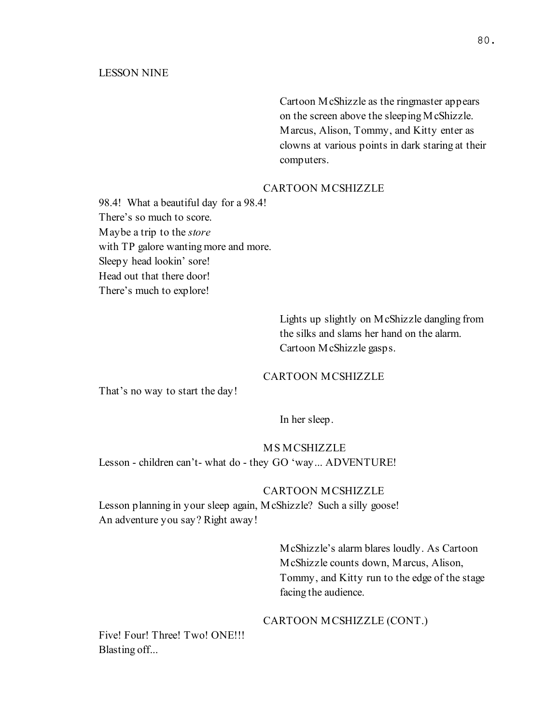Cartoon McShizzle as the ringmaster appears on the screen above the sleeping McShizzle. Marcus, Alison, Tommy, and Kitty enter as clowns at various points in dark staring at their computers.

# CARTOON MCSHIZZLE

98.4! What a beautiful day for a 98.4! There's so much to score. Maybe a trip to the store with TP galore wanting more and more. Sleepy head lookin' sore! Head out that there door! There's much to explore!

> Lights up slightly on McShizzle dangling from the silks and slams her hand on the alarm. Cartoon McShizzle gasps.

#### CARTOON MCSHIZZLE

That's no way to start the day!

In her sleep.

# MS MCSHIZZLE

Lesson - children can't- what do - they GO 'way... ADVENTURE!

#### CARTOON MCSHIZZLE

Lesson planning in your sleep again, McShizzle? Such a silly goose! An adventure you say? Right away!

> McShizzle's alarm blares loudly. As Cartoon McShizzle counts down, Marcus, Alison, Tommy, and Kitty run to the edge of the stage facing the audience.

#### CARTOON MCSHIZZLE (CONT.)

Five! Four! Three! Two! ONE!!! Blasting off...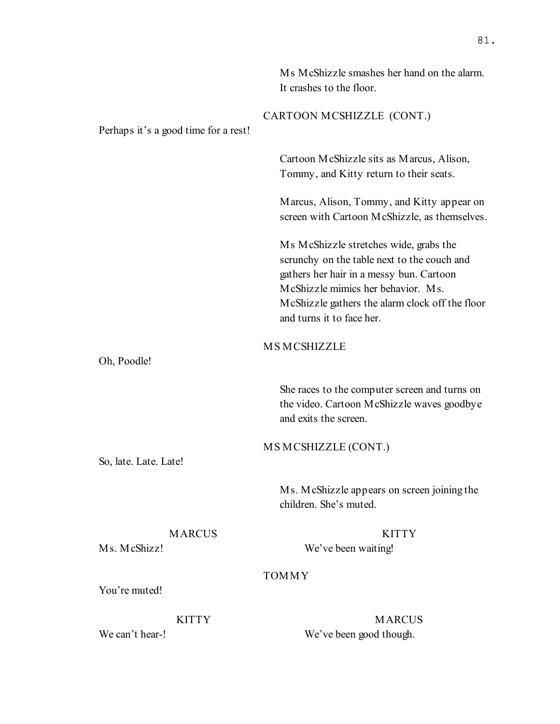|                                      | Ms McShizzle smashes her hand on the alarm.<br>It crashes to the floor.                                                                                                                                                                                 |
|--------------------------------------|---------------------------------------------------------------------------------------------------------------------------------------------------------------------------------------------------------------------------------------------------------|
| Perhaps it's a good time for a rest! | CARTOON MCSHIZZLE (CONT.)                                                                                                                                                                                                                               |
|                                      | Cartoon McShizzle sits as Marcus, Alison,<br>Tommy, and Kitty return to their seats.                                                                                                                                                                    |
|                                      | Marcus, Alison, Tommy, and Kitty appear on<br>screen with Cartoon McShizzle, as themselves.                                                                                                                                                             |
|                                      | Ms McShizzle stretches wide, grabs the<br>scrunchy on the table next to the couch and<br>gathers her hair in a messy bun. Cartoon<br>McShizzle mimics her behavior. Ms.<br>McShizzle gathers the alarm clock off the floor<br>and turns it to face her. |
| Oh, Poodle!                          | <b>MSMCSHIZZLE</b>                                                                                                                                                                                                                                      |
|                                      | She races to the computer screen and turns on<br>the video. Cartoon McShizzle waves goodbye<br>and exits the screen.                                                                                                                                    |
| So, late. Late. Late!                | MS MCSHIZZLE (CONT.)                                                                                                                                                                                                                                    |
|                                      | Ms. McShizzle appears on screen joining the<br>children. She's muted.                                                                                                                                                                                   |
| <b>MARCUS</b><br>Ms. McShizz!        | <b>KITTY</b><br>We've been waiting!                                                                                                                                                                                                                     |
|                                      | <b>TOMMY</b>                                                                                                                                                                                                                                            |
| You're muted!                        |                                                                                                                                                                                                                                                         |
| <b>KITTY</b><br>We can't hear-!      | <b>MARCUS</b>                                                                                                                                                                                                                                           |
|                                      | We've been good though.                                                                                                                                                                                                                                 |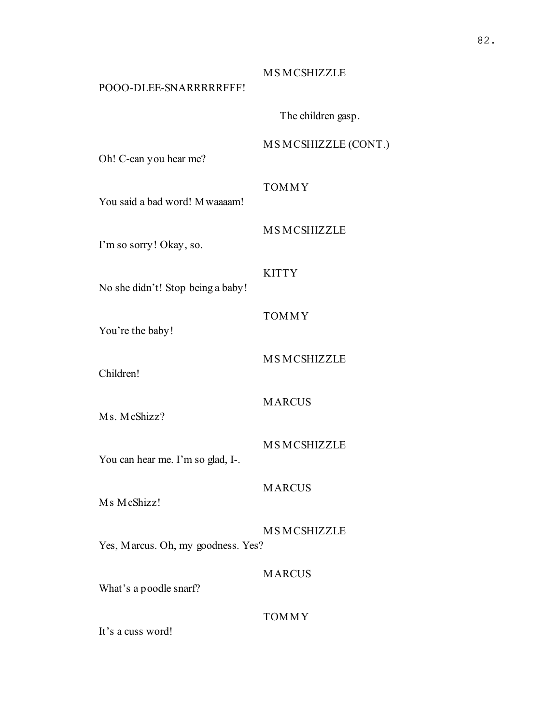#### MS MCSHIZZLE

# POOO-DLEE-SNARRRRRFFF!

The children gasp.

#### MS MCSHIZZLE (CONT.)

Oh! C-can you hear me?

# TOMMY

MS MCSHIZZLE

You said a bad word! Mwaaaam!

I'm so sorry! Okay, so.

# **KITTY**

No she didn't! Stop being a baby!

# TOMMY

You're the baby!

Children!

# MARCUS

Ms. McShizz?

# MS MCSHIZZLE

MS MCSHIZZLE

You can hear me. I'm so glad, I-.

# MARCUS

Ms McShizz!

# MS MCSHIZZLE

Yes, Marcus. Oh, my goodness. Yes?

### **MARCUS**

What's a poodle snarf?

#### TOMMY

It's a cuss word!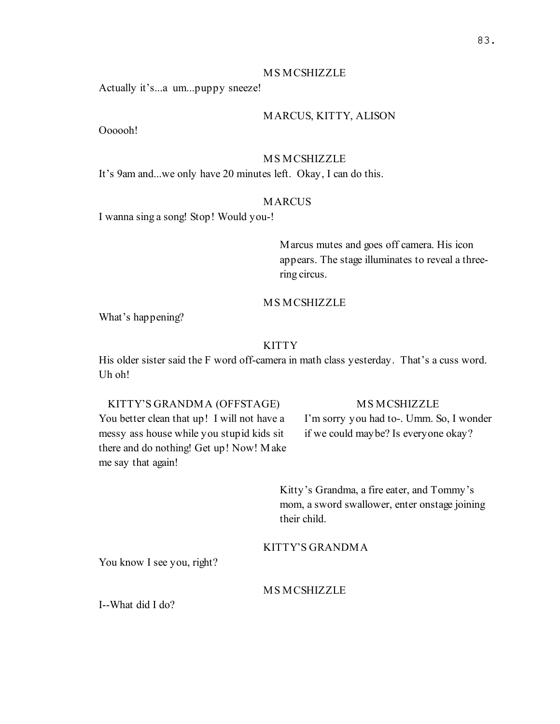#### MS MCSHIZZLE

Actually it's...a um...puppy sneeze!

# MARCUS, KITTY, ALISON

Oooooh!

#### MS MCSHIZZLE

It's 9am and...we only have 20 minutes left. Okay, I can do this.

# MARCUS

I wanna sing a song! Stop! Would you-!

Marcus mutes and goes off camera. His icon appears. The stage illuminates to reveal a threering circus.

#### MS MCSHIZZLE

What's happening?

#### KITTY

His older sister said the F word off-camera in math class yesterday. That's a cuss word. Uh oh!

### KITTY'S GRANDMA (OFFSTAGE)

You better clean that up! I will not have a messy ass house while you stupid kids sit there and do nothing! Get up! Now! Make me say that again!

#### MS MCSHIZZLE

I'm sorry you had to-. Umm. So, I wonder if we could maybe? Is everyone okay?

Kitty's Grandma, a fire eater, and Tommy's mom, a sword swallower, enter onstage joining their child.

KITTY'S GRANDMA

You know I see you, right?

# **MS MCSHIZZLE**

I--What did I do?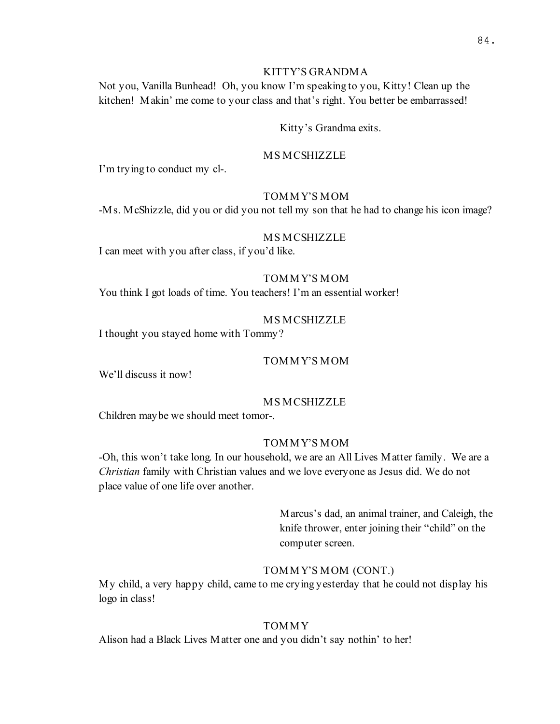# KITTY'S GRANDMA

Not you, Vanilla Bunhead! Oh, you know I'm speaking to you, Kitty! Clean up the kitchen! Makin' me come to your class and that's right. You better be embarrassed!

#### Kitty's Grandma exits.

#### MS MCSHIZZLE

I'm trying to conduct my cl-.

# TOMMY'S MOM

-Ms. McShizzle, did you or did you not tell my son that he had to change his icon image?

# MS MCSHIZZLE

I can meet with you after class, if you'd like.

# TOMMY'S MOM

You think I got loads of time. You teachers! I'm an essential worker!

## MS MCSHIZZLE

I thought you stayed home with Tommy?

# TOMMY'S MOM

We'll discuss it now!

#### MS MCSHIZZLE

Children maybe we should meet tomor-.

# TOMMY'S MOM

-Oh, this won't take long. In our household, we are an All Lives Matter family. We are a Christian family with Christian values and we love everyone as Jesus did. We do not place value of one life over another.

> Marcus's dad, an animal trainer, and Caleigh, the knife thrower, enter joining their "child" on the computer screen.

#### TOMMY'S MOM (CONT.)

My child, a very happy child, came to me crying yesterday that he could not display his logo in class!

#### TOMMY

Alison had a Black Lives Matter one and you didn't say nothin' to her!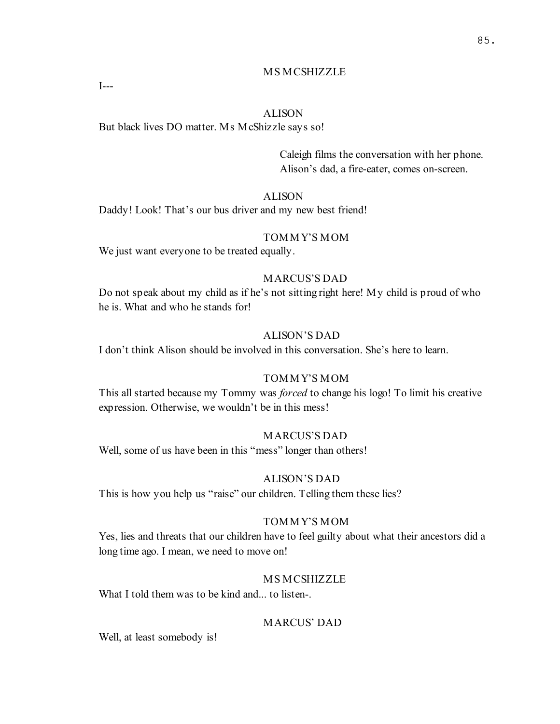# MS MCSHIZZLE

#### ALISON

But black lives DO matter. Ms McShizzle says so!

I---

Caleigh films the conversation with her phone. Alison's dad, a fire-eater, comes on-screen.

# ALISON

Daddy! Look! That's our bus driver and my new best friend!

# TOMMY'S MOM

We just want everyone to be treated equally.

# MARCUS'S DAD

Do not speak about my child as if he's not sitting right here! My child is proud of who he is. What and who he stands for!

# ALISON'S DAD

I don't think Alison should be involved in this conversation. She's here to learn.

# TOMMY'S MOM

This all started because my Tommy was *forced* to change his logo! To limit his creative expression. Otherwise, we wouldn't be in this mess!

#### MARCUS'S DAD

Well, some of us have been in this "mess" longer than others!

#### ALISON'S DAD

This is how you help us "raise" our children. Telling them these lies?

#### TOMMY'S MOM

Yes, lies and threats that our children have to feel guilty about what their ancestors did a long time ago. I mean, we need to move on!

# MS MCSHIZZLE

What I told them was to be kind and... to listen-.

# MARCUS' DAD

Well, at least somebody is!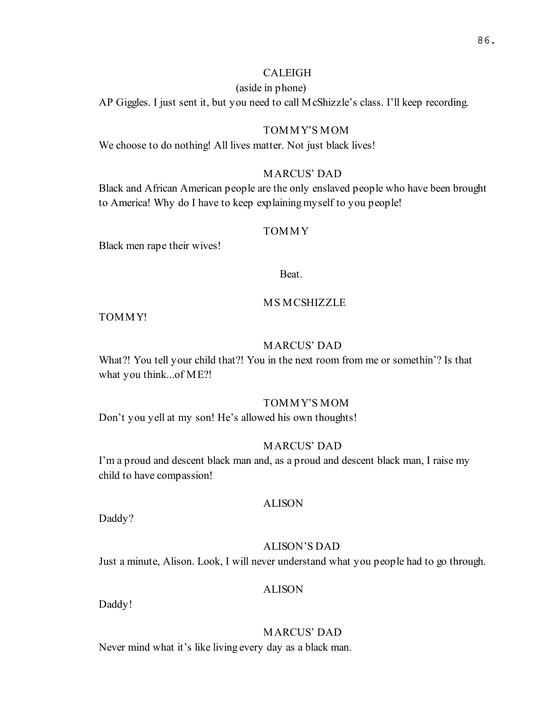# CALEIGH

(aside in phone)

AP Giggles. I just sent it, but you need to call McShizzle's class. I'll keep recording.

#### TOMMY'S MOM

We choose to do nothing! All lives matter. Not just black lives!

# MARCUS' DAD

Black and African American people are the only enslaved people who have been brought to America! Why do I have to keep explaining myself to you people!

#### TOMMY

Black men rape their wives!

Beat.

#### MS MCSHIZZLE

TOMMY!

#### MARCUS' DAD

What?! You tell your child that?! You in the next room from me or somethin'? Is that what you think...of ME?!

#### TOMMY'S MOM

Don't you yell at my son! He's allowed his own thoughts!

#### MARCUS' DAD

I'm a proud and descent black man and, as a proud and descent black man, I raise my child to have compassion!

#### ALISON

Daddy?

#### ALISON'S DAD

Just a minute, Alison. Look, I will never understand what you people had to go through.

# ALISON

Daddy!

# MARCUS' DAD

Never mind what it's like living every day as a black man.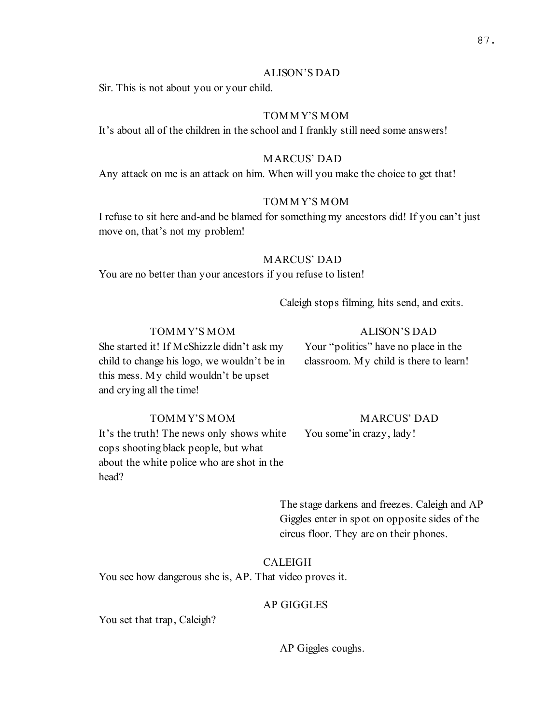#### ALISON'S DAD

Sir. This is not about you or your child.

## TOMMY'S MOM

It's about all of the children in the school and I frankly still need some answers!

# MARCUS' DAD

Any attack on me is an attack on him. When will you make the choice to get that!

# TOMMY'S MOM

I refuse to sit here and-and be blamed for something my ancestors did! If you can't just move on, that's not my problem!

#### MARCUS' DAD

You are no better than your ancestors if you refuse to listen!

Caleigh stops filming, hits send, and exits.

# TOMMY'S MOM

#### ALISON'S DAD

She started it! If McShizzle didn't ask my child to change his logo, we wouldn't be in this mess. My child wouldn't be upset and crying all the time!

Your "politics" have no place in the classroom. My child is there to learn!

# TOMMY'S MOM

It's the truth! The news only shows white cops shooting black people, but what about the white police who are shot in the head?

# MARCUS' DAD

You some'in crazy, lady!

The stage darkens and freezes. Caleigh and AP Giggles enter in spot on opposite sides of the circus floor. They are on their phones.

#### CALEIGH

You see how dangerous she is, AP. That video proves it.

# AP GIGGLES

You set that trap, Caleigh?

AP Giggles coughs.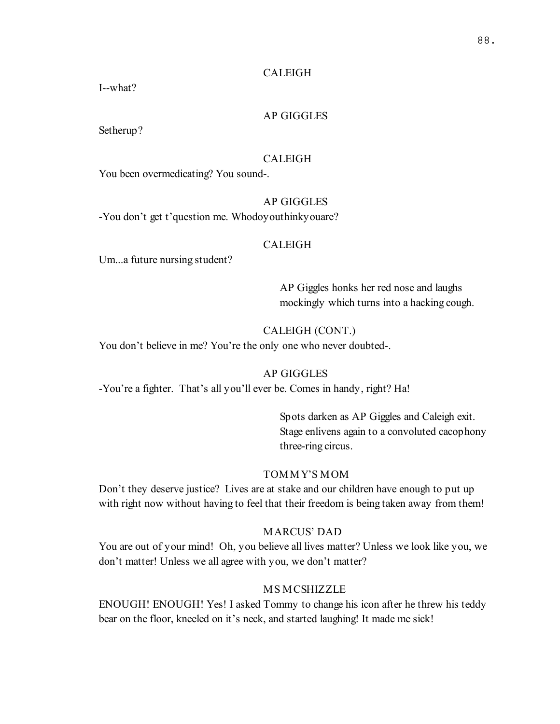# CALEIGH

I--what?

# AP GIGGLES

Setherup?

#### CALEIGH

You been overmedicating? You sound-.

# AP GIGGLES

-You don't get t'question me. Whodoyouthinkyouare?

#### CALEIGH

Um...a future nursing student?

AP Giggles honks her red nose and laughs mockingly which turns into a hacking cough.

# CALEIGH (CONT.)

You don't believe in me? You're the only one who never doubted-.

# AP GIGGLES

-You're a fighter. That's all you'll ever be. Comes in handy, right? Ha!

Spots darken as AP Giggles and Caleigh exit. Stage enlivens again to a convoluted cacophony three-ring circus.

# TOMMY'S MOM

Don't they deserve justice? Lives are at stake and our children have enough to put up with right now without having to feel that their freedom is being taken away from them!

# MARCUS' DAD

You are out of your mind! Oh, you believe all lives matter? Unless we look like you, we don't matter! Unless we all agree with you, we don't matter?

# MS MCSHIZZLE

ENOUGH! ENOUGH! Yes! I asked Tommy to change his icon after he threw his teddy bear on the floor, kneeled on it's neck, and started laughing! It made me sick!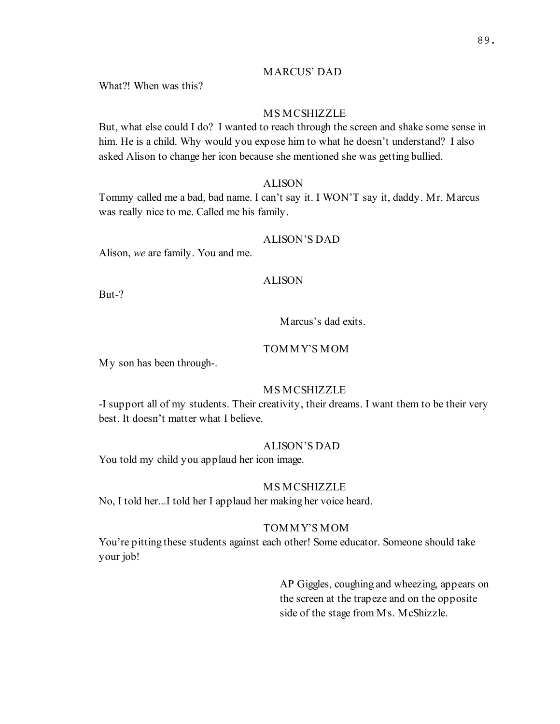# MARCUS' DAD

What?! When was this?

# MS MCSHIZZLE

But, what else could I do? I wanted to reach through the screen and shake some sense in him. He is a child. Why would you expose him to what he doesn't understand? I also asked Alison to change her icon because she mentioned she was getting bullied.

#### ALISON

Tommy called me a bad, bad name. I can't say it. I WON'T say it, daddy. Mr. Marcus was really nice to me. Called me his family.

#### ALISON'S DAD

Alison, we are family. You and me.

#### ALISON

But-?

# Marcus's dad exits.

# TOMMY'S MOM

My son has been through-.

# MS MCSHIZZLE

-I support all of my students. Their creativity, their dreams. I want them to be their very best. It doesn't matter what I believe.

#### ALISON'S DAD

You told my child you applaud her icon image.

#### MS MCSHIZZLE

No, I told her...I told her I applaud her making her voice heard.

# TOMMY'S MOM

You're pitting these students against each other! Some educator. Someone should take your job!

> AP Giggles, coughing and wheezing, appears on the screen at the trapeze and on the opposite side of the stage from Ms. McShizzle.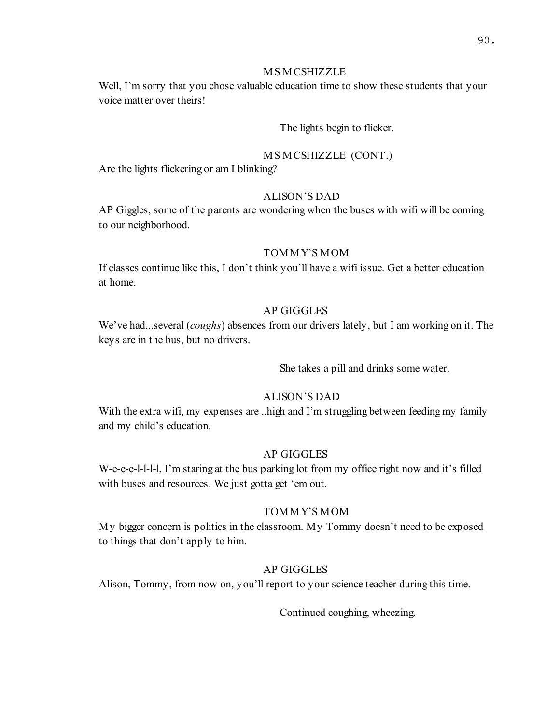# MS MCSHIZZLE

Well, I'm sorry that you chose valuable education time to show these students that your voice matter over theirs!

# The lights begin to flicker.

#### MS MCSHIZZLE (CONT.)

Are the lights flickering or am I blinking?

# ALISON'S DAD

AP Giggles, some of the parents are wondering when the buses with wifi will be coming to our neighborhood.

# TOMMY'S MOM

If classes continue like this, I don't think you'll have a wifi issue. Get a better education at home.

# AP GIGGLES

We've had...several (*coughs*) absences from our drivers lately, but I am working on it. The keys are in the bus, but no drivers.

She takes a pill and drinks some water.

# ALISON'S DAD

With the extra wifi, my expenses are ..high and I'm struggling between feeding my family and my child's education.

#### AP GIGGLES

W-e-e-e-l-l-l-l, I'm staring at the bus parking lot from my office right now and it's filled with buses and resources. We just gotta get 'em out.

# TOMMY'S MOM

My bigger concern is politics in the classroom. My Tommy doesn't need to be exposed to things that don't apply to him.

# AP GIGGLES

Alison, Tommy, from now on, you'll report to your science teacher during this time.

Continued coughing, wheezing.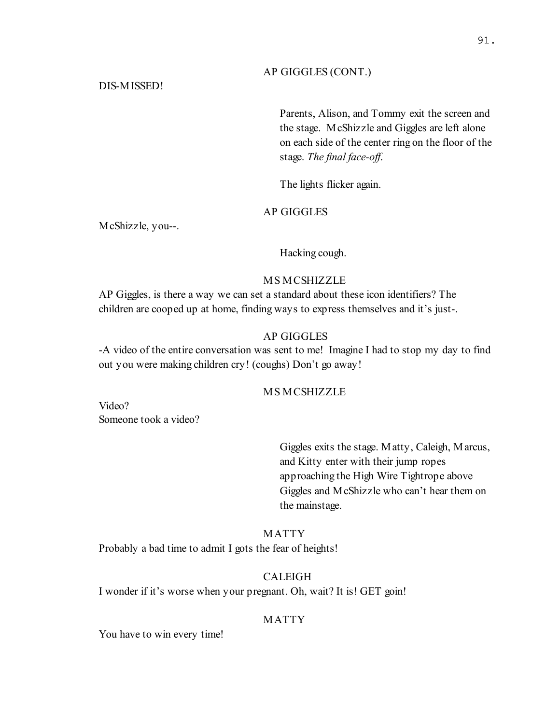#### AP GIGGLES (CONT.)

## DIS-MISSED!

Parents, Alison, and Tommy exit the screen and the stage. McShizzle and Giggles are left alone on each side of the center ring on the floor of the stage. The final face-off.

The lights flicker again.

# AP GIGGLES

McShizzle, you--.

Hacking cough.

### MS MCSHIZZLE

AP Giggles, is there a way we can set a standard about these icon identifiers? The children are cooped up at home, finding ways to express themselves and it's just-.

### AP GIGGLES

-A video of the entire conversation was sent to me! Imagine I had to stop my day to find out you were making children cry! (coughs) Don't go away!

# MS MCSHIZZLE

Video? Someone took a video?

> Giggles exits the stage. Matty, Caleigh, Marcus, and Kitty enter with their jump ropes approaching the High Wire Tightrope above Giggles and McShizzle who can't hear them on the mainstage.

### MATTY

Probably a bad time to admit I gots the fear of heights!

## CALEIGH

I wonder if it's worse when your pregnant. Oh, wait? It is! GET goin!

## MATTY

You have to win every time!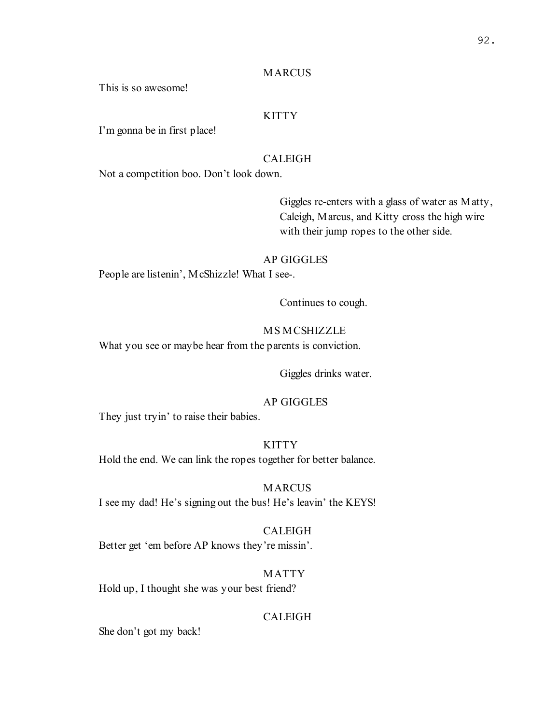#### MARCUS

This is so awesome!

# **KITTY**

I'm gonna be in first place!

## CALEIGH

Not a competition boo. Don't look down.

Giggles re-enters with a glass of water as Matty, Caleigh, Marcus, and Kitty cross the high wire with their jump ropes to the other side.

#### AP GIGGLES

People are listenin', McShizzle! What I see-.

Continues to cough.

#### MS MCSHIZZLE

What you see or maybe hear from the parents is conviction.

Giggles drinks water.

## AP GIGGLES

They just tryin' to raise their babies.

# **KITTY**

Hold the end. We can link the ropes together for better balance.

MARCUS I see my dad! He's signing out the bus! He's leavin' the KEYS!

#### CALEIGH

Better get 'em before AP knows they're missin'.

#### MATTY

Hold up, I thought she was your best friend?

### CALEIGH

She don't got my back!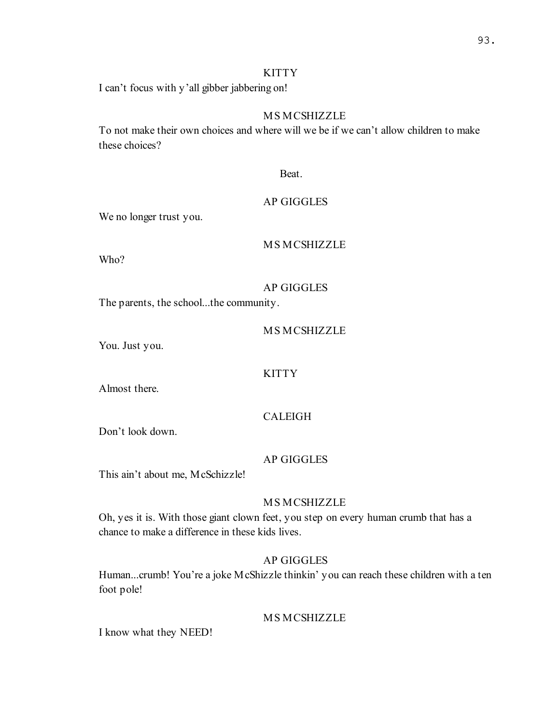# KITTY

I can't focus with y'all gibber jabbering on!

# MS MCSHIZZLE

To not make their own choices and where will we be if we can't allow children to make these choices?

Beat.

# AP GIGGLES

We no longer trust you.

MS MCSHIZZLE

Who?

# AP GIGGLES

The parents, the school...the community.

MS MCSHIZZLE

You. Just you.

**KITTY** 

Almost there.

# CALEIGH

Don't look down.

# AP GIGGLES

This ain't about me, McSchizzle!

# MS MCSHIZZLE

Oh, yes it is. With those giant clown feet, you step on every human crumb that has a chance to make a difference in these kids lives.

# AP GIGGLES

Human...crumb! You're a joke McShizzle thinkin' you can reach these children with a ten foot pole!

# MS MCSHIZZLE

I know what they NEED!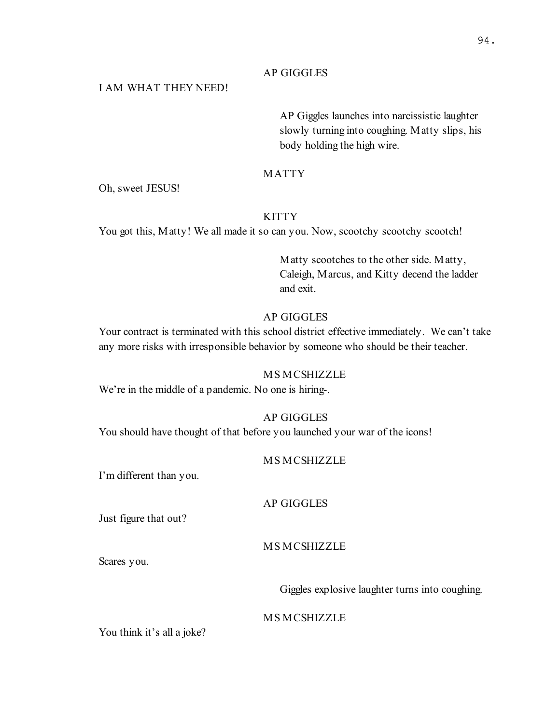## AP GIGGLES

# I AM WHAT THEY NEED!

AP Giggles launches into narcissistic laughter slowly turning into coughing. Matty slips, his body holding the high wire.

### MATTY

Oh, sweet JESUS!

# **KITTY**

You got this, Matty! We all made it so can you. Now, scootchy scootchy scootch!

Matty scootches to the other side. Matty, Caleigh, Marcus, and Kitty decend the ladder and exit.

# AP GIGGLES

Your contract is terminated with this school district effective immediately. We can't take any more risks with irresponsible behavior by someone who should be their teacher.

### MS MCSHIZZLE

We're in the middle of a pandemic. No one is hiring-.

# AP GIGGLES

You should have thought of that before you launched your war of the icons!

### MS MCSHIZZLE

I'm different than you.

## AP GIGGLES

Just figure that out?

## MS MCSHIZZLE

Scares you.

Giggles explosive laughter turns into coughing.

### MS MCSHIZZLE

You think it's all a joke?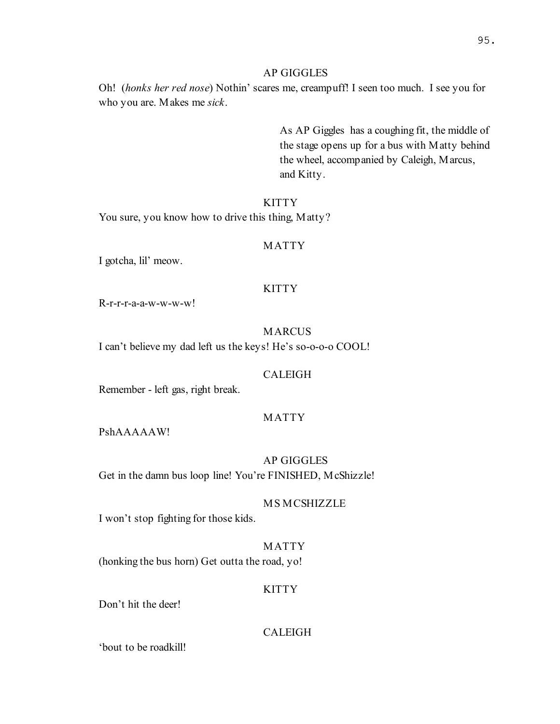#### AP GIGGLES

Oh! (honks her red nose) Nothin' scares me, creampuff! I seen too much. I see you for who you are. Makes me sick.

> As AP Giggles has a coughing fit, the middle of the stage opens up for a bus with Matty behind the wheel, accompanied by Caleigh, Marcus, and Kitty.

## **KITTY**

You sure, you know how to drive this thing, Matty?

#### MATTY

I gotcha, lil' meow.

#### **KITTY**

R-r-r-r-a-a-w-w-w-w!

# MARCUS

I can't believe my dad left us the keys! He's so-o-o-o COOL!

#### CALEIGH

Remember - left gas, right break.

#### MATTY

PshAAAAAW!

AP GIGGLES Get in the damn bus loop line! You're FINISHED, McShizzle!

### MS MCSHIZZLE

I won't stop fighting for those kids.

#### MATTY

(honking the bus horn) Get outta the road, yo!

#### **KITTY**

Don't hit the deer!

## CALEIGH

'bout to be roadkill!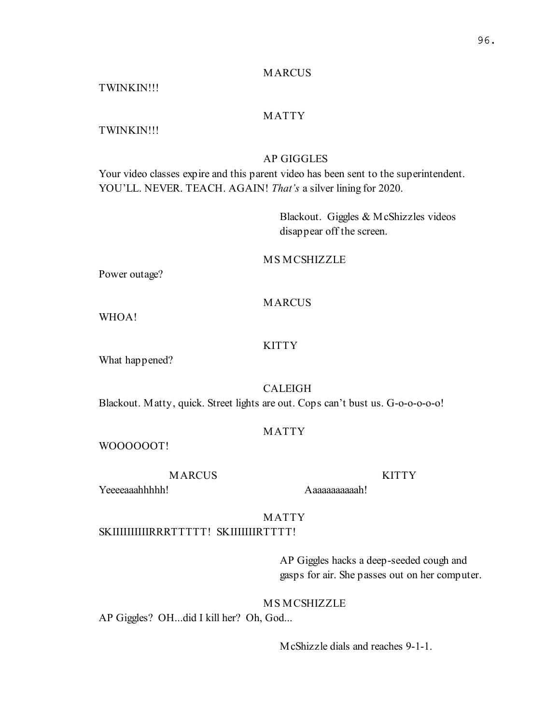### MARCUS

TWINKIN!!!

# MATTY

# TWINKIN!!!

# AP GIGGLES

Your video classes expire and this parent video has been sent to the superintendent. YOU'LL. NEVER. TEACH. AGAIN! That's a silver lining for 2020.

> Blackout. Giggles & McShizzles videos disappear off the screen.

### MS MCSHIZZLE

Power outage?

### **MARCUS**

WHOA!

#### KITTY

What happened?

## CALEIGH

Blackout. Matty, quick. Street lights are out. Cops can't bust us. G-o-o-o-o-o!

#### MATTY

WOOOOOOT!

# **MARCUS**

Yeeeeaaahhhhh!

Aaaaaaaaaaah!

# MATTY

SKIIIIIIIIIIIRRRTTTTT! SKIIIIIIIRTTTT!

AP Giggles hacks a deep-seeded cough and gasps for air. She passes out on her computer.

**KITTY** 

# MS MCSHIZZLE

AP Giggles? OH...did I kill her? Oh, God...

McShizzle dials and reaches 9-1-1.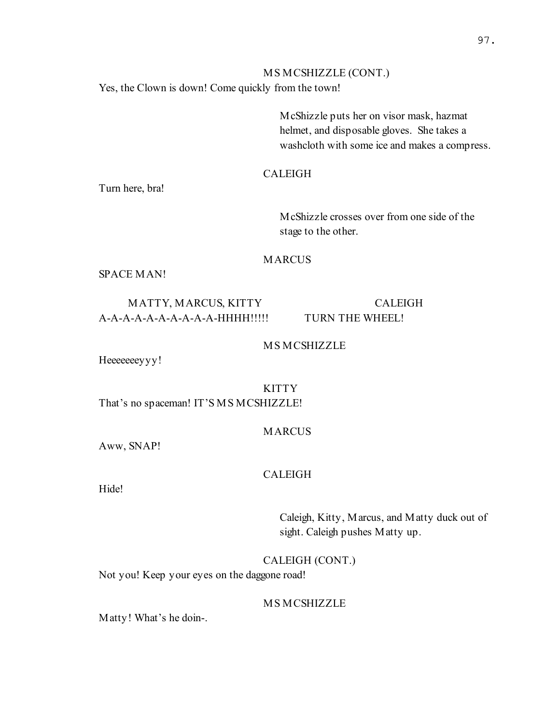# MS MCSHIZZLE (CONT.) Yes, the Clown is down! Come quickly from the town!

McShizzle puts her on visor mask, hazmat helmet, and disposable gloves. She takes a washcloth with some ice and makes a compress.

# CALEIGH

Turn here, bra!

McShizzle crosses over from one side of the stage to the other.

#### MARCUS

SPACE MAN!

# MATTY, MARCUS, KITTY A-A-A-A-A-A-A-A-A-A-HHHH!!!!!

CALEIGH TURN THE WHEEL!

## MS MCSHIZZLE

Heeeeeeyyy!

KITTY That's no spaceman! IT'S MS MCSHIZZLE!

### MARCUS

Aww, SNAP!

## CALEIGH

Hide!

Caleigh, Kitty, Marcus, and Matty duck out of sight. Caleigh pushes Matty up.

## CALEIGH (CONT.)

Not you! Keep your eyes on the daggone road!

# MS MCSHIZZLE

Matty! What's he doin-.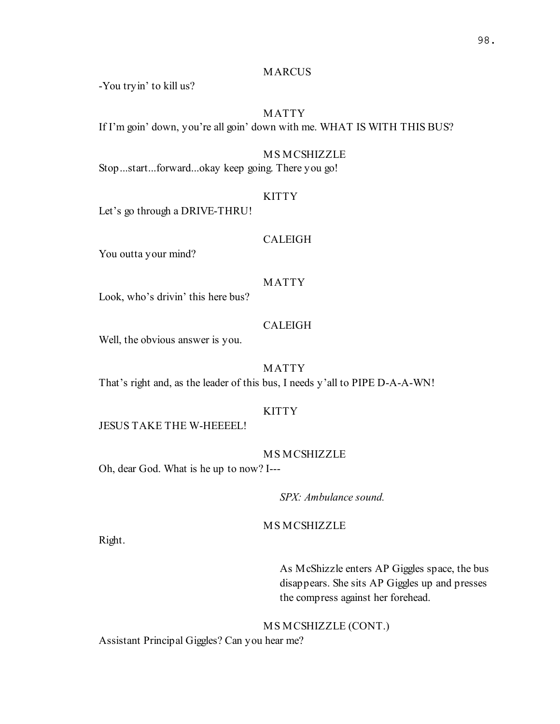## **MARCUS**

-You tryin' to kill us?

## MATTY

If I'm goin' down, you're all goin' down with me. WHAT IS WITH THIS BUS?

#### MS MCSHIZZLE

Stop...start...forward...okay keep going. There you go!

#### KITTY

Let's go through a DRIVE-THRU!

### CALEIGH

You outta your mind?

#### MATTY

Look, who's drivin' this here bus?

#### CALEIGH

Well, the obvious answer is you.

## MATTY

That's right and, as the leader of this bus, I needs y'all to PIPE D-A-A-WN!

### **KITTY**

JESUS TAKE THE W-HEEEEL!

#### MS MCSHIZZLE

Oh, dear God. What is he up to now? I---

SPX: Ambulance sound.

# MS MCSHIZZLE

Right.

As McShizzle enters AP Giggles space, the bus disappears. She sits AP Giggles up and presses the compress against her forehead.

MS MCSHIZZLE (CONT.)

Assistant Principal Giggles? Can you hear me?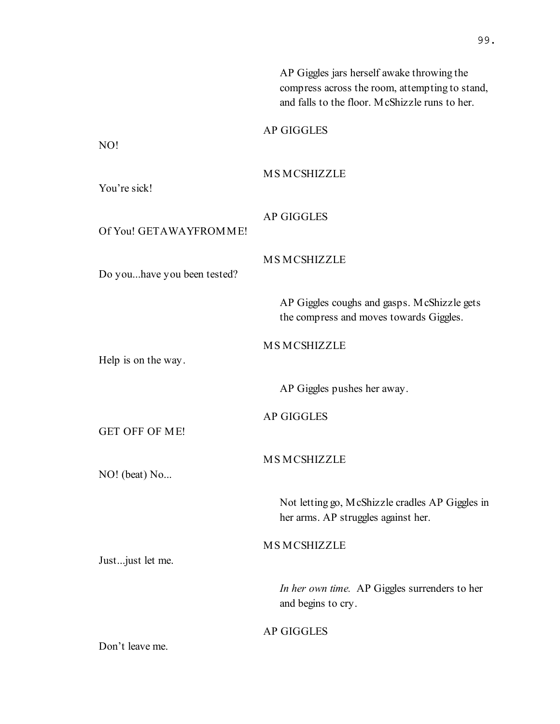|                             | AP Giggles jars herself awake throwing the<br>compress across the room, attempting to stand,<br>and falls to the floor. McShizzle runs to her. |
|-----------------------------|------------------------------------------------------------------------------------------------------------------------------------------------|
| NO!                         | <b>AP GIGGLES</b>                                                                                                                              |
|                             |                                                                                                                                                |
| You're sick!                | <b>MSMCSHIZZLE</b>                                                                                                                             |
| Of You! GETAWAYFROMME!      | <b>AP GIGGLES</b>                                                                                                                              |
| Do youhave you been tested? | <b>MSMCSHIZZLE</b>                                                                                                                             |
|                             | AP Giggles coughs and gasps. McShizzle gets<br>the compress and moves towards Giggles.                                                         |
| Help is on the way.         | <b>MSMCSHIZZLE</b>                                                                                                                             |
|                             | AP Giggles pushes her away.                                                                                                                    |
| <b>GET OFF OF ME!</b>       | <b>AP GIGGLES</b>                                                                                                                              |
| NO! (beat) No               | <b>MSMCSHIZZLE</b>                                                                                                                             |
|                             | Not letting go, McShizzle cradles AP Giggles in<br>her arms. AP struggles against her.                                                         |
| Just just let me.           | <b>MSMCSHIZZLE</b>                                                                                                                             |
|                             | In her own time. AP Giggles surrenders to her<br>and begins to cry.                                                                            |
| Don't leave me.             | <b>AP GIGGLES</b>                                                                                                                              |

99.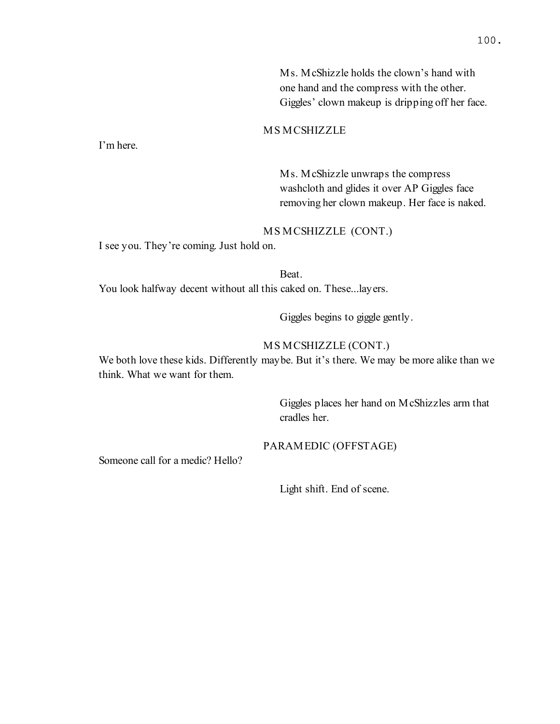Ms. McShizzle holds the clown's hand with one hand and the compress with the other. Giggles' clown makeup is dripping off her face.

# MS MCSHIZZLE

I'm here.

Ms. McShizzle unwraps the compress washcloth and glides it over AP Giggles face removing her clown makeup. Her face is naked.

### MS MCSHIZZLE (CONT.)

I see you. They're coming. Just hold on.

Beat. You look halfway decent without all this caked on. These...layers.

Giggles begins to giggle gently.

## MS MCSHIZZLE (CONT.)

We both love these kids. Differently maybe. But it's there. We may be more alike than we think. What we want for them.

> Giggles places her hand on McShizzles arm that cradles her.

### PARAMEDIC (OFFSTAGE)

Someone call for a medic? Hello?

Light shift. End of scene.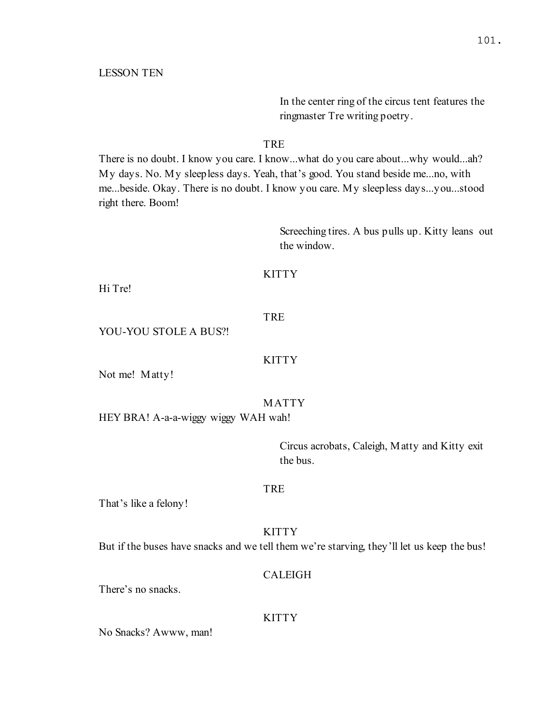LESSON TEN

In the center ring of the circus tent features the ringmaster Tre writing poetry.

### TRE

There is no doubt. I know you care. I know...what do you care about...why would...ah? My days. No. My sleepless days. Yeah, that's good. You stand beside me...no, with me...beside. Okay. There is no doubt. I know you care. My sleepless days...you...stood right there. Boom!

> Screeching tires. A bus pulls up. Kitty leans out the window.

## **KITTY**

Hi Tre!

## TRE

YOU-YOU STOLE A BUS?!

#### **KITTY**

Not me! Matty!

### MATTY

HEY BRA! A-a-a-wiggy wiggy WAH wah!

Circus acrobats, Caleigh, Matty and Kitty exit the bus.

#### TRE

That's like a felony!

#### **KITTY**

But if the buses have snacks and we tell them we're starving, they'll let us keep the bus!

### CALEIGH

There's no snacks.

#### **KITTY**

No Snacks? Awww, man!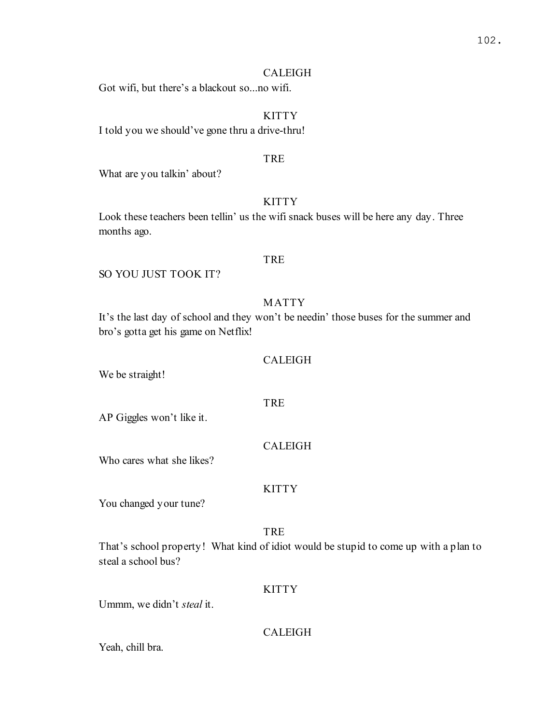## CALEIGH

Got wifi, but there's a blackout so...no wifi.

# **KITTY**

I told you we should've gone thru a drive-thru!

### TRE

What are you talkin' about?

# **KITTY**

Look these teachers been tellin' us the wifi snack buses will be here any day. Three months ago.

### TRE

SO YOU JUST TOOK IT?

## MATTY

It's the last day of school and they won't be needin' those buses for the summer and bro's gotta get his game on Netflix!

### CALEIGH

We be straight!

AP Giggles won't like it.

# CALEIGH

TRE

Who cares what she likes?

## **KITTY**

You changed your tune?

## TRE

That's school property! What kind of idiot would be stupid to come up with a plan to steal a school bus?

# **KITTY**

Ummm, we didn't steal it.

# CALEIGH

Yeah, chill bra.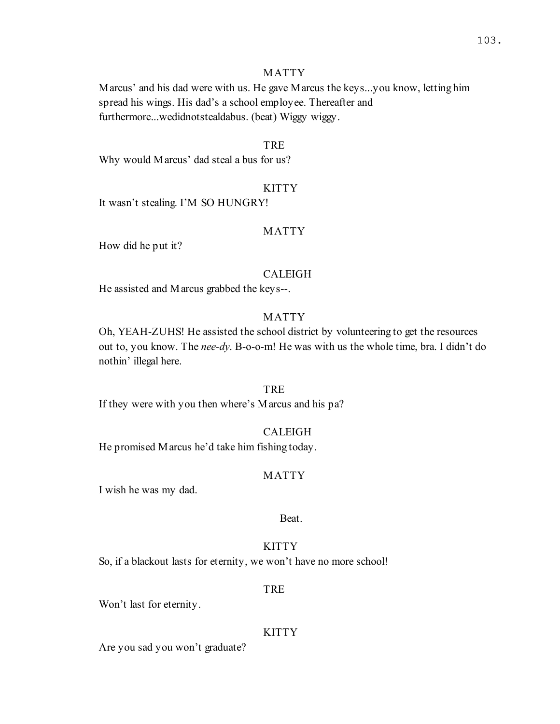#### MATTY

Marcus' and his dad were with us. He gave Marcus the keys...you know, letting him spread his wings. His dad's a school employee. Thereafter and furthermore...wedidnotstealdabus. (beat) Wiggy wiggy.

#### TRE

Why would Marcus' dad steal a bus for us?

### KITTY

It wasn't stealing. I'M SO HUNGRY!

#### MATTY

How did he put it?

#### CALEIGH

He assisted and Marcus grabbed the keys--.

# MATTY

Oh, YEAH-ZUHS! He assisted the school district by volunteering to get the resources out to, you know. The nee-dy. B-o-o-m! He was with us the whole time, bra. I didn't do nothin' illegal here.

#### **TRE**

If they were with you then where's Marcus and his pa?

#### CALEIGH

He promised Marcus he'd take him fishing today.

#### MATTY

I wish he was my dad.

#### Beat.

## **KITTY**

So, if a blackout lasts for eternity, we won't have no more school!

#### TRE

Won't last for eternity.

#### KITTY

Are you sad you won't graduate?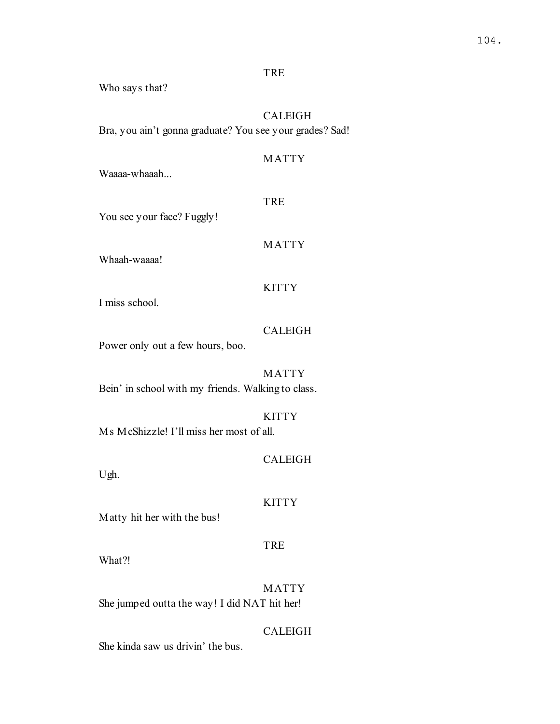## TRE

Who says that?

# CALEIGH

Bra, you ain't gonna graduate? You see your grades? Sad!

# MATTY

Waaaa-whaaah...

# TRE

You see your face? Fuggly!

### MATTY

Whaah-waaaa!

## **KITTY**

I miss school.

## CALEIGH

Power only out a few hours, boo.

## MATTY

Bein' in school with my friends. Walking to class.

## KITTY

Ms McShizzle! I'll miss her most of all.

# CALEIGH

Ugh.

### **KITTY**

Matty hit her with the bus!

# TRE

What?!

MATTY She jumped outta the way! I did NAT hit her!

# CALEIGH

She kinda saw us drivin' the bus.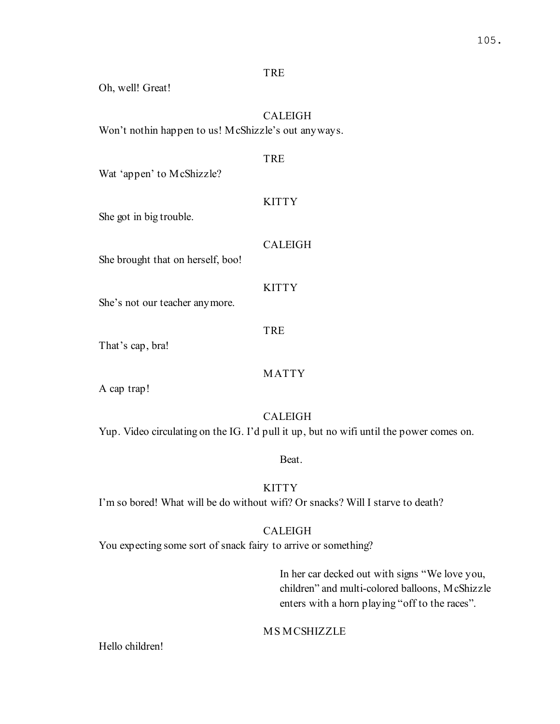# TRE

Oh, well! Great!

# CALEIGH

Won't nothin happen to us! McShizzle's out anyways.

# TRE

Wat 'appen' to McShizzle?

## **KITTY**

She got in big trouble.

## CALEIGH

She brought that on herself, boo!

## **KITTY**

She's not our teacher anymore.

#### TRE

That's cap, bra!

## MATTY

A cap trap!

### CALEIGH

Yup. Video circulating on the IG. I'd pull it up, but no wifi until the power comes on.

#### Beat.

# **KITTY**

I'm so bored! What will be do without wifi? Or snacks? Will I starve to death?

## CALEIGH

You expecting some sort of snack fairy to arrive or something?

In her car decked out with signs "We love you, children" and multi-colored balloons, McShizzle enters with a horn playing "off to the races".

## MS MCSHIZZLE

Hello children!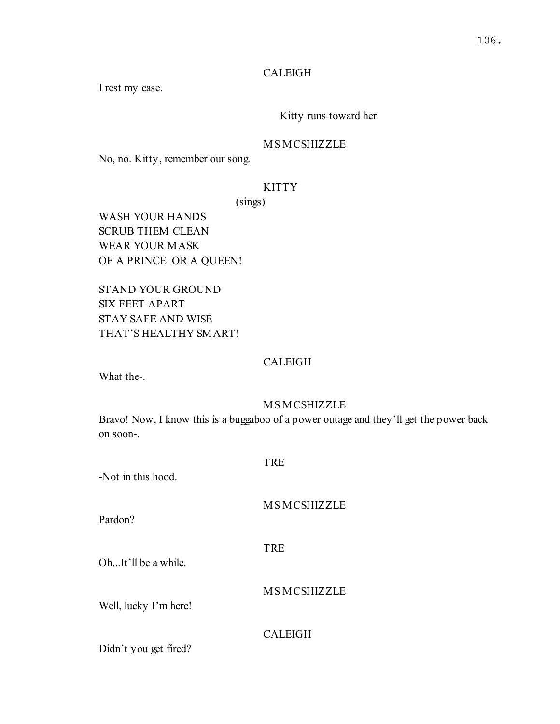# CALEIGH

I rest my case.

# Kitty runs toward her.

## MS MCSHIZZLE

No, no. Kitty, remember our song.

# **KITTY**

(sings)

WASH YOUR HANDS SCRUB THEM CLEAN WEAR YOUR MASK OF A PRINCE OR A QUEEN!

STAND YOUR GROUND SIX FEET APART STAY SAFE AND WISE THAT'S HEALTHY SMART!

## CALEIGH

What the-.

### MS MCSHIZZLE

Bravo! Now, I know this is a buggaboo of a power outage and they'll get the power back on soon-.

| -Not in this hood.    | <b>TRE</b>         |
|-----------------------|--------------------|
| Pardon?               | <b>MSMCSHIZZLE</b> |
| OhIt'll be a while.   | <b>TRE</b>         |
| Well, lucky I'm here! | <b>MSMCSHIZZLE</b> |
| Didn't you get fired? | <b>CALEIGH</b>     |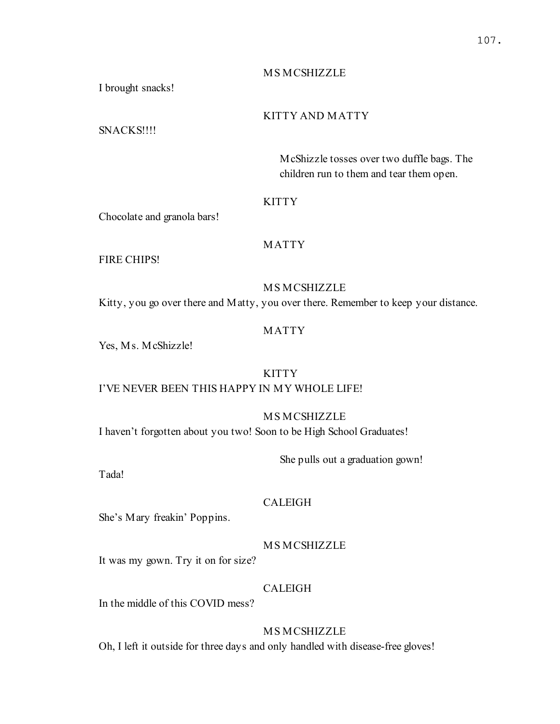## MS MCSHIZZLE

I brought snacks!

# KITTY AND MATTY

SNACKS!!!!

McShizzle tosses over two duffle bags. The children run to them and tear them open.

## **KITTY**

Chocolate and granola bars!

# MATTY

FIRE CHIPS!

MS MCSHIZZLE Kitty, you go over there and Matty, you over there. Remember to keep your distance.

# MATTY

Yes, Ms. McShizzle!

# **KITTY**

# I'VE NEVER BEEN THIS HAPPY IN MY WHOLE LIFE!

MS MCSHIZZLE I haven't forgotten about you two! Soon to be High School Graduates!

She pulls out a graduation gown!

Tada!

### CALEIGH

She's Mary freakin' Poppins.

MS MCSHIZZLE

It was my gown. Try it on for size?

# CALEIGH

In the middle of this COVID mess?

# MS MCSHIZZLE

Oh, I left it outside for three days and only handled with disease-free gloves!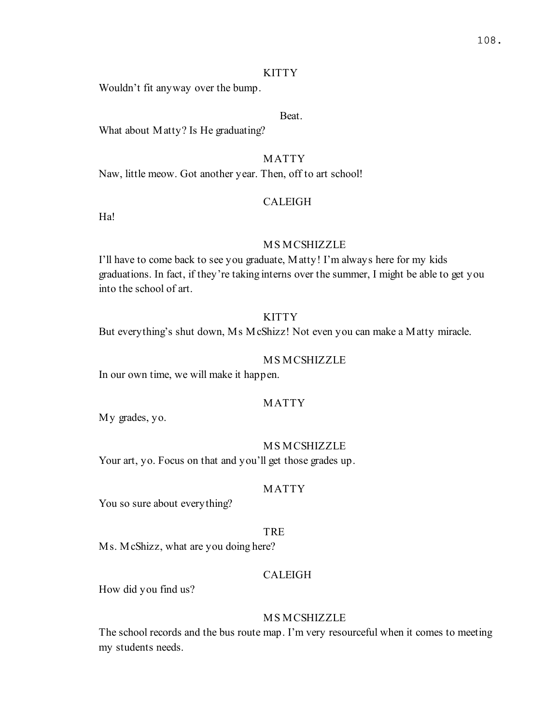#### KITTY

Wouldn't fit anyway over the bump.

## Beat.

What about Matty? Is He graduating?

# MATTY

Naw, little meow. Got another year. Then, off to art school!

## CALEIGH

Ha!

#### MS MCSHIZZLE

I'll have to come back to see you graduate, Matty! I'm always here for my kids graduations. In fact, if they're taking interns over the summer, I might be able to get you into the school of art.

# KITTY

But everything's shut down, Ms McShizz! Not even you can make a Matty miracle.

#### MS MCSHIZZLE

In our own time, we will make it happen.

#### MATTY

My grades, yo.

#### MS MCSHIZZLE

Your art, yo. Focus on that and you'll get those grades up.

#### MATTY

You so sure about everything?

#### TRE

Ms. McShizz, what are you doing here?

### CALEIGH

How did you find us?

### MS MCSHIZZLE

The school records and the bus route map. I'm very resourceful when it comes to meeting my students needs.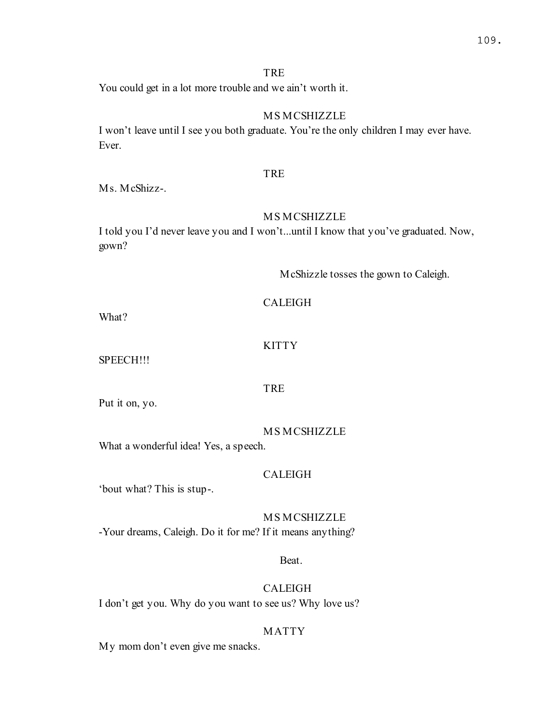# TRE

You could get in a lot more trouble and we ain't worth it.

# MS MCSHIZZLE

I won't leave until I see you both graduate. You're the only children I may ever have. Ever.

# TRE

Ms. McShizz-.

# MS MCSHIZZLE

I told you I'd never leave you and I won't...until I know that you've graduated. Now, gown?

McShizzle tosses the gown to Caleigh.

What?

# **KITTY**

TRE

SPEECH!!!

Put it on, yo.

### MS MCSHIZZLE

What a wonderful idea! Yes, a speech.

## CALEIGH

'bout what? This is stup-.

MS MCSHIZZLE -Your dreams, Caleigh. Do it for me? If it means anything?

## Beat.

# CALEIGH

I don't get you. Why do you want to see us? Why love us?

# MATTY

My mom don't even give me snacks.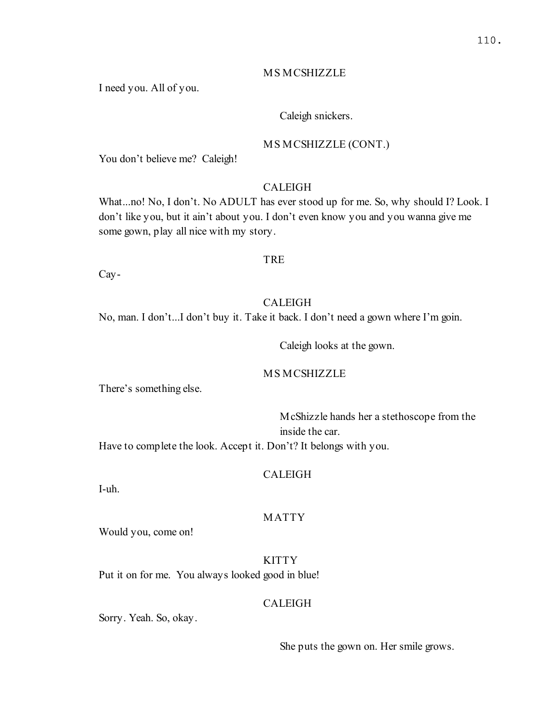#### MS MCSHIZZLE

I need you. All of you.

### Caleigh snickers.

#### MS MCSHIZZLE (CONT.)

You don't believe me? Caleigh!

# CALEIGH

What...no! No, I don't. No ADULT has ever stood up for me. So, why should I? Look. I don't like you, but it ain't about you. I don't even know you and you wanna give me some gown, play all nice with my story.

#### TRE

Cay-

### CALEIGH

No, man. I don't...I don't buy it. Take it back. I don't need a gown where I'm goin.

Caleigh looks at the gown.

## MS MCSHIZZLE

There's something else.

McShizzle hands her a stethoscope from the inside the car.

Have to complete the look. Accept it. Don't? It belongs with you.

#### CALEIGH

I-uh.

### MATTY

Would you, come on!

**KITTY** Put it on for me. You always looked good in blue!

# CALEIGH

Sorry. Yeah. So, okay.

She puts the gown on. Her smile grows.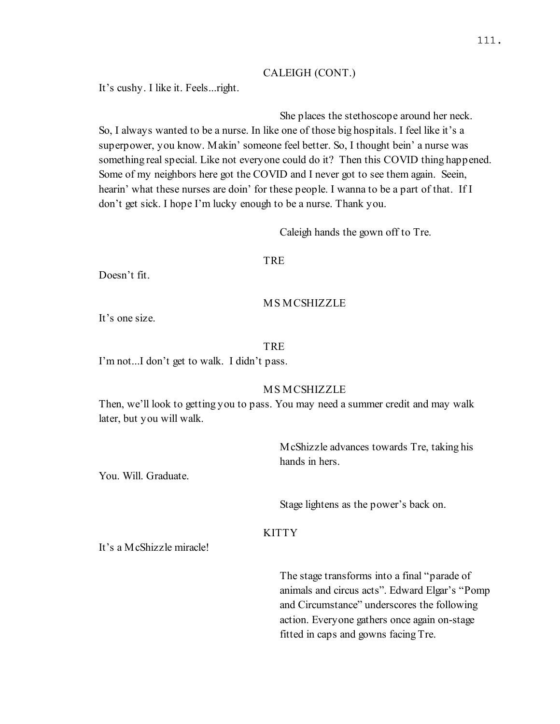#### CALEIGH (CONT.)

It's cushy. I like it. Feels...right.

## She places the stethoscope around her neck.

So, I always wanted to be a nurse. In like one of those big hospitals. I feel like it's a superpower, you know. Makin' someone feel better. So, I thought bein' a nurse was something real special. Like not everyone could do it? Then this COVID thing happened. Some of my neighbors here got the COVID and I never got to see them again. Seein, hearin' what these nurses are doin' for these people. I wanna to be a part of that. If I don't get sick. I hope I'm lucky enough to be a nurse. Thank you.

Caleigh hands the gown off to Tre.

#### TRE

Doesn't fit.

# MS MCSHIZZLE

It's one size.

#### **TRE**

I'm not...I don't get to walk. I didn't pass.

## MS MCSHIZZLE

Then, we'll look to getting you to pass. You may need a summer credit and may walk later, but you will walk.

> McShizzle advances towards Tre, taking his hands in hers.

You. Will. Graduate.

Stage lightens as the power's back on.

#### **KITTY**

It's a McShizzle miracle!

The stage transforms into a final "parade of animals and circus acts". Edward Elgar's "Pomp and Circumstance" underscores the following action. Everyone gathers once again on-stage fitted in caps and gowns facing Tre.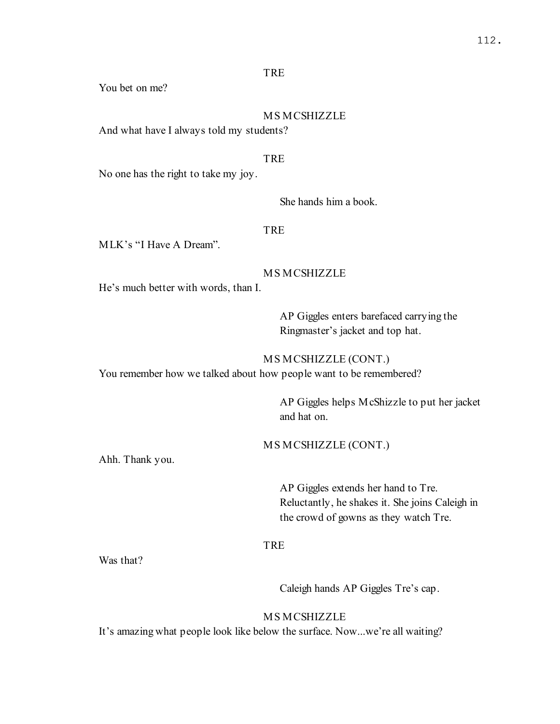### TRE

You bet on me?

# MS MCSHIZZLE

And what have I always told my students?

#### TRE

No one has the right to take my joy.

# She hands him a book.

#### TRE

MLK's "I Have A Dream".

## MS MCSHIZZLE

He's much better with words, than I.

AP Giggles enters barefaced carrying the Ringmaster's jacket and top hat.

#### MS MCSHIZZLE (CONT.)

You remember how we talked about how people want to be remembered?

AP Giggles helps McShizzle to put her jacket and hat on.

MS MCSHIZZLE (CONT.)

Ahh. Thank you.

AP Giggles extends her hand to Tre. Reluctantly, he shakes it. She joins Caleigh in the crowd of gowns as they watch Tre.

# TRE

Was that?

Caleigh hands AP Giggles Tre's cap.

MS MCSHIZZLE

It's amazing what people look like below the surface. Now...we're all waiting?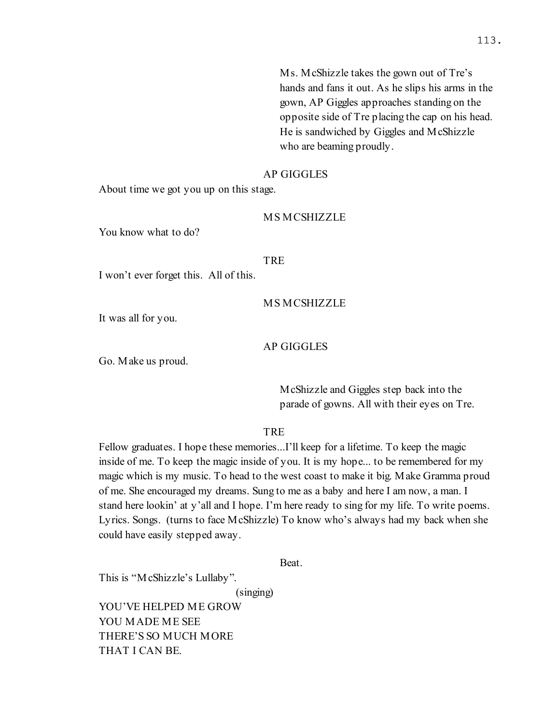Ms. McShizzle takes the gown out of Tre's hands and fans it out. As he slips his arms in the gown, AP Giggles approaches standing on the opposite side of Tre placing the cap on his head. He is sandwiched by Giggles and McShizzle who are beaming proudly.

#### AP GIGGLES

About time we got you up on this stage.

#### MS MCSHIZZLE

You know what to do?

#### TRE

I won't ever forget this. All of this.

#### MS MCSHIZZLE

It was all for you.

#### AP GIGGLES

Go. Make us proud.

McShizzle and Giggles step back into the parade of gowns. All with their eyes on Tre.

TRE

Fellow graduates. I hope these memories...I'll keep for a lifetime. To keep the magic inside of me. To keep the magic inside of you. It is my hope... to be remembered for my magic which is my music. To head to the west coast to make it big. Make Gramma proud of me. She encouraged my dreams. Sung to me as a baby and here I am now, a man. I stand here lookin' at y'all and I hope. I'm here ready to sing for my life. To write poems. Lyrics. Songs. (turns to face McShizzle) To know who's always had my back when she could have easily stepped away.

Beat.

This is "McShizzle's Lullaby".

(singing)

YOU'VE HELPED ME GROW YOU MADE ME SEE THERE'S SO MUCH MORE THAT I CAN BE.